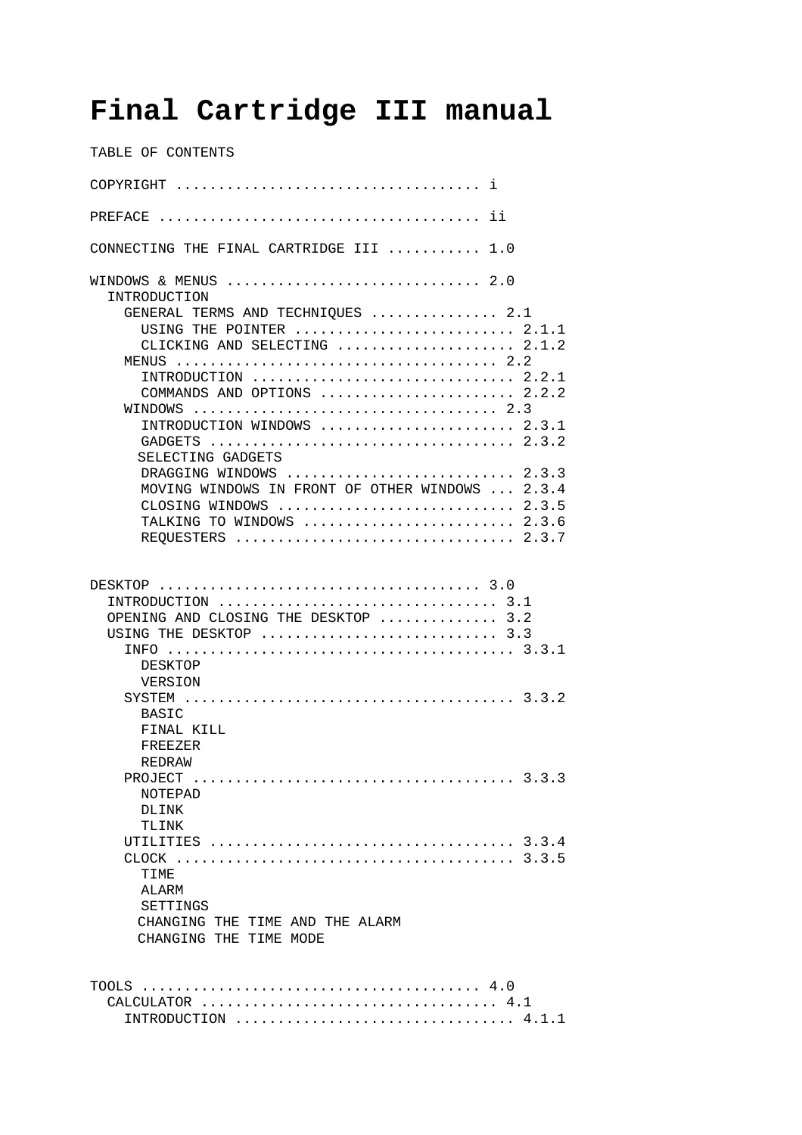# **Final Cartridge III manual**

TABLE OF CONTENTS COPYRIGHT .................................... i PREFACE ...................................... ii CONNECTING THE FINAL CARTRIDGE III ........... 1.0 WINDOWS & MENUS ................................... 2.0 INTRODUCTION GENERAL TERMS AND TECHNIQUES ............... 2.1 USING THE POINTER ........................... 2.1.1 CLICKING AND SELECTING ...................... 2.1.2 MENUS ...................................... 2.2 INTRODUCTION ............................... 2.2.1 COMMANDS AND OPTIONS ......................... 2.2.2 WINDOWS .................................... 2.3 INTRODUCTION WINDOWS ....................... 2.3.1 GADGETS .................................... 2.3.2 SELECTING GADGETS DRAGGING WINDOWS .............................. 2.3.3 MOVING WINDOWS IN FRONT OF OTHER WINDOWS ... 2.3.4 CLOSING WINDOWS ............................ 2.3.5 TALKING TO WINDOWS ........................... 2.3.6 REQUESTERS ................................. 2.3.7 DESKTOP ...................................... 3.0 INTRODUCTION ................................. 3.1 OPENING AND CLOSING THE DESKTOP .............. 3.2 USING THE DESKTOP ............................ 3.3 INFO ......................................... 3.3.1 DESKTOP VERSION SYSTEM ....................................... 3.3.2 BASIC FINAL KILL FREEZER REDRAW PROJECT ...................................... 3.3.3 NOTEPAD DLINK TLINK UTILITIES .................................... 3.3.4 CLOCK ........................................ 3.3.5 TIME ALARM SETTINGS CHANGING THE TIME AND THE ALARM CHANGING THE TIME MODE TOOLS ........................................ 4.0 CALCULATOR ................................... 4.1 INTRODUCTION ................................. 4.1.1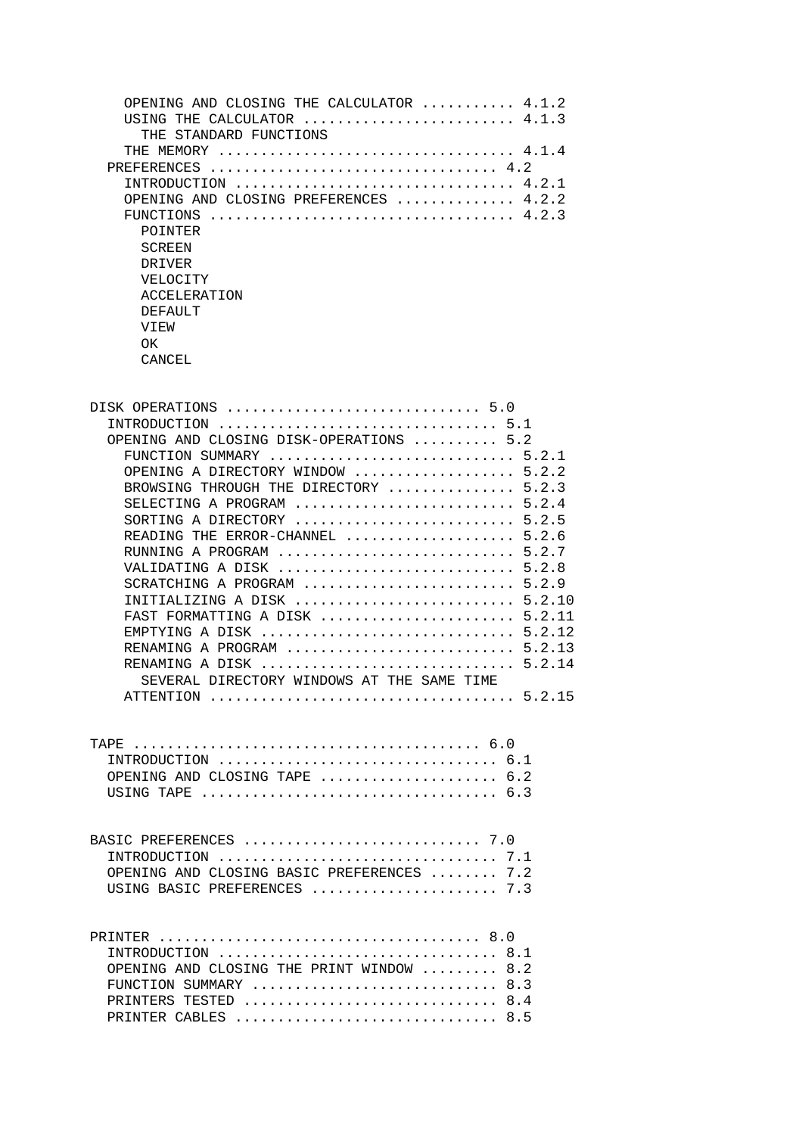| OPENING AND CLOSING THE CALCULATOR $\ldots \ldots \ldots$ 4.1.2               |
|-------------------------------------------------------------------------------|
| USING THE CALCULATOR $\ldots \ldots \ldots \ldots \ldots \ldots \ldots 4.1.3$ |
| THE STANDARD FUNCTIONS                                                        |
| THE MEMORY                                                                    |
| PREFERENCES                                                                   |
|                                                                               |
| OPENING AND CLOSING PREFERENCES  4.2.2                                        |
| FUNCTIONS                                                                     |
| POINTER                                                                       |
| <b>SCREEN</b>                                                                 |
| DRIVER                                                                        |
| <b>VELOCITY</b>                                                               |
| ACCELERATION                                                                  |
| DEFAULT                                                                       |
| VIEW                                                                          |
| OK.                                                                           |
| CANCEL                                                                        |
|                                                                               |

| DISK OPERATIONS  5.0                                                                           |
|------------------------------------------------------------------------------------------------|
| INTRODUCTION  5.1                                                                              |
| OPENING AND CLOSING DISK-OPERATIONS  5.2                                                       |
| FUNCTION SUMMARY  5.2.1                                                                        |
| OPENING A DIRECTORY WINDOW  5.2.2                                                              |
| BROWSING THROUGH THE DIRECTORY  5.2.3                                                          |
| SELECTING A PROGRAM  5.2.4                                                                     |
| SORTING A DIRECTORY  5.2.5                                                                     |
| READING THE ERROR-CHANNEL  5.2.6                                                               |
| RUNNING A PROGRAM  5.2.7                                                                       |
| VALIDATING A DISK $\ldots \ldots \ldots \ldots \ldots \ldots \ldots \ldots \ldots 5.2.8$       |
| SCRATCHING A PROGRAM $\ldots \ldots \ldots \ldots \ldots \ldots \ldots \ldots 5.2.9$           |
| INITIALIZING A DISK  5.2.10                                                                    |
| FAST FORMATTING A DISK $\ldots \ldots \ldots \ldots \ldots \ldots \ldots$ 5.2.11               |
| EMPTYING A DISK $\ldots \ldots \ldots \ldots \ldots \ldots \ldots \ldots \ldots \ldots 5.2.12$ |
| RENAMING A PROGRAM  5.2.13                                                                     |
| RENAMING A DISK  5.2.14                                                                        |
| SEVERAL DIRECTORY WINDOWS AT THE SAME TIME                                                     |
|                                                                                                |
|                                                                                                |
|                                                                                                |
|                                                                                                |
|                                                                                                |
| INTRODUCTION $\ldots \ldots \ldots \ldots \ldots \ldots \ldots \ldots \ldots \ldots 6.1$       |
| OPENING AND CLOSING TAPE  6.2                                                                  |
|                                                                                                |
|                                                                                                |
|                                                                                                |
| BASIC PREFERENCES  7.0                                                                         |
|                                                                                                |
| OPENING AND CLOSING BASIC PREFERENCES  7.2                                                     |
| USING BASIC PREFERENCES  7.3                                                                   |
|                                                                                                |
|                                                                                                |
|                                                                                                |
| INTRODUCTION  8.1                                                                              |
| OPENING AND CLOSING THE PRINT WINDOW  8.2                                                      |
| FUNCTION SUMMARY  8.3                                                                          |
| PRINTERS TESTED<br>8.4                                                                         |

PRINTER CABLES ............................... 8.5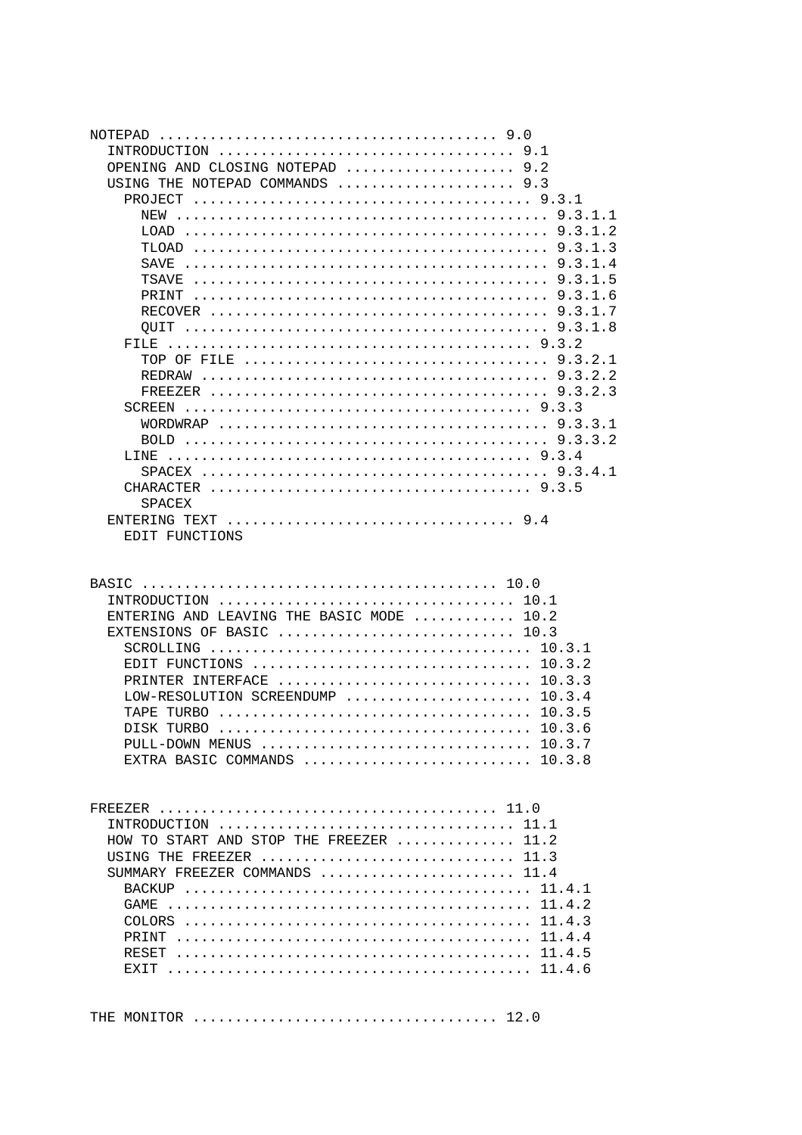| NOTEPAD<br>OPENING AND CLOSING NOTEPAD $\ldots, \ldots, \ldots, \ldots, 9.2$<br>USING THE NOTEPAD COMMANDS $\ldots \ldots \ldots \ldots \ldots \ldots$<br>FILE<br>LINE<br><b>SPACEX</b><br>EDIT FUNCTIONS                                                                                                                                                  |  |
|------------------------------------------------------------------------------------------------------------------------------------------------------------------------------------------------------------------------------------------------------------------------------------------------------------------------------------------------------------|--|
| INTRODUCTION  10.1<br>ENTERING AND LEAVING THE BASIC MODE $\ldots \ldots \ldots \ldots$<br>EXTENSIONS OF BASIC  10.3<br>EDIT FUNCTIONS $\ldots \ldots \ldots \ldots \ldots \ldots \ldots \ldots \ldots \ldots \ldots 10.3.2$<br>PRINTER INTERFACE  10.3.3<br>LOW-RESOLUTION SCREENDUMP $10.3.4$<br>PULL-DOWN MENUS  10.3.7<br>EXTRA BASIC COMMANDS  10.3.8 |  |
| HOW TO START AND STOP THE FREEZER  11.2<br>USING THE FREEZER  11.3<br>SUMMARY FREEZER COMMANDS  11.4                                                                                                                                                                                                                                                       |  |

|  |  | THE MONITOR $\ldots \ldots \ldots \ldots \ldots \ldots \ldots \ldots \ldots \ldots \ldots \ldots 12.0$ |  |  |
|--|--|--------------------------------------------------------------------------------------------------------|--|--|
|--|--|--------------------------------------------------------------------------------------------------------|--|--|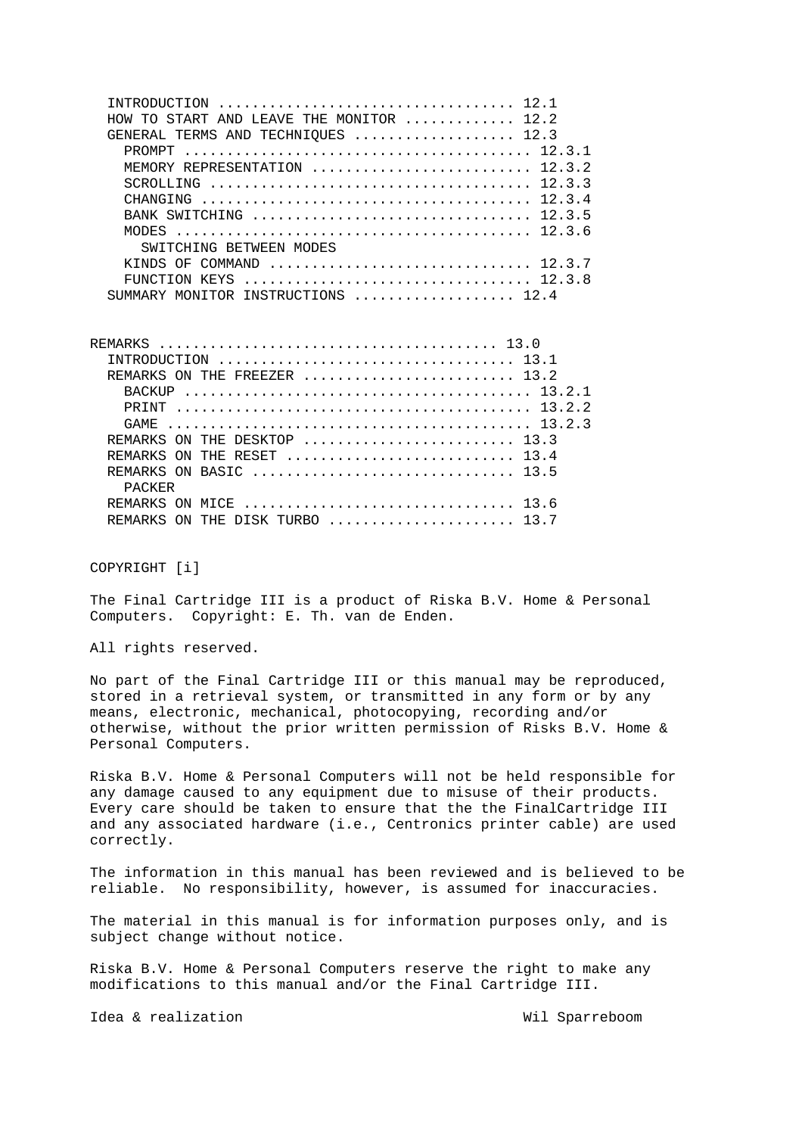| HOW TO START AND LEAVE THE MONITOR $\ldots \ldots \ldots 12.2$                                                                                  |
|-------------------------------------------------------------------------------------------------------------------------------------------------|
| GENERAL TERMS AND TECHNIOUES  12.3                                                                                                              |
|                                                                                                                                                 |
| MEMORY REPRESENTATION  12.3.2                                                                                                                   |
| SCROLLING $\ldots \ldots \ldots \ldots \ldots \ldots \ldots \ldots \ldots \ldots \ldots \ldots \ldots 12.3.3$                                   |
| CHANGING $\ldots$ $\ldots$ $\ldots$ $\ldots$ $\ldots$ $\ldots$ $\ldots$ $\ldots$ $\ldots$ $\ldots$ $\ldots$ $\ldots$ $\ldots$ $\ldots$ $\ldots$ |
|                                                                                                                                                 |
|                                                                                                                                                 |
| SWITCHING BETWEEN MODES                                                                                                                         |
| KINDS OF COMMAND $\ldots \ldots \ldots \ldots \ldots \ldots \ldots \ldots \ldots \ldots 12.3.7$                                                 |
|                                                                                                                                                 |
| SUMMARY MONITOR INSTRUCTIONS  12.4                                                                                                              |

REMARKS ........................................ 13.0 INTRODUCTION ................................... 13.1 REMARKS ON THE FREEZER ........................... 13.2 BACKUP ......................................... 13.2.1 PRINT .......................................... 13.2.2 GAME ........................................... 13.2.3 REMARKS ON THE DESKTOP ........................... 13.3 REMARKS ON THE RESET ............................. 13.4 REMARKS ON BASIC ............................... 13.5 PACKER REMARKS ON MICE ................................... 13.6 REMARKS ON THE DISK TURBO ....................... 13.7

COPYRIGHT [i]

The Final Cartridge III is a product of Riska B.V. Home & Personal Computers. Copyright: E. Th. van de Enden.

All rights reserved.

No part of the Final Cartridge III or this manual may be reproduced, stored in a retrieval system, or transmitted in any form or by any means, electronic, mechanical, photocopying, recording and/or otherwise, without the prior written permission of Risks B.V. Home & Personal Computers.

Riska B.V. Home & Personal Computers will not be held responsible for any damage caused to any equipment due to misuse of their products. Every care should be taken to ensure that the the FinalCartridge III and any associated hardware (i.e., Centronics printer cable) are used correctly.

The information in this manual has been reviewed and is believed to be reliable. No responsibility, however, is assumed for inaccuracies.

The material in this manual is for information purposes only, and is subject change without notice.

Riska B.V. Home & Personal Computers reserve the right to make any modifications to this manual and/or the Final Cartridge III.

Idea & realization Wil Sparreboom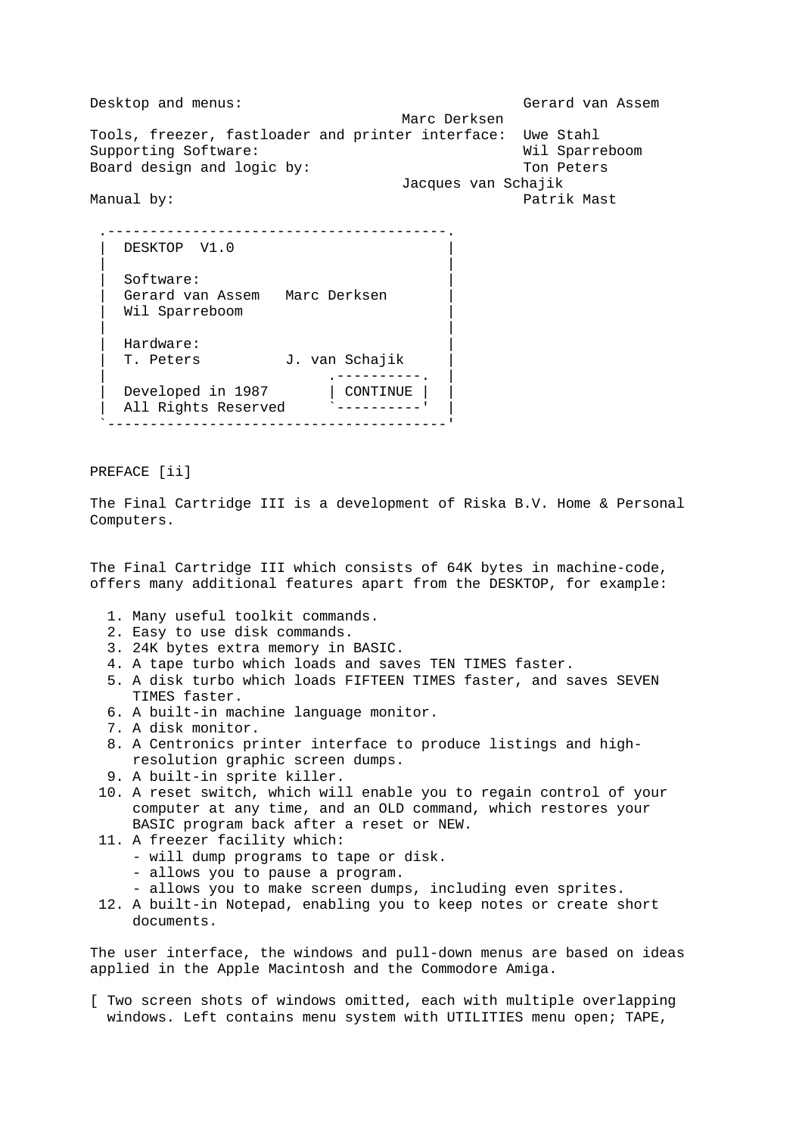Desktop and menus: Gerard van Assem Marc Derksen Tools, freezer, fastloader and printer interface: Uwe Stahl Supporting Software: Wil Sparreboom Board design and logic by: Ton Peters Jacques van Schajik Manual by: Patrik Mast

| DESKTOP V1.0        |                |
|---------------------|----------------|
| Software:           |                |
| Gerard van Assem    | Marc Derksen   |
| Wil Sparreboom      |                |
|                     |                |
| Hardware:           |                |
| T. Peters           | J. van Schajik |
|                     |                |
| Developed in 1987   | CONTINUE       |
| All Rights Reserved |                |
|                     |                |

PREFACE [ii]

The Final Cartridge III is a development of Riska B.V. Home & Personal Computers.

The Final Cartridge III which consists of 64K bytes in machine-code, offers many additional features apart from the DESKTOP, for example:

- 1. Many useful toolkit commands.
- 2. Easy to use disk commands.
- 3. 24K bytes extra memory in BASIC.
- 4. A tape turbo which loads and saves TEN TIMES faster.
- 5. A disk turbo which loads FIFTEEN TIMES faster, and saves SEVEN TIMES faster.
- 6. A built-in machine language monitor.
- 7. A disk monitor.
- 8. A Centronics printer interface to produce listings and high resolution graphic screen dumps.
- 9. A built-in sprite killer.
- 10. A reset switch, which will enable you to regain control of your computer at any time, and an OLD command, which restores your BASIC program back after a reset or NEW.
- 11. A freezer facility which:
	- will dump programs to tape or disk.
	- allows you to pause a program.
	- allows you to make screen dumps, including even sprites.
- 12. A built-in Notepad, enabling you to keep notes or create short documents.

The user interface, the windows and pull-down menus are based on ideas applied in the Apple Macintosh and the Commodore Amiga.

[ Two screen shots of windows omitted, each with multiple overlapping windows. Left contains menu system with UTILITIES menu open; TAPE,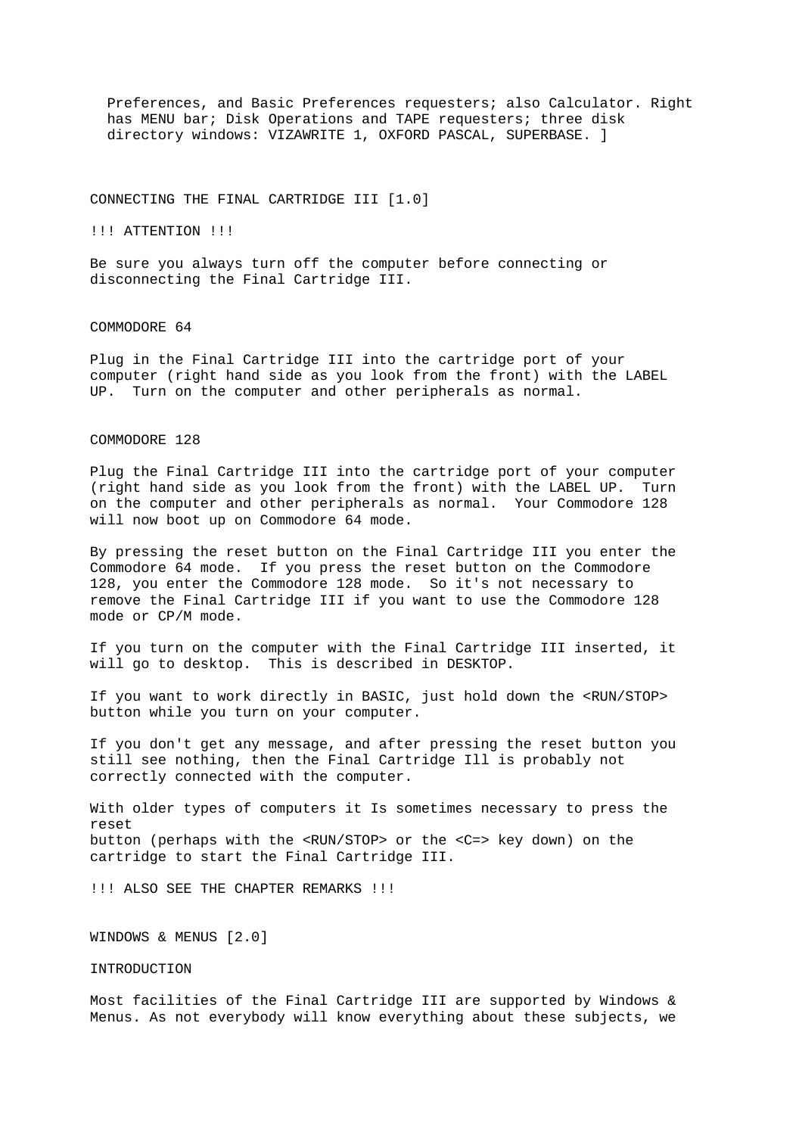Preferences, and Basic Preferences requesters; also Calculator. Right has MENU bar; Disk Operations and TAPE requesters; three disk directory windows: VIZAWRITE 1, OXFORD PASCAL, SUPERBASE. ]

#### CONNECTING THE FINAL CARTRIDGE III [1.0]

!!! ATTENTION !!!

Be sure you always turn off the computer before connecting or disconnecting the Final Cartridge III.

#### COMMODORE 64

Plug in the Final Cartridge III into the cartridge port of your computer (right hand side as you look from the front) with the LABEL UP. Turn on the computer and other peripherals as normal.

## COMMODORE 128

Plug the Final Cartridge III into the cartridge port of your computer (right hand side as you look from the front) with the LABEL UP. Turn on the computer and other peripherals as normal. Your Commodore 128 will now boot up on Commodore 64 mode.

By pressing the reset button on the Final Cartridge III you enter the Commodore 64 mode. If you press the reset button on the Commodore 128, you enter the Commodore 128 mode. So it's not necessary to remove the Final Cartridge III if you want to use the Commodore 128 mode or CP/M mode.

If you turn on the computer with the Final Cartridge III inserted, it will go to desktop. This is described in DESKTOP.

If you want to work directly in BASIC, just hold down the <RUN/STOP> button while you turn on your computer.

If you don't get any message, and after pressing the reset button you still see nothing, then the Final Cartridge Ill is probably not correctly connected with the computer.

With older types of computers it Is sometimes necessary to press the reset button (perhaps with the <RUN/STOP> or the <C=> key down) on the cartridge to start the Final Cartridge III.

!!! ALSO SEE THE CHAPTER REMARKS !!!

WINDOWS & MENUS [2.0]

## INTRODUCTION

Most facilities of the Final Cartridge III are supported by Windows & Menus. As not everybody will know everything about these subjects, we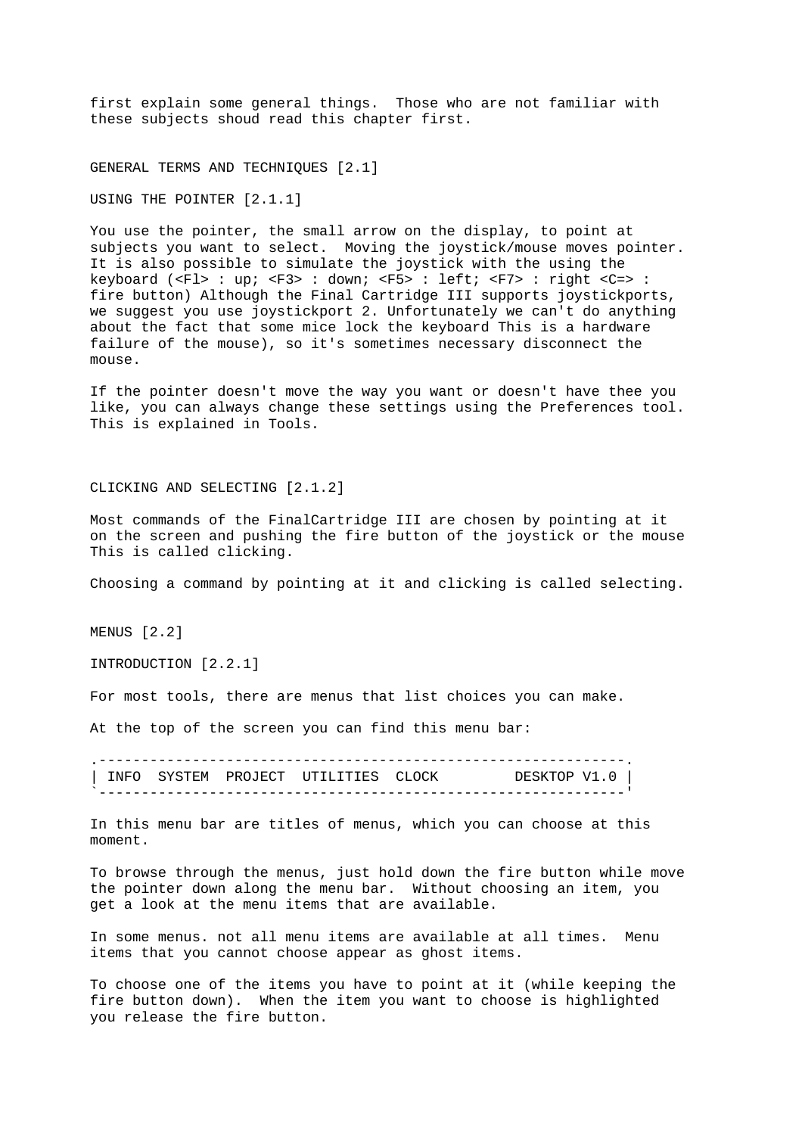first explain some general things. Those who are not familiar with these subjects shoud read this chapter first.

GENERAL TERMS AND TECHNIQUES [2.1]

USING THE POINTER [2.1.1]

You use the pointer, the small arrow on the display, to point at subjects you want to select. Moving the joystick/mouse moves pointer. It is also possible to simulate the joystick with the using the keyboard (<Fl> : up; <F3> : down; <F5> : left; <F7> : right <C=> : fire button) Although the Final Cartridge III supports joystickports, we suggest you use joystickport 2. Unfortunately we can't do anything about the fact that some mice lock the keyboard This is a hardware failure of the mouse), so it's sometimes necessary disconnect the mouse.

If the pointer doesn't move the way you want or doesn't have thee you like, you can always change these settings using the Preferences tool. This is explained in Tools.

CLICKING AND SELECTING [2.1.2]

Most commands of the FinalCartridge III are chosen by pointing at it on the screen and pushing the fire button of the joystick or the mouse This is called clicking.

Choosing a command by pointing at it and clicking is called selecting.

MENUS [2.2]

INTRODUCTION [2.2.1]

For most tools, there are menus that list choices you can make.

At the top of the screen you can find this menu bar:

.--------------------------------------------------------------. | INFO SYSTEM PROJECT UTILITIES CLOCK DESKTOP V1.0 | `--------------------------------------------------------------'

In this menu bar are titles of menus, which you can choose at this moment.

To browse through the menus, just hold down the fire button while move the pointer down along the menu bar. Without choosing an item, you get a look at the menu items that are available.

In some menus. not all menu items are available at all times. Menu items that you cannot choose appear as ghost items.

To choose one of the items you have to point at it (while keeping the fire button down). When the item you want to choose is highlighted you release the fire button.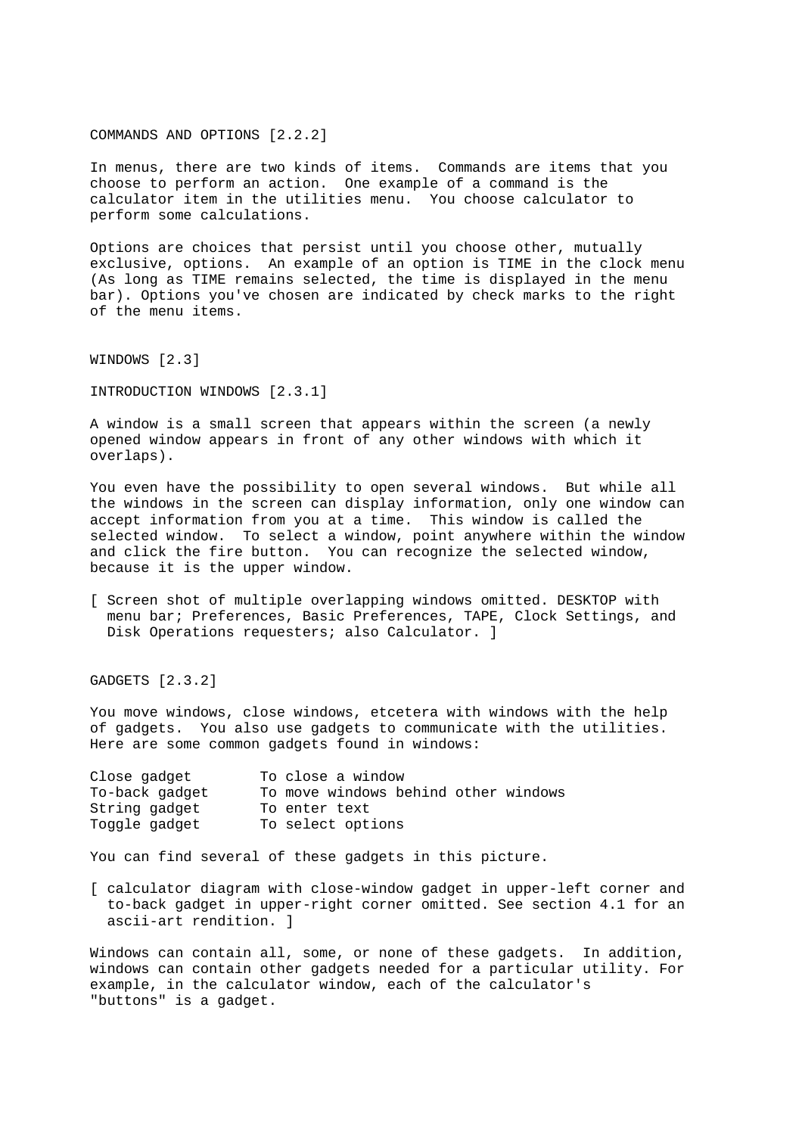COMMANDS AND OPTIONS [2.2.2]

In menus, there are two kinds of items. Commands are items that you choose to perform an action. One example of a command is the calculator item in the utilities menu. You choose calculator to perform some calculations.

Options are choices that persist until you choose other, mutually exclusive, options. An example of an option is TIME in the clock menu (As long as TIME remains selected, the time is displayed in the menu bar). Options you've chosen are indicated by check marks to the right of the menu items.

WINDOWS [2.3]

INTRODUCTION WINDOWS [2.3.1]

A window is a small screen that appears within the screen (a newly opened window appears in front of any other windows with which it overlaps).

You even have the possibility to open several windows. But while all the windows in the screen can display information, only one window can accept information from you at a time. This window is called the selected window. To select a window, point anywhere within the window and click the fire button. You can recognize the selected window, because it is the upper window.

[ Screen shot of multiple overlapping windows omitted. DESKTOP with menu bar; Preferences, Basic Preferences, TAPE, Clock Settings, and Disk Operations requesters; also Calculator. ]

GADGETS [2.3.2]

You move windows, close windows, etcetera with windows with the help of gadgets. You also use gadgets to communicate with the utilities. Here are some common gadgets found in windows:

| Close gadget   | To close a window                    |
|----------------|--------------------------------------|
| To-back gadget | To move windows behind other windows |
| String gadget  | To enter text                        |
| Toggle gadget  | To select options                    |

You can find several of these gadgets in this picture.

[ calculator diagram with close-window gadget in upper-left corner and to-back gadget in upper-right corner omitted. See section 4.1 for an ascii-art rendition. ]

Windows can contain all, some, or none of these gadgets. In addition, windows can contain other gadgets needed for a particular utility. For example, in the calculator window, each of the calculator's "buttons" is a gadget.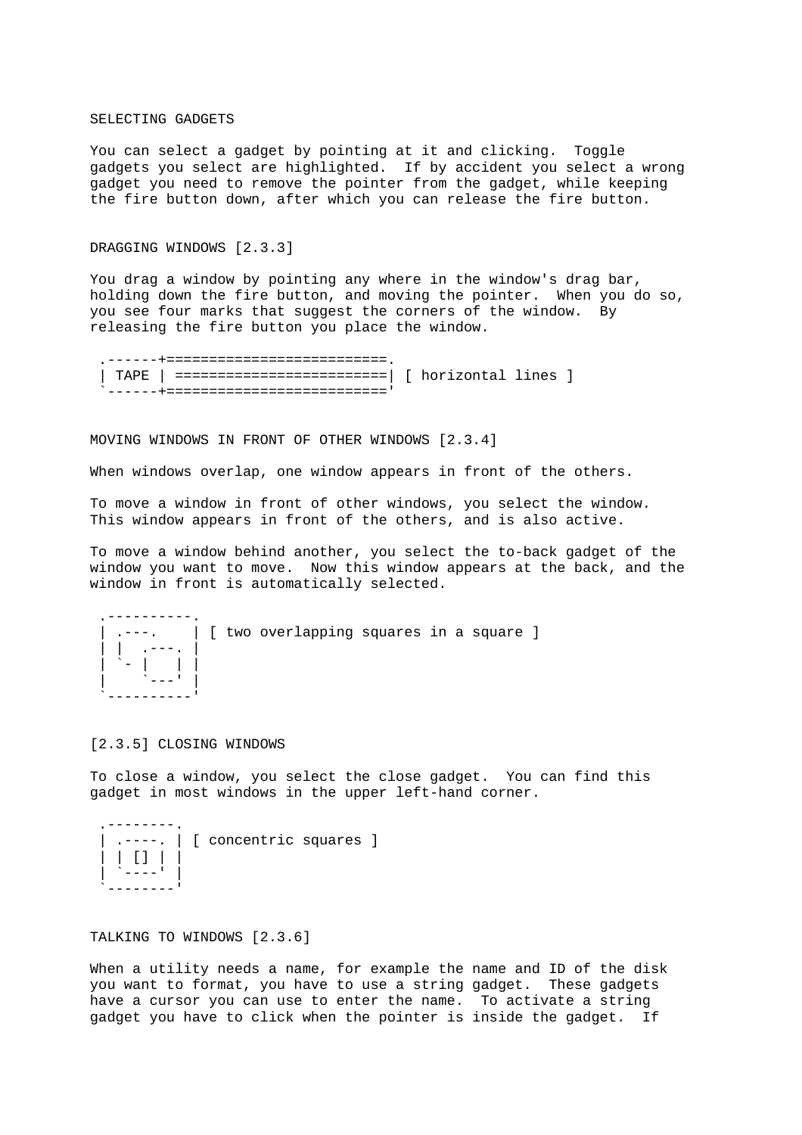#### SELECTING GADGETS

You can select a gadget by pointing at it and clicking. Toggle gadgets you select are highlighted. If by accident you select a wrong gadget you need to remove the pointer from the gadget, while keeping the fire button down, after which you can release the fire button.

## DRAGGING WINDOWS [2.3.3]

You drag a window by pointing any where in the window's drag bar, holding down the fire button, and moving the pointer. When you do so, you see four marks that suggest the corners of the window. By releasing the fire button you place the window.

```
 .------+==========================. 
 | TAPE | =========================| [ horizontal lines ] 
`------+==============================
```
MOVING WINDOWS IN FRONT OF OTHER WINDOWS [2.3.4]

When windows overlap, one window appears in front of the others.

To move a window in front of other windows, you select the window. This window appears in front of the others, and is also active.

To move a window behind another, you select the to-back gadget of the window you want to move. Now this window appears at the back, and the window in front is automatically selected.

```
 .----------. 
   .---. | [ two overlapping squares in a square ]
 | | .---. | 
 | `- | | | 
| | | | <sup>| |</sup>---' | |
 `----------'
```
## [2.3.5] CLOSING WINDOWS

To close a window, you select the close gadget. You can find this gadget in most windows in the upper left-hand corner.

| $\Box$ | [ concentric squares ] |  |
|--------|------------------------|--|
|        |                        |  |

## TALKING TO WINDOWS [2.3.6]

When a utility needs a name, for example the name and ID of the disk you want to format, you have to use a string gadget. These gadgets have a cursor you can use to enter the name. To activate a string gadget you have to click when the pointer is inside the gadget. If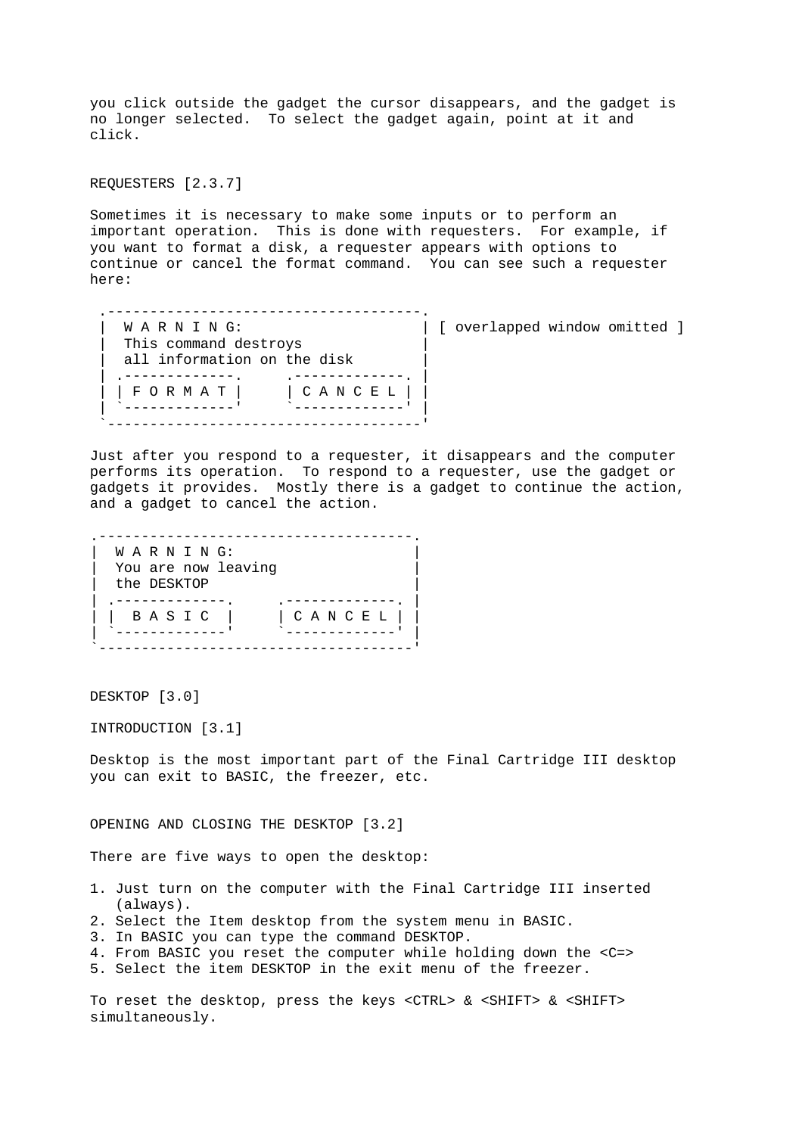you click outside the gadget the cursor disappears, and the gadget is no longer selected. To select the gadget again, point at it and click.

REQUESTERS [2.3.7]

Sometimes it is necessary to make some inputs or to perform an important operation. This is done with requesters. For example, if you want to format a disk, a requester appears with options to continue or cancel the format command. You can see such a requester here:

 .-------------------------------------. W A R N I N G:  $\vert$  [ overlapped window omitted ] This command destroys all information on the disk | .--------------. .<sup>--------------</sup>. | | F O R M A T | | C A N C E L | | | `-------------' `-------------' | `-------------------------------------'

Just after you respond to a requester, it disappears and the computer performs its operation. To respond to a requester, use the gadget or gadgets it provides. Mostly there is a gadget to continue the action, and a gadget to cancel the action.

.-------------------------------------. W A R N I N G: You are now leaving the DESKTOP | .-------------- .<br>| BASIC | | CANCEL | | | B A S I C | | C A N C E L | | | `-------------' `-------------' | `-------------------------------------'

DESKTOP [3.0]

INTRODUCTION [3.1]

Desktop is the most important part of the Final Cartridge III desktop you can exit to BASIC, the freezer, etc.

OPENING AND CLOSING THE DESKTOP [3.2]

There are five ways to open the desktop:

- 1. Just turn on the computer with the Final Cartridge III inserted (always).
- 2. Select the Item desktop from the system menu in BASIC.
- 3. In BASIC you can type the command DESKTOP.
- 4. From BASIC you reset the computer while holding down the <C=>
- 5. Select the item DESKTOP in the exit menu of the freezer.

To reset the desktop, press the keys <CTRL> & <SHIFT> & <SHIFT> simultaneously.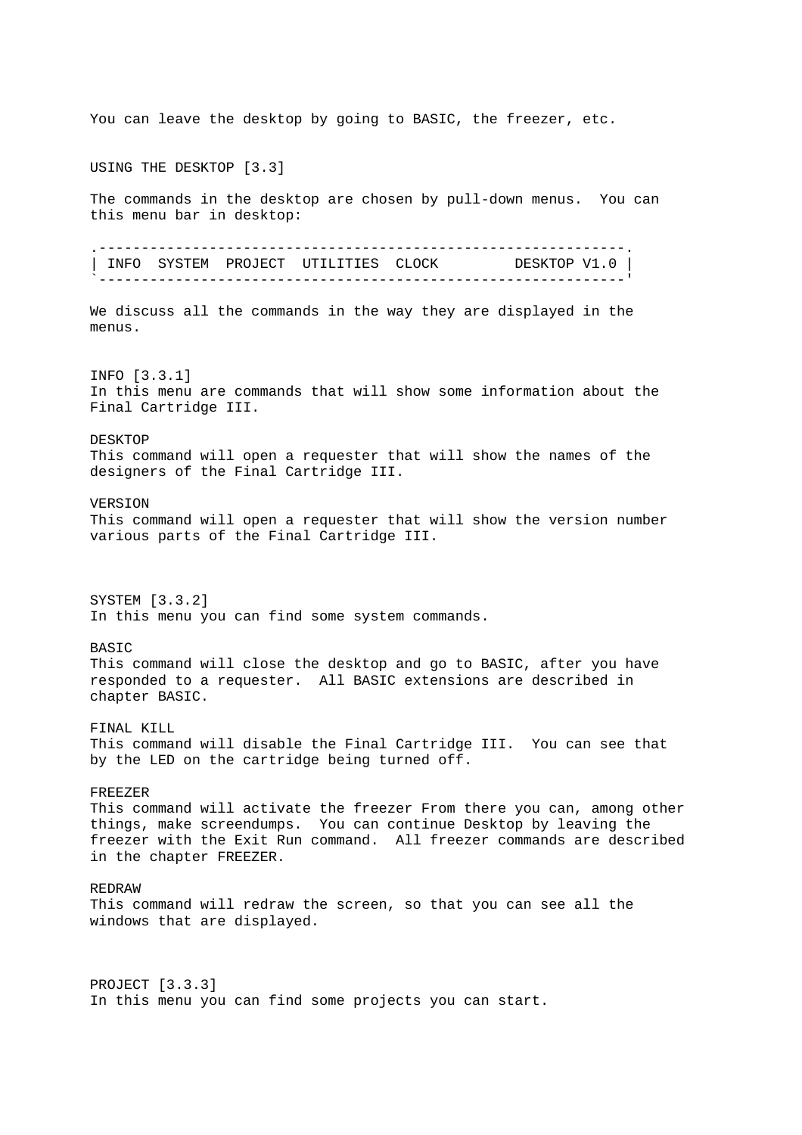You can leave the desktop by going to BASIC, the freezer, etc. USING THE DESKTOP [3.3] The commands in the desktop are chosen by pull-down menus. You can this menu bar in desktop: .--------------------------------------------------------------. | INFO SYSTEM PROJECT UTILITIES CLOCK DESKTOP V1.0 | `--------------------------------------------------------------' We discuss all the commands in the way they are displayed in the menus. INFO [3.3.1] In this menu are commands that will show some information about the Final Cartridge III. DESKTOP This command will open a requester that will show the names of the designers of the Final Cartridge III. VERSION This command will open a requester that will show the version number various parts of the Final Cartridge III. SYSTEM [3.3.2] In this menu you can find some system commands. BASIC This command will close the desktop and go to BASIC, after you have responded to a requester. All BASIC extensions are described in chapter BASIC. FINAL KILL This command will disable the Final Cartridge III. You can see that by the LED on the cartridge being turned off. FREEZER This command will activate the freezer From there you can, among other things, make screendumps. You can continue Desktop by leaving the freezer with the Exit Run command. All freezer commands are described in the chapter FREEZER. REDRAW This command will redraw the screen, so that you can see all the windows that are displayed. PROJECT [3.3.3] In this menu you can find some projects you can start.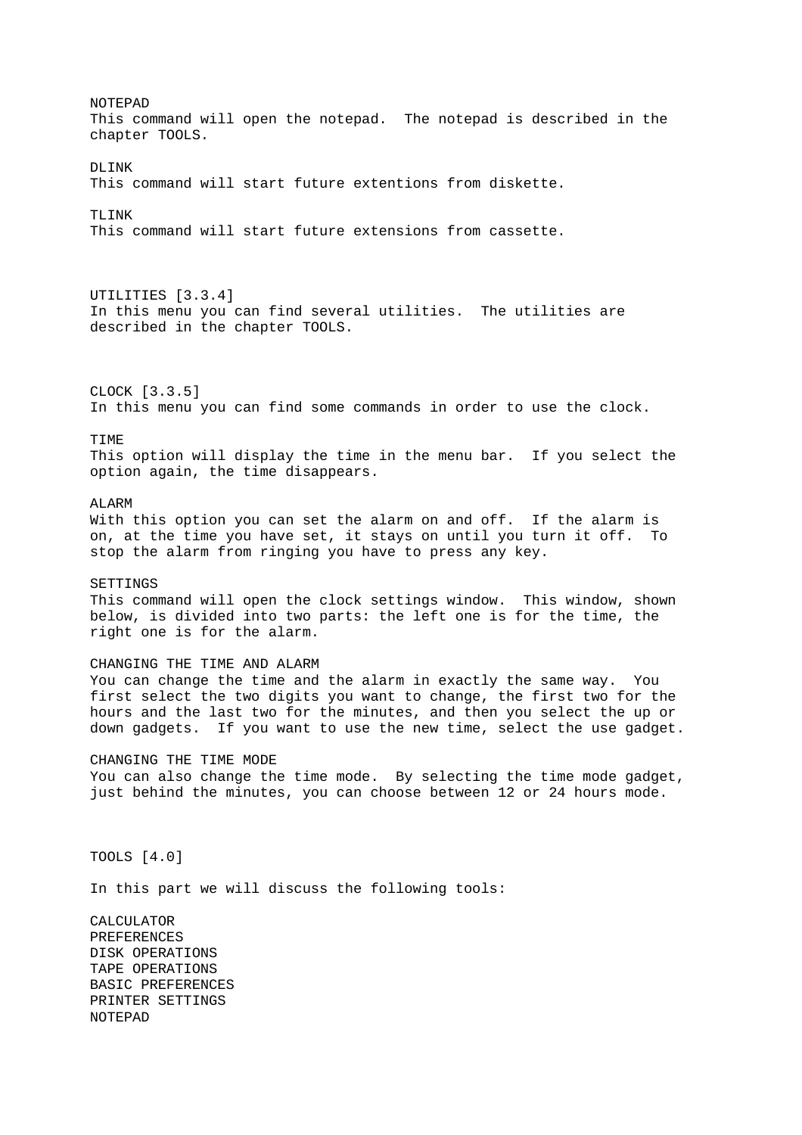NOTEPAD This command will open the notepad. The notepad is described in the chapter TOOLS. DLINK This command will start future extentions from diskette. TLINK This command will start future extensions from cassette. UTILITIES [3.3.4] In this menu you can find several utilities. The utilities are described in the chapter TOOLS. CLOCK [3.3.5] In this menu you can find some commands in order to use the clock. TIME This option will display the time in the menu bar. If you select the option again, the time disappears. ALARM With this option you can set the alarm on and off. If the alarm is on, at the time you have set, it stays on until you turn it off. To stop the alarm from ringing you have to press any key. **SETTINGS** This command will open the clock settings window. This window, shown below, is divided into two parts: the left one is for the time, the right one is for the alarm. CHANGING THE TIME AND ALARM You can change the time and the alarm in exactly the same way. You first select the two digits you want to change, the first two for the hours and the last two for the minutes, and then you select the up or down gadgets. If you want to use the new time, select the use gadget. CHANGING THE TIME MODE You can also change the time mode. By selecting the time mode gadget, just behind the minutes, you can choose between 12 or 24 hours mode. TOOLS [4.0] In this part we will discuss the following tools: CALCULATOR PREFERENCES DISK OPERATIONS TAPE OPERATIONS BASIC PREFERENCES PRINTER SETTINGS NOTEPAD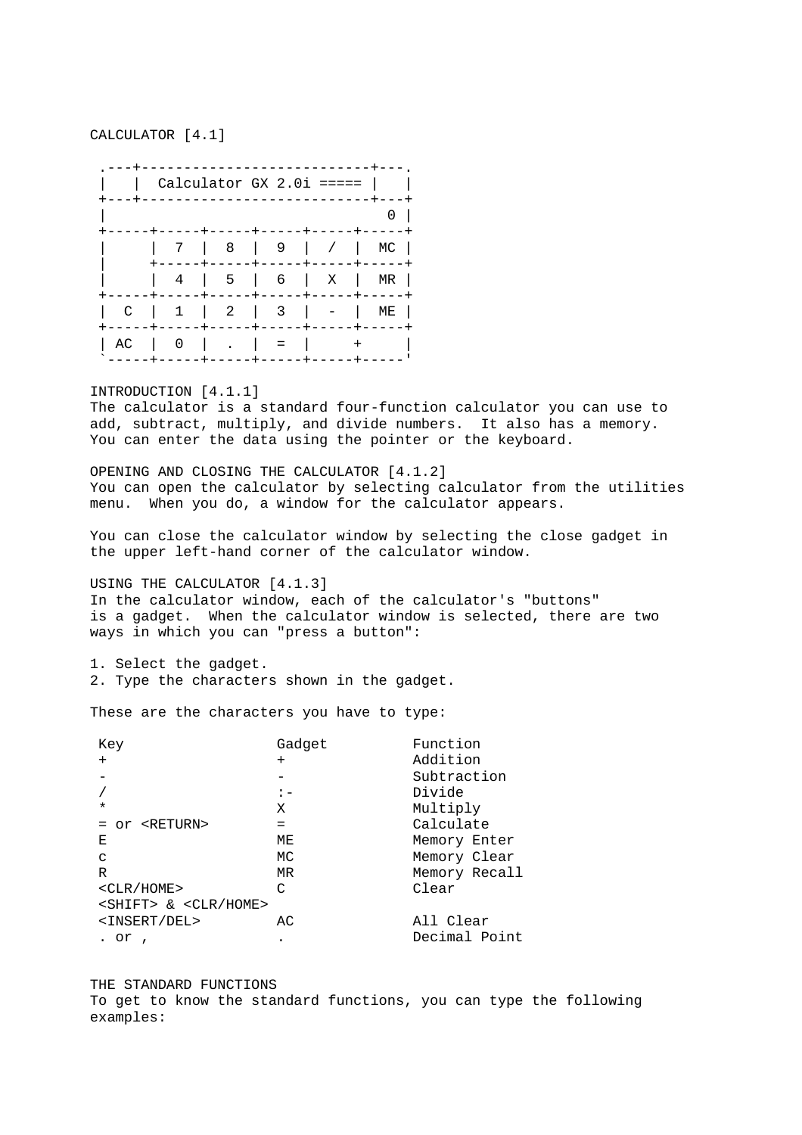CALCULATOR [4.1]

 .---+---------------------------+---. | | Calculator GX 2.0i ===== | | +---+---------------------------+---+  $| 0 |$  +-----+-----+-----+-----+-----+-----+ | | 7 | 8 | 9 | / | MC | | +-----+-----+-----+-----+-----+ | | 4 | 5 | 6 | X | MR | +-----+-----+-----+-----+-----+-----+ | C | 1 | 2 | 3 | - | ME | +-----+-----+-----+-----+-----+-----+ | AC | 0 | . | = | + `-----+-----+-----+-----+-----+-----'

INTRODUCTION [4.1.1]

The calculator is a standard four-function calculator you can use to add, subtract, multiply, and divide numbers. It also has a memory. You can enter the data using the pointer or the keyboard.

OPENING AND CLOSING THE CALCULATOR [4.1.2] You can open the calculator by selecting calculator from the utilities menu. When you do, a window for the calculator appears.

You can close the calculator window by selecting the close gadget in the upper left-hand corner of the calculator window.

USING THE CALCULATOR [4.1.3]

In the calculator window, each of the calculator's "buttons" is a gadget. When the calculator window is selected, there are two ways in which you can "press a button":

1. Select the gadget. 2. Type the characters shown in the gadget.

These are the characters you have to type:

| Key                                       | Gadget | Function      |
|-------------------------------------------|--------|---------------|
| $+$                                       | $^{+}$ | Addition      |
|                                           |        | Subtraction   |
|                                           |        | Divide        |
| $\star$                                   | Χ      | Multiply      |
| or <return></return>                      | $=$    | Calculate     |
| Е                                         | МE     | Memory Enter  |
| C                                         | MC.    | Memory Clear  |
| R                                         | MR     | Memory Recall |
| $<$ CLR/HOME>                             | C      | Clear         |
| <shift> &amp; <clr home=""></clr></shift> |        |               |
| <insert del=""></insert>                  | AC.    | All Clear     |
| or                                        |        | Decimal Point |

THE STANDARD FUNCTIONS To get to know the standard functions, you can type the following examples: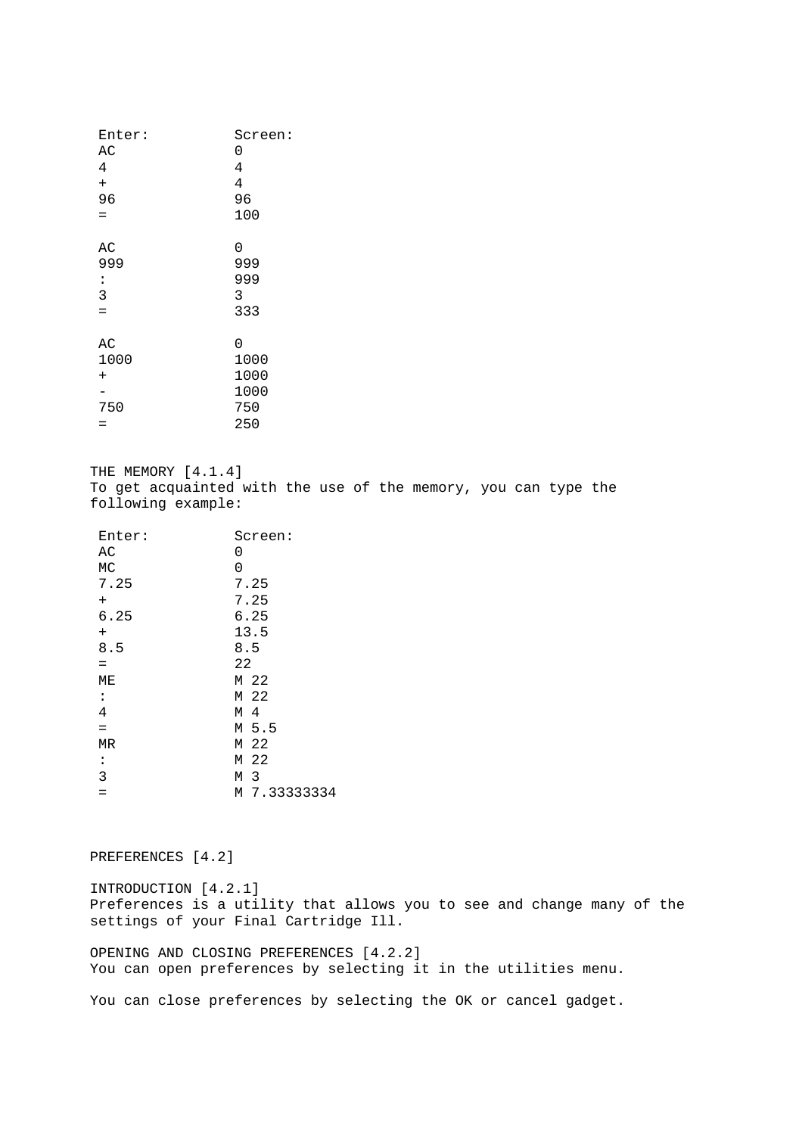| Enter:         | Screen:        |  |
|----------------|----------------|--|
| AC             | 0              |  |
| 4              | 4              |  |
| $^{+}$         | $\overline{4}$ |  |
| 96             | 96             |  |
| $=$            | 100            |  |
|                |                |  |
| AС             | 0              |  |
| 999            | 999            |  |
| $\ddot{\cdot}$ | 999            |  |
| 3              | 3              |  |
| $=$            | 333            |  |
|                |                |  |
| AC             | 0              |  |
| 1000           | 1000           |  |
| $^{+}$         | 1000           |  |
|                | 1000           |  |
| 750            | 750            |  |
| $=$            | 250            |  |
|                |                |  |

THE MEMORY [4.1.4] To get acquainted with the use of the memory, you can type the following example:

| Enter:         | Screen:      |  |
|----------------|--------------|--|
| AC             | 0            |  |
| MC             | 0            |  |
| 7.25           | 7.25         |  |
| $^{+}$         | 7.25         |  |
| 6.25           | 6.25         |  |
| $\overline{+}$ | 13.5         |  |
| 8.5            | 8.5          |  |
| $=$            | 22           |  |
| МE             | M 22         |  |
| $\ddot{\cdot}$ | M 22         |  |
| 4              | M 4          |  |
| $=$            | M 5.5        |  |
| ΜR             | M 22         |  |
| $\ddot{\cdot}$ | M 22         |  |
| 3              | M 3          |  |
| $=$            | M 7.33333334 |  |

# PREFERENCES [4.2]

INTRODUCTION [4.2.1] Preferences is a utility that allows you to see and change many of the settings of your Final Cartridge Ill.

OPENING AND CLOSING PREFERENCES [4.2.2] You can open preferences by selecting it in the utilities menu.

You can close preferences by selecting the OK or cancel gadget.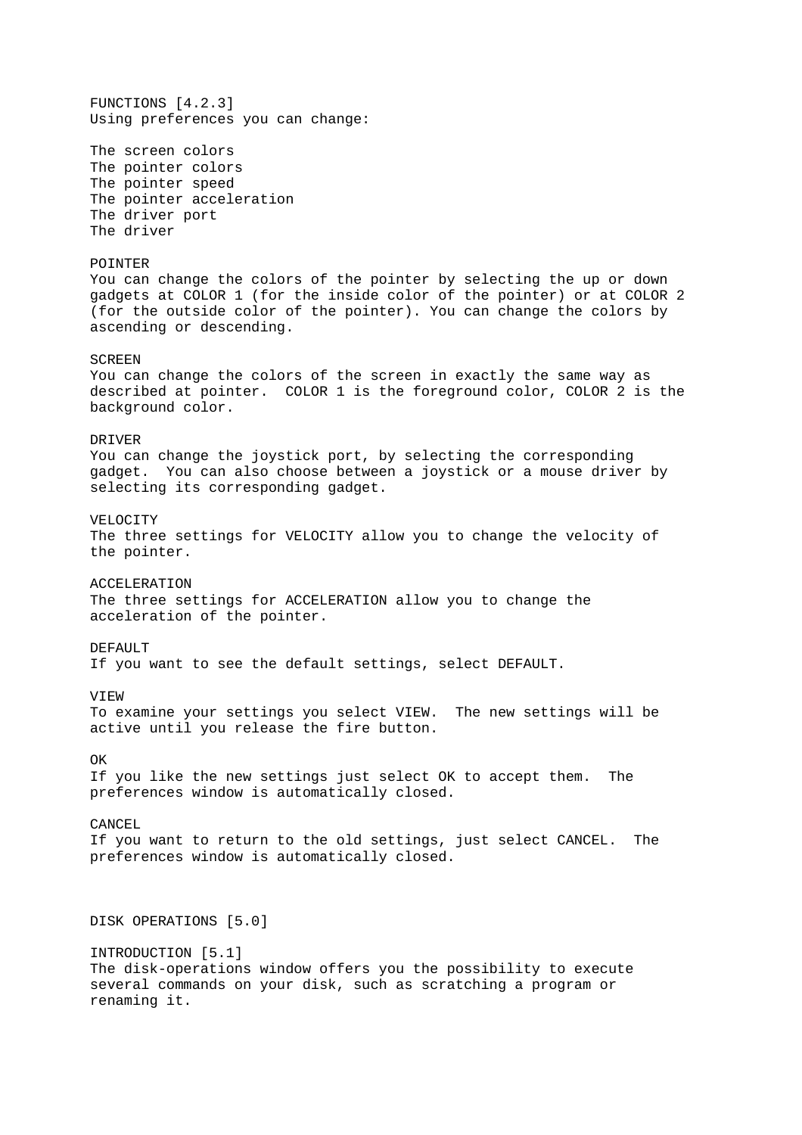FUNCTIONS [4.2.3] Using preferences you can change: The screen colors The pointer colors The pointer speed The pointer acceleration The driver port The driver POINTER You can change the colors of the pointer by selecting the up or down gadgets at COLOR 1 (for the inside color of the pointer) or at COLOR 2 (for the outside color of the pointer). You can change the colors by ascending or descending. SCREEN You can change the colors of the screen in exactly the same way as described at pointer. COLOR 1 is the foreground color, COLOR 2 is the background color. DRIVER You can change the joystick port, by selecting the corresponding gadget. You can also choose between a joystick or a mouse driver by selecting its corresponding gadget. VELOCITY The three settings for VELOCITY allow you to change the velocity of the pointer. ACCELERATION The three settings for ACCELERATION allow you to change the acceleration of the pointer. DEFAIILT If you want to see the default settings, select DEFAULT. VIEW To examine your settings you select VIEW. The new settings will be active until you release the fire button. OK If you like the new settings just select OK to accept them. The preferences window is automatically closed. CANCEL If you want to return to the old settings, just select CANCEL. The preferences window is automatically closed. DISK OPERATIONS [5.0] INTRODUCTION [5.1] The disk-operations window offers you the possibility to execute several commands on your disk, such as scratching a program or renaming it.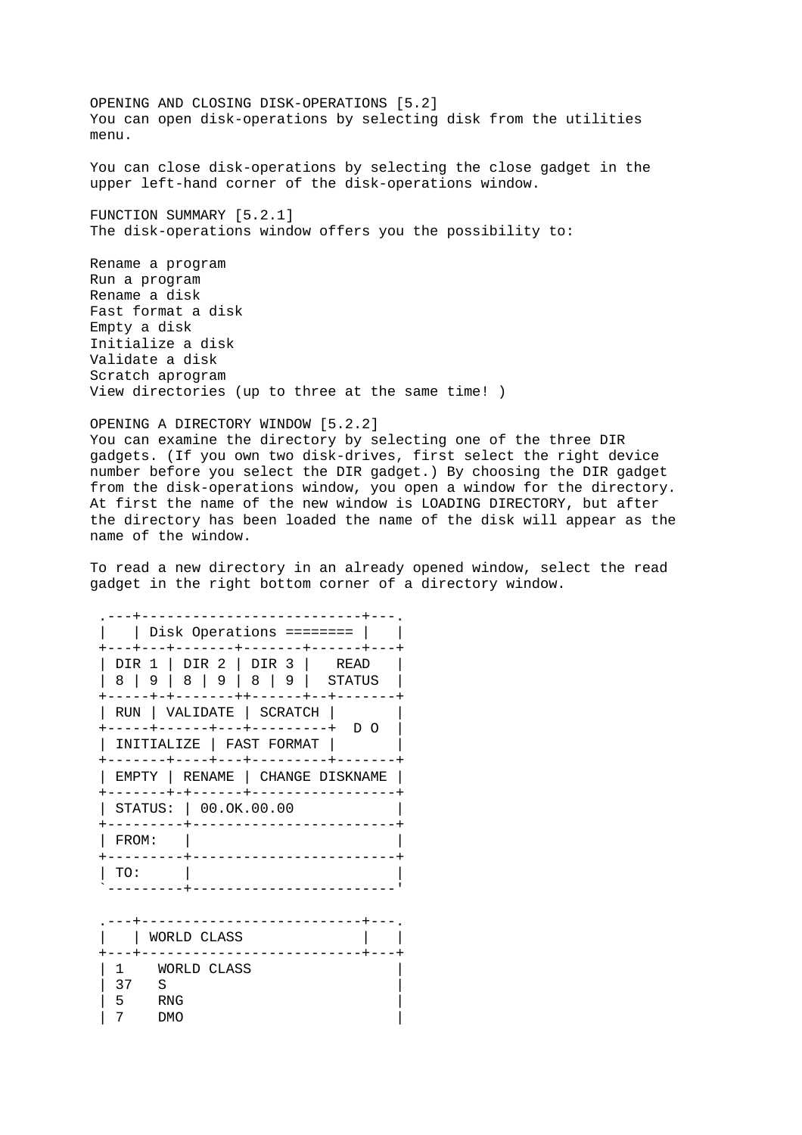OPENING AND CLOSING DISK-OPERATIONS [5.2] You can open disk-operations by selecting disk from the utilities menu.

You can close disk-operations by selecting the close gadget in the upper left-hand corner of the disk-operations window.

FUNCTION SUMMARY [5.2.1] The disk-operations window offers you the possibility to:

Rename a program Run a program Rename a disk Fast format a disk Empty a disk Initialize a disk Validate a disk Scratch aprogram View directories (up to three at the same time! )

OPENING A DIRECTORY WINDOW [5.2.2] You can examine the directory by selecting one of the three DIR gadgets. (If you own two disk-drives, first select the right device number before you select the DIR gadget.) By choosing the DIR gadget from the disk-operations window, you open a window for the directory. At first the name of the new window is LOADING DIRECTORY, but after the directory has been loaded the name of the disk will appear as the name of the window.

To read a new directory in an already opened window, select the read gadget in the right bottom corner of a directory window.

| $Disk$ Operations ========             |  |  |  |  |
|----------------------------------------|--|--|--|--|
|                                        |  |  |  |  |
| DIR 2   DIR 3  <br>READ<br>DIR 1       |  |  |  |  |
| 819<br>- 8<br>8<br>-9<br>- 9<br>STATUS |  |  |  |  |
|                                        |  |  |  |  |
| VALIDATE   SCRATCH<br>RUN              |  |  |  |  |
| ח ח                                    |  |  |  |  |
| INITIALIZE   FAST FORMAT               |  |  |  |  |
| EMPTY   RENAME   CHANGE DISKNAME       |  |  |  |  |
| STATUS: 00.0K.00.00                    |  |  |  |  |
| FROM:                                  |  |  |  |  |
| TO:                                    |  |  |  |  |

|    | WORLD CLASS       |  |
|----|-------------------|--|
| 37 | WORLD CLASS<br>S  |  |
| ∽  | <b>RNG</b><br>DMO |  |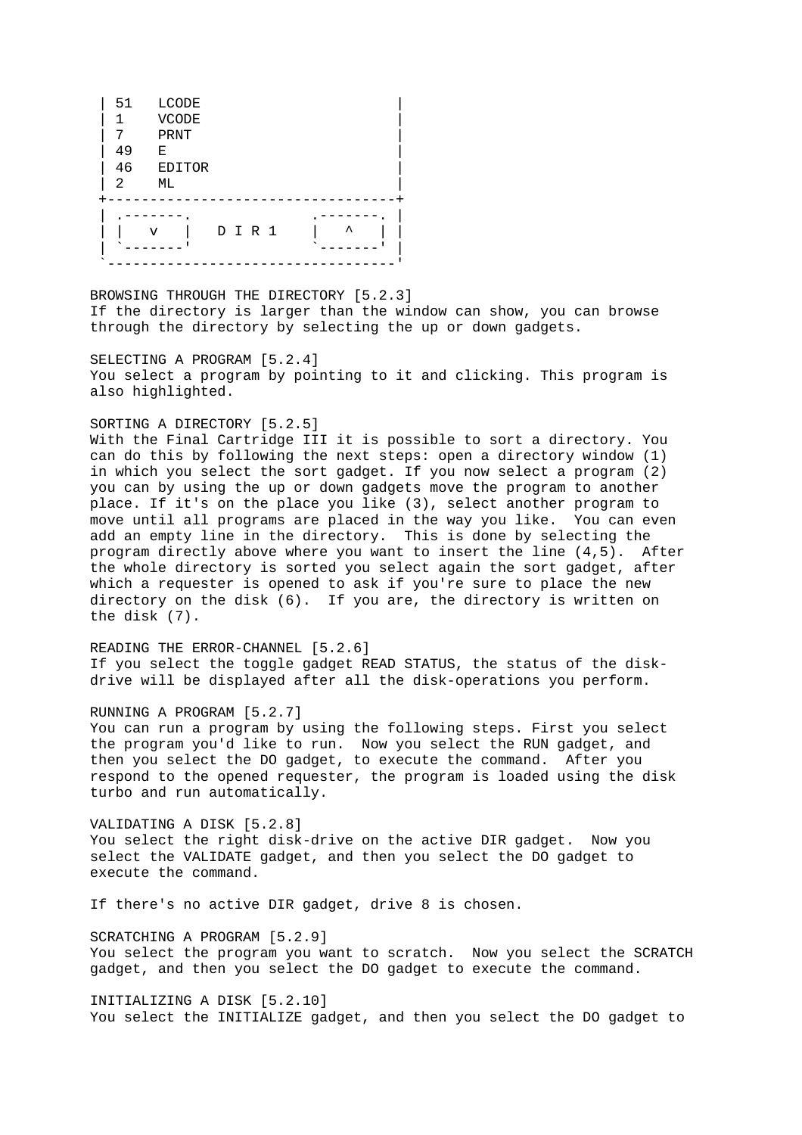| 51 | <b>LCODE</b>      |
|----|-------------------|
| 1  | <b>VCODE</b>      |
| 7  | PRNT              |
| 49 | Е                 |
| 46 | <b>EDITOR</b>     |
| 2  | МL                |
|    |                   |
|    |                   |
|    | ᄉ<br>D I R 1<br>v |
|    |                   |
|    |                   |

BROWSING THROUGH THE DIRECTORY [5.2.3] If the directory is larger than the window can show, you can browse through the directory by selecting the up or down gadgets.

SELECTING A PROGRAM [5.2.4] You select a program by pointing to it and clicking. This program is also highlighted.

# SORTING A DIRECTORY [5.2.5]

With the Final Cartridge III it is possible to sort a directory. You can do this by following the next steps: open a directory window (1) in which you select the sort gadget. If you now select a program (2) you can by using the up or down gadgets move the program to another place. If it's on the place you like (3), select another program to move until all programs are placed in the way you like. You can even add an empty line in the directory. This is done by selecting the program directly above where you want to insert the line (4,5). After the whole directory is sorted you select again the sort gadget, after which a requester is opened to ask if you're sure to place the new directory on the disk (6). If you are, the directory is written on the disk (7).

READING THE ERROR-CHANNEL [5.2.6] If you select the toggle gadget READ STATUS, the status of the diskdrive will be displayed after all the disk-operations you perform.

#### RUNNING A PROGRAM [5.2.7]

You can run a program by using the following steps. First you select the program you'd like to run. Now you select the RUN gadget, and then you select the DO gadget, to execute the command. After you respond to the opened requester, the program is loaded using the disk turbo and run automatically.

VALIDATING A DISK [5.2.8] You select the right disk-drive on the active DIR gadget. Now you select the VALIDATE gadget, and then you select the DO gadget to execute the command.

If there's no active DIR gadget, drive 8 is chosen.

SCRATCHING A PROGRAM [5.2.9] You select the program you want to scratch. Now you select the SCRATCH gadget, and then you select the DO gadget to execute the command.

INITIALIZING A DISK [5.2.10] You select the INITIALIZE gadget, and then you select the DO gadget to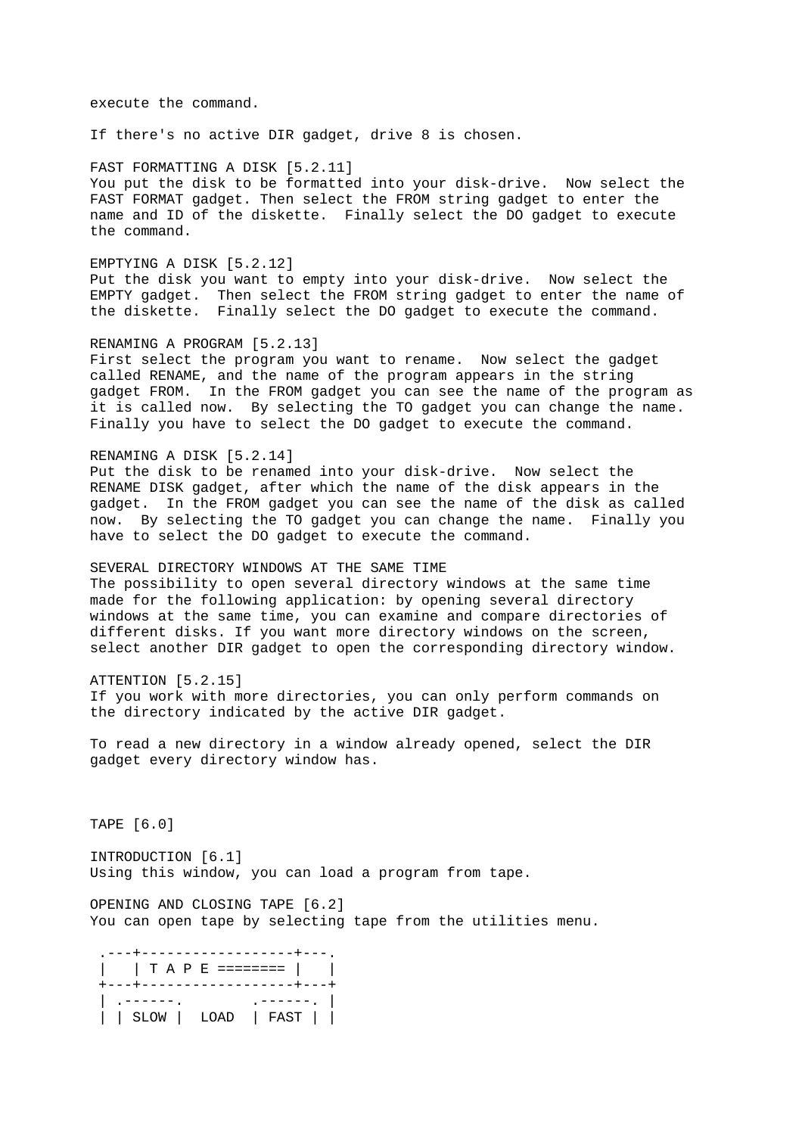execute the command.

If there's no active DIR gadget, drive 8 is chosen.

FAST FORMATTING A DISK [5.2.11] You put the disk to be formatted into your disk-drive. Now select the FAST FORMAT gadget. Then select the FROM string gadget to enter the name and ID of the diskette. Finally select the DO gadget to execute the command.

EMPTYING A DISK [5.2.12] Put the disk you want to empty into your disk-drive. Now select the EMPTY gadget. Then select the FROM string gadget to enter the name of the diskette. Finally select the DO gadget to execute the command.

RENAMING A PROGRAM [5.2.13] First select the program you want to rename. Now select the gadget called RENAME, and the name of the program appears in the string gadget FROM. In the FROM gadget you can see the name of the program as it is called now. By selecting the TO gadget you can change the name. Finally you have to select the DO gadget to execute the command.

## RENAMING A DISK [5.2.14]

Put the disk to be renamed into your disk-drive. Now select the RENAME DISK gadget, after which the name of the disk appears in the gadget. In the FROM gadget you can see the name of the disk as called now. By selecting the TO gadget you can change the name. Finally you have to select the DO gadget to execute the command.

SEVERAL DIRECTORY WINDOWS AT THE SAME TIME The possibility to open several directory windows at the same time made for the following application: by opening several directory windows at the same time, you can examine and compare directories of different disks. If you want more directory windows on the screen, select another DIR gadget to open the corresponding directory window.

ATTENTION [5.2.15] If you work with more directories, you can only perform commands on the directory indicated by the active DIR gadget.

To read a new directory in a window already opened, select the DIR gadget every directory window has.

TAPE [6.0]

INTRODUCTION [6.1] Using this window, you can load a program from tape.

OPENING AND CLOSING TAPE [6.2] You can open tape by selecting tape from the utilities menu.

| T A P E ========      | ------------------ | - - - - - - - - - |
|-----------------------|--------------------|-------------------|
| ------<br>SLOW   LOAD |                    | FAST              |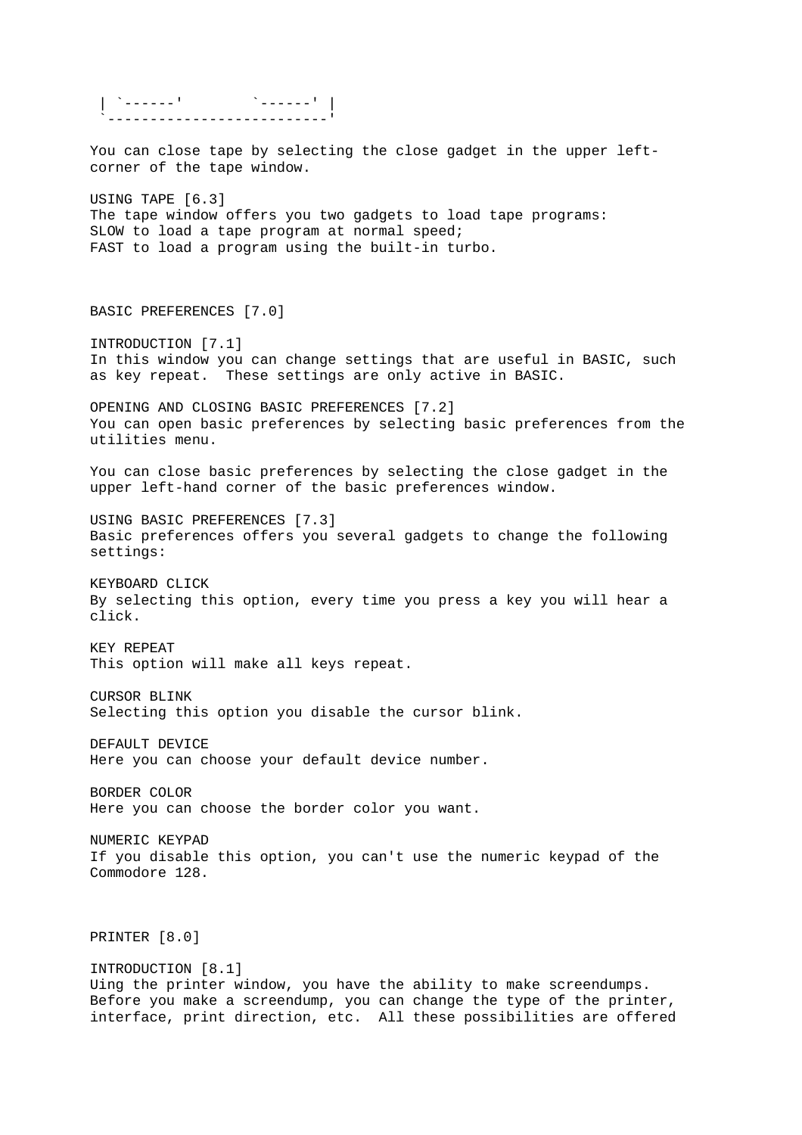| `------' `------' | `--------------------------' You can close tape by selecting the close gadget in the upper leftcorner of the tape window. USING TAPE [6.3] The tape window offers you two gadgets to load tape programs: SLOW to load a tape program at normal speed; FAST to load a program using the built-in turbo. BASIC PREFERENCES [7.0] INTRODUCTION [7.1] In this window you can change settings that are useful in BASIC, such as key repeat. These settings are only active in BASIC. OPENING AND CLOSING BASIC PREFERENCES [7.2] You can open basic preferences by selecting basic preferences from the utilities menu. You can close basic preferences by selecting the close gadget in the upper left-hand corner of the basic preferences window. USING BASIC PREFERENCES [7.3] Basic preferences offers you several gadgets to change the following settings: KEYBOARD CLICK By selecting this option, every time you press a key you will hear a click. KEY REPEAT This option will make all keys repeat. CURSOR BLINK Selecting this option you disable the cursor blink. DEFAULT DEVICE Here you can choose your default device number. BORDER COLOR Here you can choose the border color you want. NUMERIC KEYPAD If you disable this option, you can't use the numeric keypad of the Commodore 128. PRINTER [8.0] INTRODUCTION [8.1] Uing the printer window, you have the ability to make screendumps. Before you make a screendump, you can change the type of the printer, interface, print direction, etc. All these possibilities are offered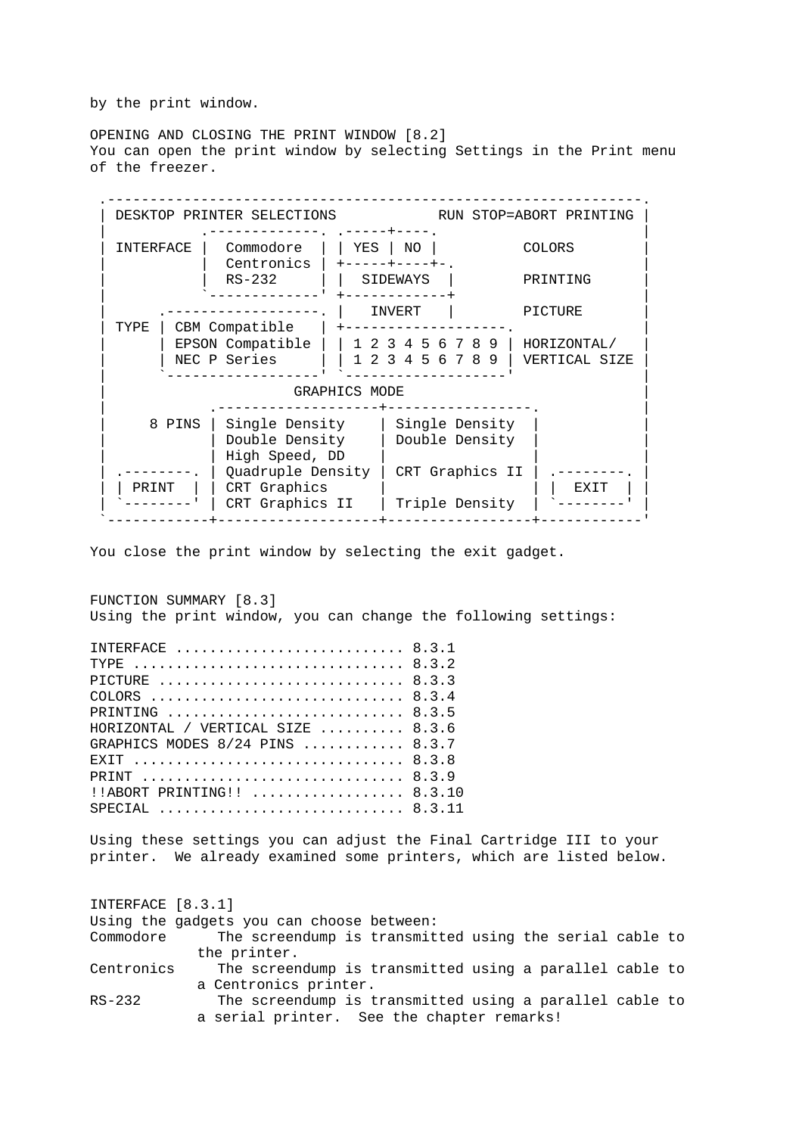by the print window.

OPENING AND CLOSING THE PRINT WINDOW [8.2] You can open the print window by selecting Settings in the Print menu of the freezer.



You close the print window by selecting the exit gadget.

FUNCTION SUMMARY [8.3] Using the print window, you can change the following settings: INTERFACE ........................... 8.3.1 TYPE .................................. 8.3.2 PICTURE ................................ 8.3.3 COLORS .............................. 8.3.4 PRINTING .............................. 8.3.5 HORIZONTAL / VERTICAL SIZE .......... 8.3.6 GRAPHICS MODES 8/24 PINS ............ 8.3.7 EXIT ................................... 8.3.8 PRINT ................................... 8.3.9 !!ABORT PRINTING!! ................... 8.3.10 SPECIAL ................................. 8.3.11 Using these settings you can adjust the Final Cartridge III to your printer. We already examined some printers, which are listed below. INTERFACE [8.3.1] Using the gadgets you can choose between: Commodore The screendump is transmitted using the serial cable to the printer. Centronics The screendump is transmitted using a parallel cable to a Centronics printer.

RS-232 The screendump is transmitted using a parallel cable to a serial printer. See the chapter remarks!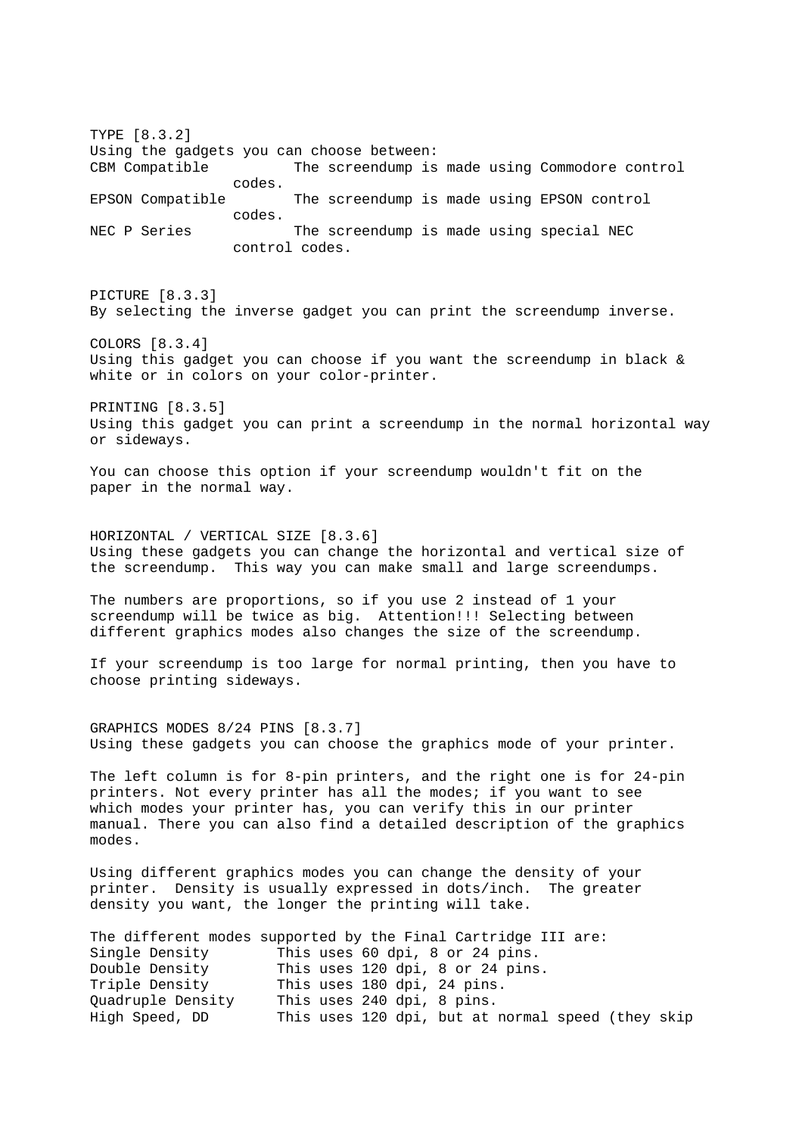TYPE [8.3.2] Using the gadgets you can choose between: CBM Compatible The screendump is made using Commodore control codes. EPSON Compatible The screendump is made using EPSON control codes. NEC P Series The screendump is made using special NEC control codes. PICTURE [8.3.3] By selecting the inverse gadget you can print the screendump inverse. COLORS [8.3.4] Using this gadget you can choose if you want the screendump in black  $\&$ white or in colors on your color-printer. PRINTING [8.3.5] Using this gadget you can print a screendump in the normal horizontal way or sideways. You can choose this option if your screendump wouldn't fit on the paper in the normal way. HORIZONTAL / VERTICAL SIZE [8.3.6] Using these gadgets you can change the horizontal and vertical size of the screendump. This way you can make small and large screendumps. The numbers are proportions, so if you use 2 instead of 1 your screendump will be twice as big. Attention!!! Selecting between different graphics modes also changes the size of the screendump. If your screendump is too large for normal printing, then you have to choose printing sideways. GRAPHICS MODES 8/24 PINS [8.3.7] Using these gadgets you can choose the graphics mode of your printer. The left column is for 8-pin printers, and the right one is for 24-pin printers. Not every printer has all the modes; if you want to see which modes your printer has, you can verify this in our printer manual. There you can also find a detailed description of the graphics modes. Using different graphics modes you can change the density of your printer. Density is usually expressed in dots/inch. The greater density you want, the longer the printing will take. The different modes supported by the Final Cartridge III are: Single Density This uses 60 dpi, 8 or 24 pins. Double Density This uses 120 dpi, 8 or 24 pins. Triple Density This uses 180 dpi, 24 pins. Quadruple Density This uses 240 dpi, 8 pins. High Speed, DD This uses 120 dpi, but at normal speed (they skip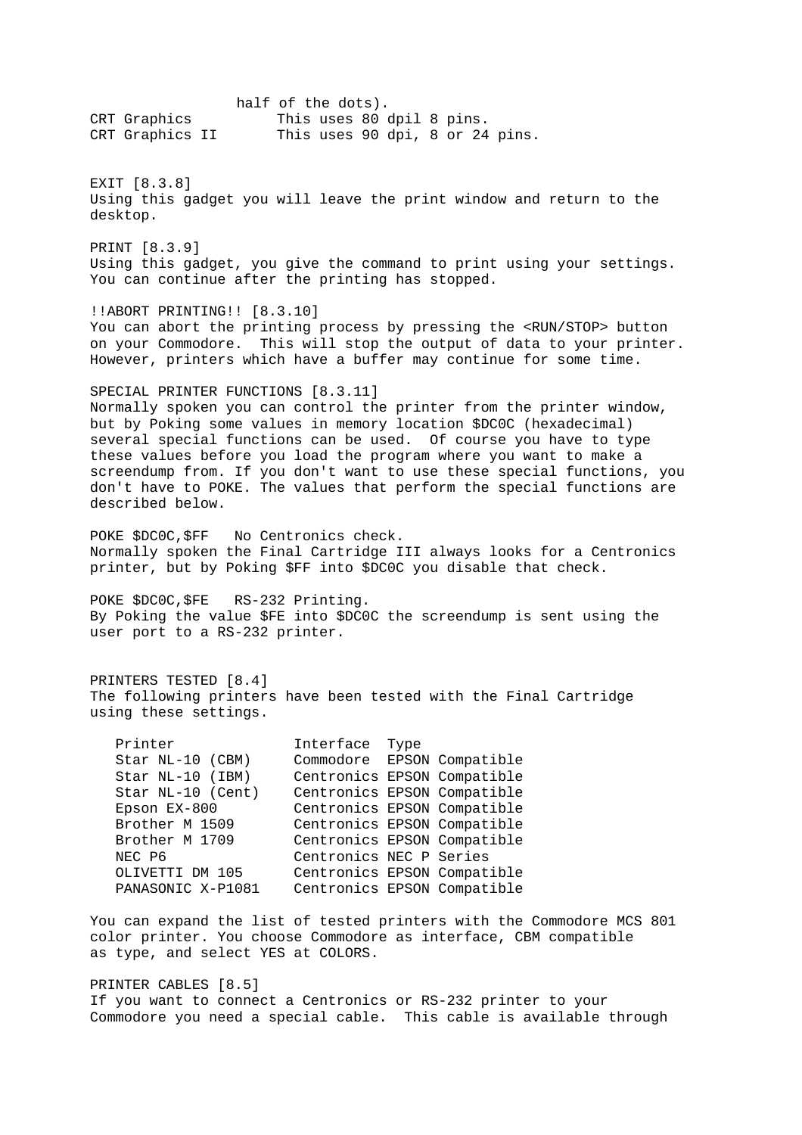half of the dots). CRT Graphics This uses 80 dpil 8 pins. CRT Graphics II This uses 90 dpi, 8 or 24 pins. EXIT [8.3.8] Using this gadget you will leave the print window and return to the desktop. PRINT [8.3.9] Using this gadget, you give the command to print using your settings. You can continue after the printing has stopped. !!ABORT PRINTING!! [8.3.10] You can abort the printing process by pressing the <RUN/STOP> button on your Commodore. This will stop the output of data to your printer. However, printers which have a buffer may continue for some time. SPECIAL PRINTER FUNCTIONS [8.3.11] Normally spoken you can control the printer from the printer window, but by Poking some values in memory location \$DC0C (hexadecimal) several special functions can be used. Of course you have to type these values before you load the program where you want to make a screendump from. If you don't want to use these special functions, you don't have to POKE. The values that perform the special functions are described below. POKE \$DC0C,\$FF No Centronics check. Normally spoken the Final Cartridge III always looks for a Centronics printer, but by Poking \$FF into \$DC0C you disable that check. POKE \$DC0C,\$FE RS-232 Printing. By Poking the value \$FE into \$DC0C the screendump is sent using the user port to a RS-232 printer. PRINTERS TESTED [8.4] The following printers have been tested with the Final Cartridge using these settings. Printer **Interface** Type Star NL-10 (CBM) Commodore EPSON Compatible Star NL-10 (IBM) Centronics EPSON Compatible Star NL-10 (Cent) Centronics EPSON Compatible Epson EX-800 Centronics EPSON Compatible Brother M 1509 Centronics EPSON Compatible Brother M 1709 Centronics EPSON Compatible NEC P6 Centronics NEC P Series OLIVETTI DM 105 Centronics EPSON Compatible PANASONIC X-P1081 Centronics EPSON Compatible You can expand the list of tested printers with the Commodore MCS 801 color printer. You choose Commodore as interface, CBM compatible as type, and select YES at COLORS. PRINTER CABLES [8.5]

If you want to connect a Centronics or RS-232 printer to your Commodore you need a special cable. This cable is available through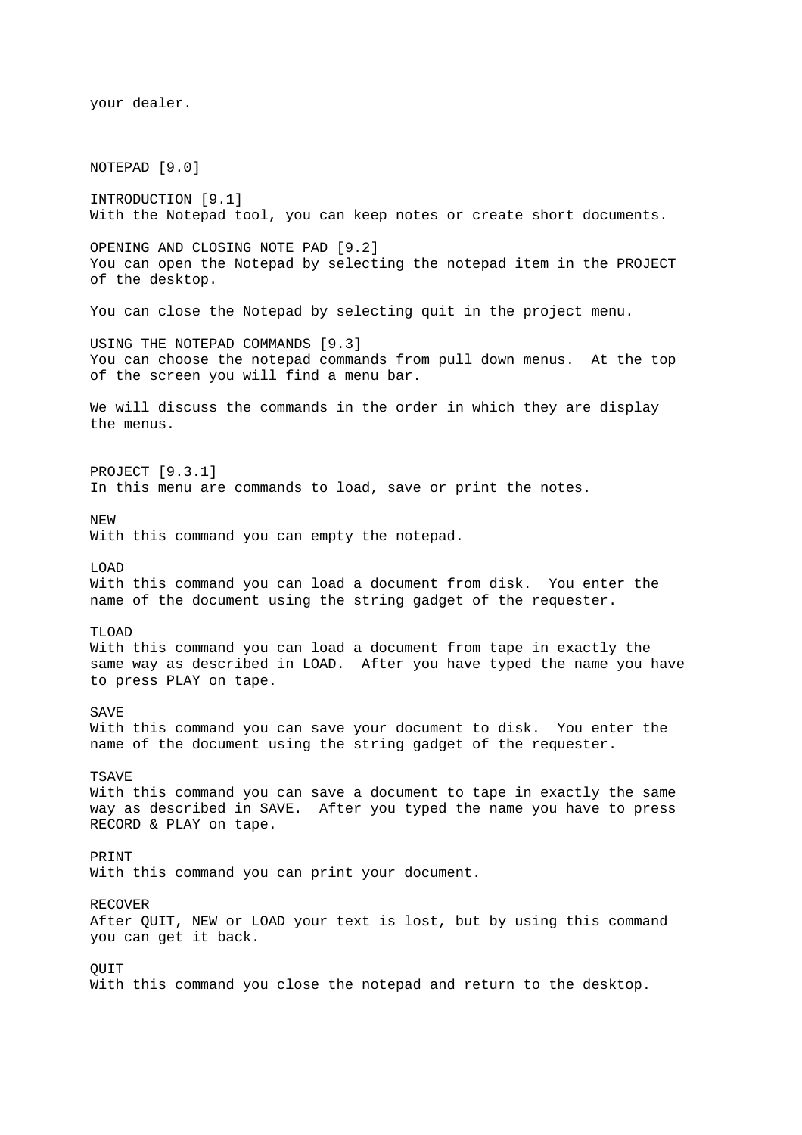your dealer. NOTEPAD [9.0] INTRODUCTION [9.1] With the Notepad tool, you can keep notes or create short documents. OPENING AND CLOSING NOTE PAD [9.2] You can open the Notepad by selecting the notepad item in the PROJECT of the desktop. You can close the Notepad by selecting quit in the project menu. USING THE NOTEPAD COMMANDS [9.3] You can choose the notepad commands from pull down menus. At the top of the screen you will find a menu bar. We will discuss the commands in the order in which they are display the menus. PROJECT [9.3.1] In this menu are commands to load, save or print the notes. NEW With this command you can empty the notepad. LOAD With this command you can load a document from disk. You enter the name of the document using the string gadget of the requester. TLOAD With this command you can load a document from tape in exactly the same way as described in LOAD. After you have typed the name you have to press PLAY on tape. **SAVE** With this command you can save your document to disk. You enter the name of the document using the string gadget of the requester. TSAVE With this command you can save a document to tape in exactly the same way as described in SAVE. After you typed the name you have to press RECORD & PLAY on tape. PRINT With this command you can print your document. RECOVER After QUIT, NEW or LOAD your text is lost, but by using this command you can get it back. **OUIT** With this command you close the notepad and return to the desktop.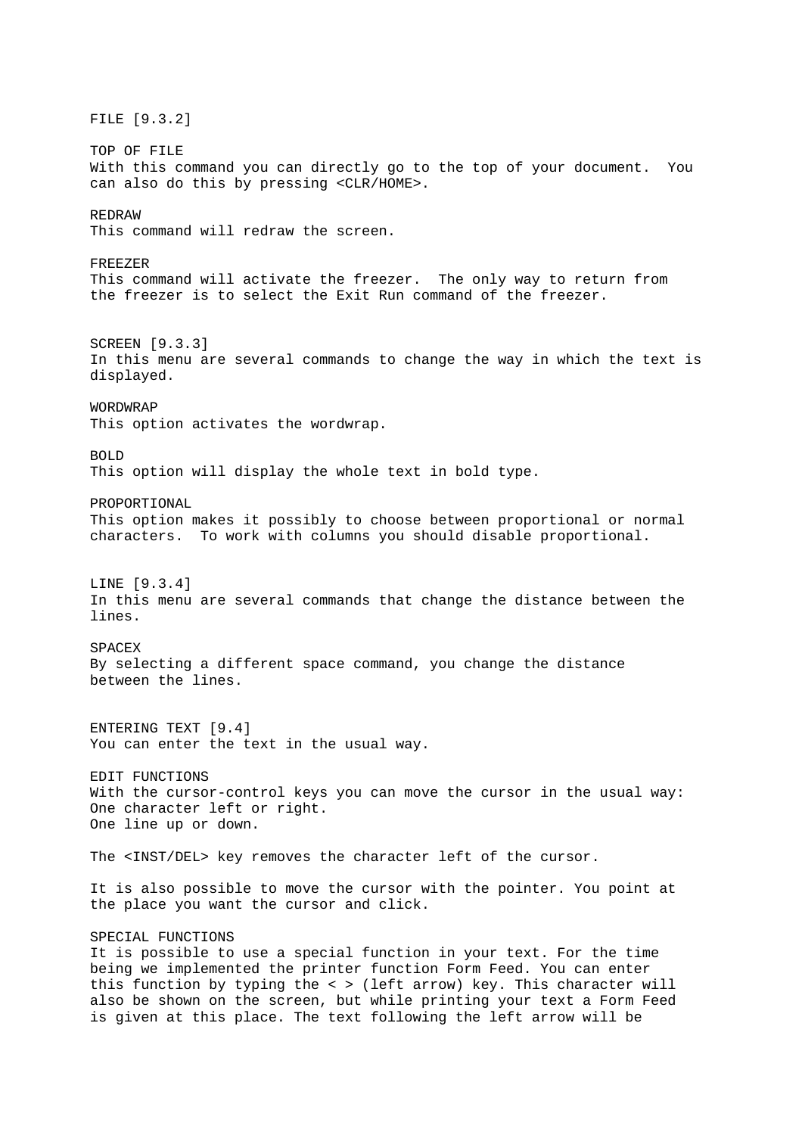FILE [9.3.2] TOP OF FILE With this command you can directly go to the top of your document. You can also do this by pressing <CLR/HOME>. REDRAW This command will redraw the screen. FREEZER This command will activate the freezer. The only way to return from the freezer is to select the Exit Run command of the freezer. SCREEN [9.3.3] In this menu are several commands to change the way in which the text is displayed. WORDWRAP This option activates the wordwrap.  $BOT.D$ This option will display the whole text in bold type. PROPORTIONAL This option makes it possibly to choose between proportional or normal characters. To work with columns you should disable proportional. LINE [9.3.4] In this menu are several commands that change the distance between the lines. **SPACEX** By selecting a different space command, you change the distance between the lines. ENTERING TEXT [9.4] You can enter the text in the usual way. EDIT FUNCTIONS With the cursor-control keys you can move the cursor in the usual way: One character left or right. One line up or down. The <INST/DEL> key removes the character left of the cursor. It is also possible to move the cursor with the pointer. You point at the place you want the cursor and click. SPECIAL FUNCTIONS It is possible to use a special function in your text. For the time being we implemented the printer function Form Feed. You can enter this function by typing the < > (left arrow) key. This character will also be shown on the screen, but while printing your text a Form Feed

is given at this place. The text following the left arrow will be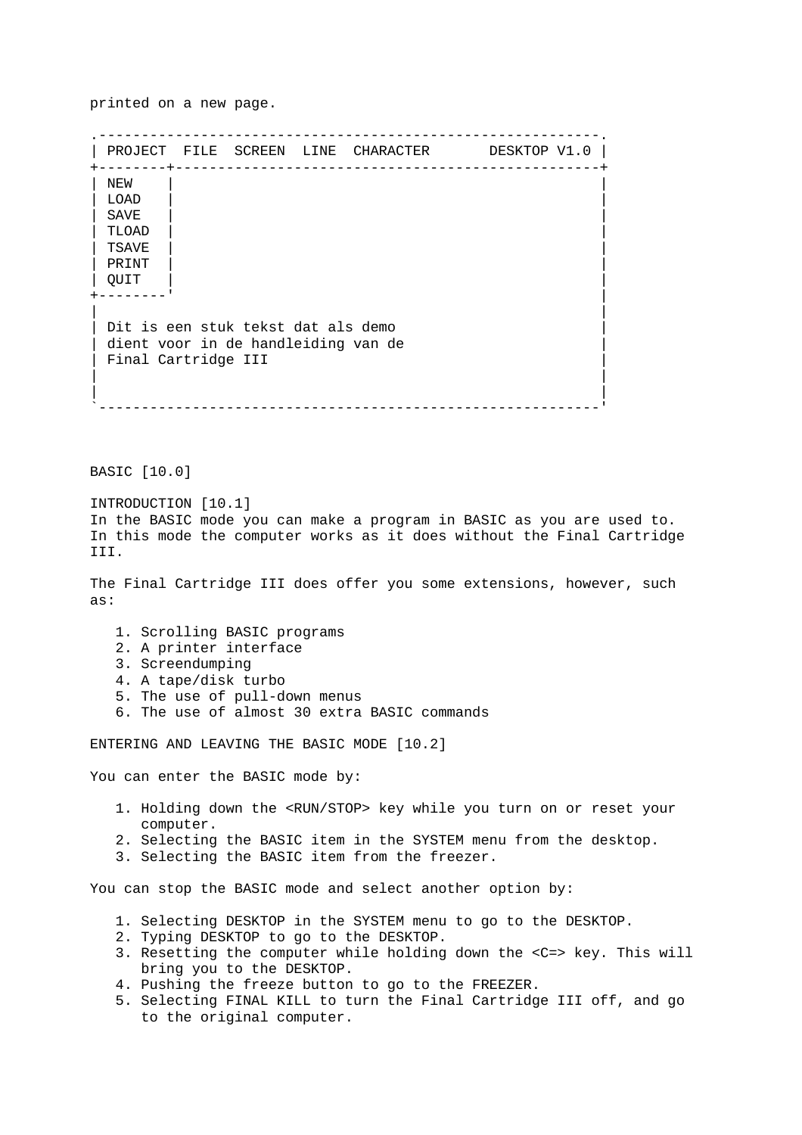printed on a new page.

.-----------------------------------------------------------. | PROJECT FILE SCREEN LINE CHARACTER DESKTOP V1.0 | +--------+--------------------------------------------------+ | NEW | | | LOAD | | | SAVE | | | TLOAD | | | TSAVE | | | PRINT | | | QUIT | | +--------' | | | Dit is een stuk tekst dat als demo dient voor in de handleiding van de | Final Cartridge III | | | | | `-----------------------------------------------------------'

BASIC [10.0]

INTRODUCTION [10.1] In the BASIC mode you can make a program in BASIC as you are used to. In this mode the computer works as it does without the Final Cartridge III.

The Final Cartridge III does offer you some extensions, however, such as:

- 1. Scrolling BASIC programs
- 2. A printer interface
- 3. Screendumping
- 4. A tape/disk turbo
- 5. The use of pull-down menus
- 6. The use of almost 30 extra BASIC commands

ENTERING AND LEAVING THE BASIC MODE [10.2]

You can enter the BASIC mode by:

- 1. Holding down the <RUN/STOP> key while you turn on or reset your computer.
- 2. Selecting the BASIC item in the SYSTEM menu from the desktop.
- 3. Selecting the BASIC item from the freezer.

You can stop the BASIC mode and select another option by:

- 1. Selecting DESKTOP in the SYSTEM menu to go to the DESKTOP.
- 2. Typing DESKTOP to go to the DESKTOP.
- 3. Resetting the computer while holding down the <C=> key. This will bring you to the DESKTOP.
- 4. Pushing the freeze button to go to the FREEZER.
- 5. Selecting FINAL KILL to turn the Final Cartridge III off, and go to the original computer.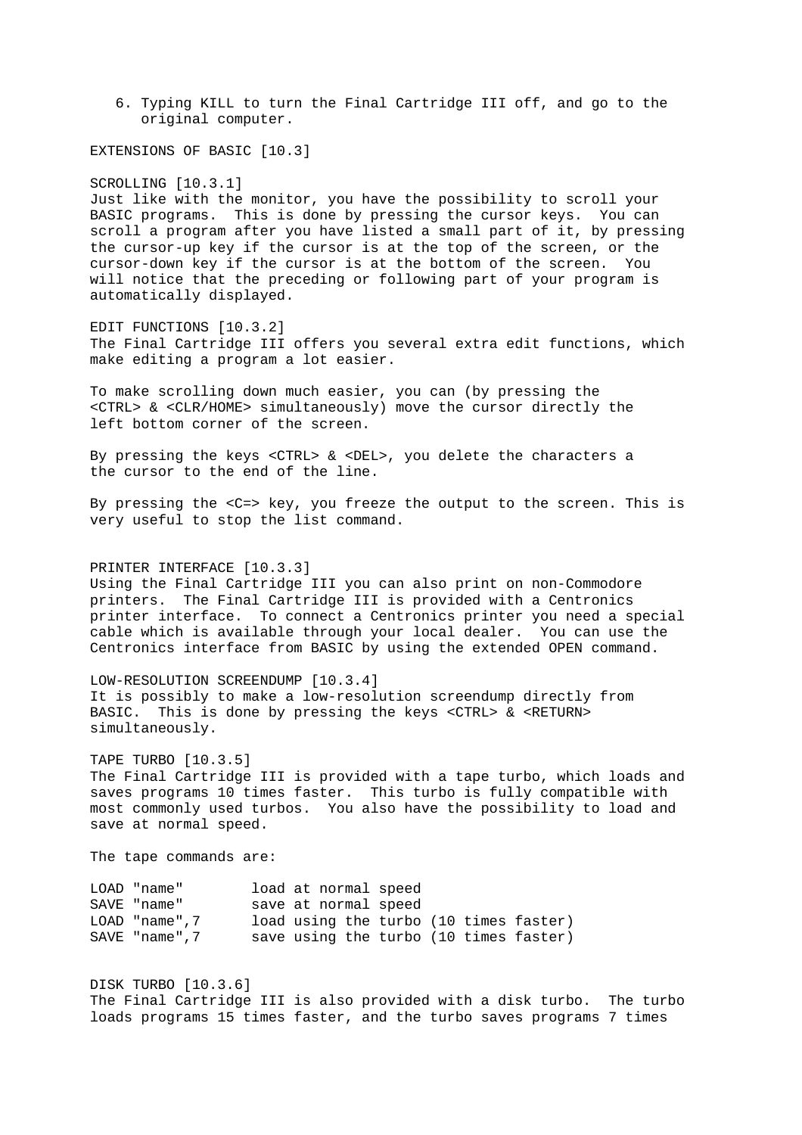6. Typing KILL to turn the Final Cartridge III off, and go to the original computer.

EXTENSIONS OF BASIC [10.3]

SCROLLING [10.3.1]

Just like with the monitor, you have the possibility to scroll your BASIC programs. This is done by pressing the cursor keys. You can scroll a program after you have listed a small part of it, by pressing the cursor-up key if the cursor is at the top of the screen, or the cursor-down key if the cursor is at the bottom of the screen. You will notice that the preceding or following part of your program is automatically displayed.

EDIT FUNCTIONS [10.3.2] The Final Cartridge III offers you several extra edit functions, which make editing a program a lot easier.

To make scrolling down much easier, you can (by pressing the <CTRL> & <CLR/HOME> simultaneously) move the cursor directly the left bottom corner of the screen.

By pressing the keys <CTRL> & <DEL>, you delete the characters a the cursor to the end of the line.

By pressing the <C=> key, you freeze the output to the screen. This is very useful to stop the list command.

PRINTER INTERFACE [10.3.3]

Using the Final Cartridge III you can also print on non-Commodore printers. The Final Cartridge III is provided with a Centronics printer interface. To connect a Centronics printer you need a special cable which is available through your local dealer. You can use the Centronics interface from BASIC by using the extended OPEN command.

LOW-RESOLUTION SCREENDUMP [10.3.4] It is possibly to make a low-resolution screendump directly from BASIC. This is done by pressing the keys <CTRL> & <RETURN> simultaneously.

TAPE TURBO [10.3.5] The Final Cartridge III is provided with a tape turbo, which loads and saves programs 10 times faster. This turbo is fully compatible with most commonly used turbos. You also have the possibility to load and save at normal speed.

The tape commands are:

LOAD "name" load at normal speed SAVE "name" save at normal speed LOAD "name",7 load using the turbo (10 times faster)<br>SAVE "name".7 save using the turbo (10 times faster) Save using the turbo (10 times faster)

DISK TURBO [10.3.6] The Final Cartridge III is also provided with a disk turbo. The turbo loads programs 15 times faster, and the turbo saves programs 7 times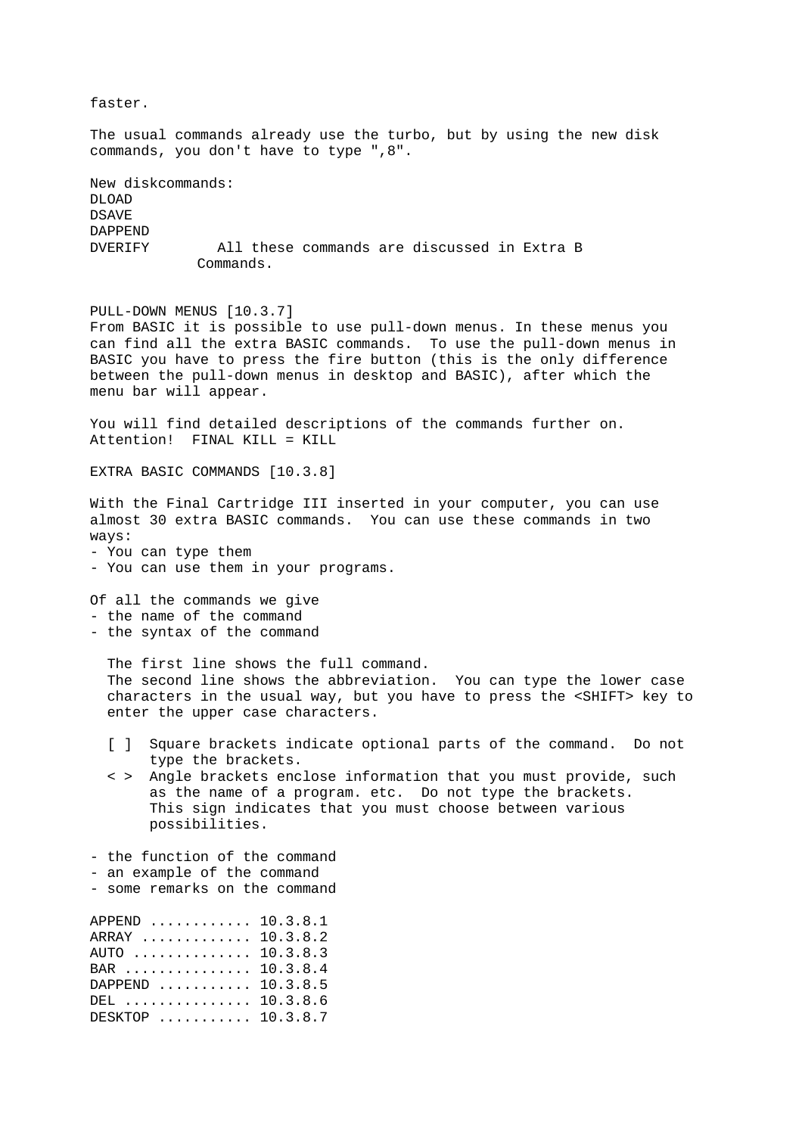faster. The usual commands already use the turbo, but by using the new disk commands, you don't have to type ",8". New diskcommands: DLOAD DSAVE DAPPEND DVERIFY All these commands are discussed in Extra B Commands. PULL-DOWN MENUS [10.3.7] From BASIC it is possible to use pull-down menus. In these menus you can find all the extra BASIC commands. To use the pull-down menus in BASIC you have to press the fire button (this is the only difference between the pull-down menus in desktop and BASIC), after which the menu bar will appear. You will find detailed descriptions of the commands further on. Attention! FINAL KILL = KILL EXTRA BASIC COMMANDS [10.3.8] With the Final Cartridge III inserted in your computer, you can use almost 30 extra BASIC commands. You can use these commands in two ways: - You can type them - You can use them in your programs. Of all the commands we give - the name of the command - the syntax of the command The first line shows the full command. The second line shows the abbreviation. You can type the lower case characters in the usual way, but you have to press the <SHIFT> key to enter the upper case characters. [ ] Square brackets indicate optional parts of the command. Do not type the brackets. < > Angle brackets enclose information that you must provide, such as the name of a program. etc. Do not type the brackets. This sign indicates that you must choose between various possibilities. - the function of the command - an example of the command - some remarks on the command APPEND ............ 10.3.8.1 ARRAY ............. 10.3.8.2 AUTO .............. 10.3.8.3 BAR ............... 10.3.8.4 DAPPEND ........... 10.3.8.5 DEL ............... 10.3.8.6 DESKTOP ........... 10.3.8.7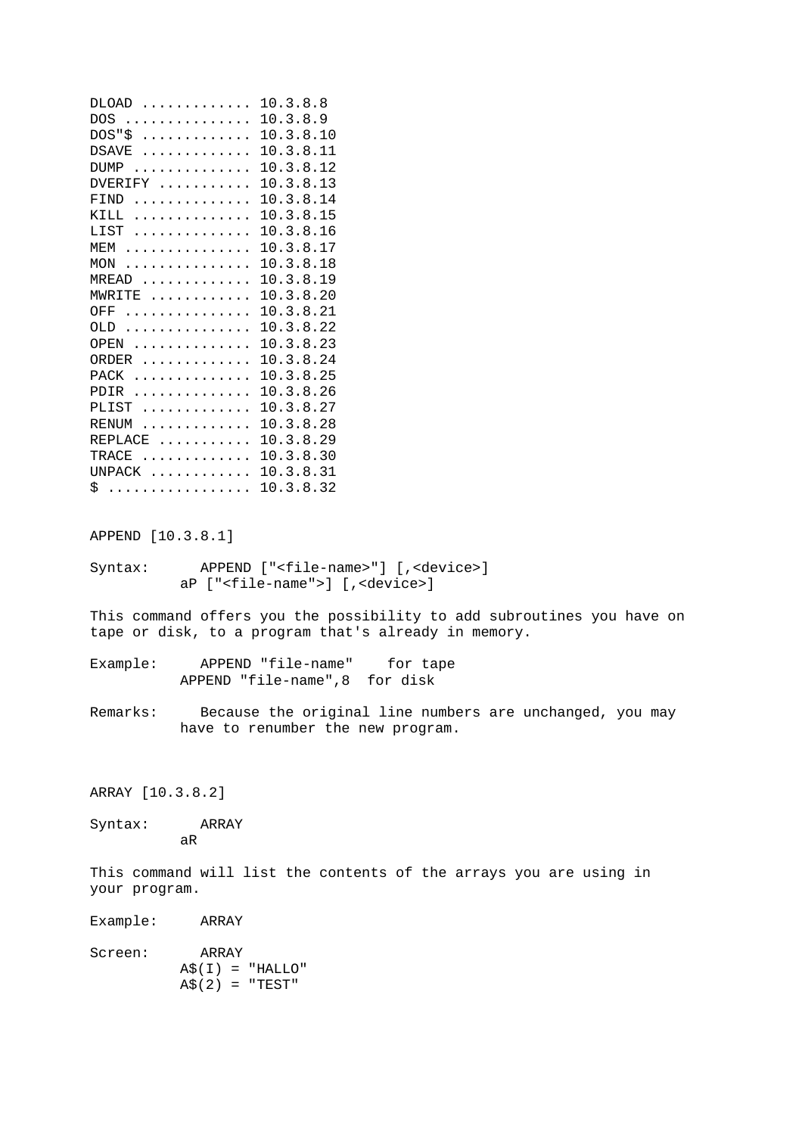|                   | DLOAD  10.3.8.8                                                        |
|-------------------|------------------------------------------------------------------------|
|                   | DOS  10.3.8.9                                                          |
| DOS "             | $\dots\dots\dots\dots\dots$ 10.3.8.10                                  |
| DSAVE             | 10.3.8.11                                                              |
|                   | DUMP  10.3.8.12                                                        |
|                   | DVERIFY  10.3.8.13                                                     |
|                   | FIND  10.3.8.14                                                        |
|                   | KILL  10.3.8.15                                                        |
|                   | LIST  10.3.8.16                                                        |
|                   | MEM  10.3.8.17                                                         |
|                   | MON  10.3.8.18                                                         |
|                   | MREAD  10.3.8.19                                                       |
|                   | MWRITE  10.3.8.20                                                      |
|                   | OFF  10.3.8.21                                                         |
|                   | OLD  10.3.8.22                                                         |
|                   | OPEN  10.3.8.23                                                        |
|                   | ORDER  10.3.8.24                                                       |
|                   |                                                                        |
|                   | PACK  10.3.8.25                                                        |
|                   | PDIR  10.3.8.26                                                        |
|                   | PLIST  10.3.8.27                                                       |
|                   | RENUM  10.3.8.28                                                       |
|                   | REPLACE  10.3.8.29                                                     |
|                   | TRACE  10.3.8.30                                                       |
|                   | UNPACK  10.3.8.31                                                      |
|                   | \$10.3.8.32                                                            |
|                   |                                                                        |
|                   |                                                                        |
| APPEND [10.3.8.1] |                                                                        |
|                   |                                                                        |
| Syntax:           | APPEND [" <file-name>"] [,<device>]</device></file-name>               |
|                   | aP [" <file-name">] [,<device>]</device></file-name">                  |
|                   |                                                                        |
|                   | This command offers you the possibility to add subroutines you have on |
|                   | tape or disk, to a program that's already in memory.                   |
|                   |                                                                        |
| Example:          | APPEND "file-name"<br>for tape                                         |
|                   | APPEND "file-name", 8<br>for disk                                      |
|                   |                                                                        |
| Remarks:          | Because the original line numbers are unchanged, you may               |
|                   | have to renumber the new program.                                      |
|                   |                                                                        |
|                   |                                                                        |
|                   |                                                                        |
| ARRAY [10.3.8.2]  |                                                                        |
|                   |                                                                        |
| Syntax:           | ARRAY                                                                  |
|                   | aR                                                                     |
|                   |                                                                        |
|                   | This command will list the contents of the arrays you are using in     |
|                   |                                                                        |
| your program.     |                                                                        |
|                   |                                                                        |
| Example:          | ARRAY                                                                  |
|                   |                                                                        |
| Screen:           | ARRAY                                                                  |
|                   | $A\$ (I) = "HALLO"                                                     |
|                   | $A\$ (2) = "TEST"                                                      |
|                   |                                                                        |
|                   |                                                                        |
|                   |                                                                        |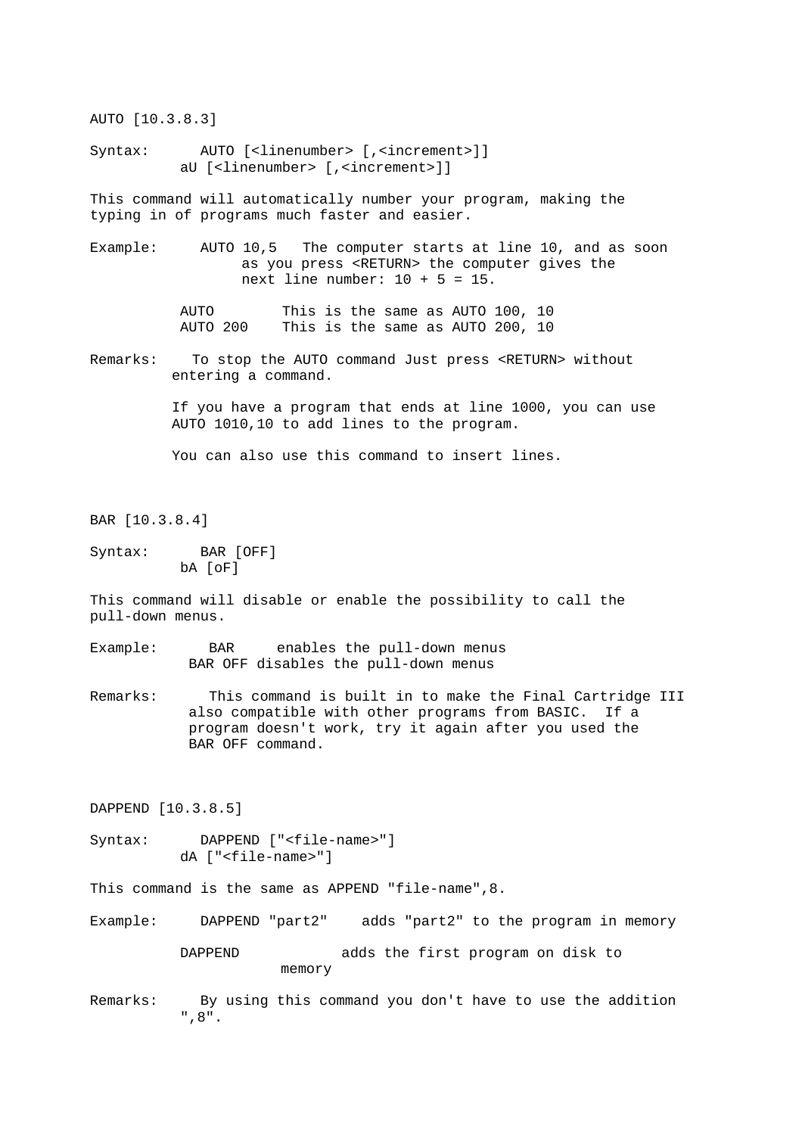AUTO [10.3.8.3]

Syntax: AUTO [<linenumber> [,<increment>]] aU [<linenumber> [,<increment>]]

This command will automatically number your program, making the typing in of programs much faster and easier.

Example: AUTO 10,5 The computer starts at line 10, and as soon as you press <RETURN> the computer gives the next line number:  $10 + 5 = 15$ .

> AUTO This is the same as AUTO 100, 10 AUTO 200 This is the same as AUTO 200, 10

Remarks: To stop the AUTO command Just press <RETURN> without entering a command.

> If you have a program that ends at line 1000, you can use AUTO 1010,10 to add lines to the program.

You can also use this command to insert lines.

BAR [10.3.8.4]

Syntax: BAR [OFF] bA [oF]

This command will disable or enable the possibility to call the pull-down menus.

- Example: BAR enables the pull-down menus BAR OFF disables the pull-down menus
- Remarks: This command is built in to make the Final Cartridge III also compatible with other programs from BASIC. If a program doesn't work, try it again after you used the BAR OFF command.

DAPPEND [10.3.8.5]

Syntax: DAPPEND ["<file-name>"] dA ["<file-name>"]

This command is the same as APPEND "file-name",8.

- Example: DAPPEND "part2" adds "part2" to the program in memory DAPPEND adds the first program on disk to memory
- Remarks: By using this command you don't have to use the addition ",8".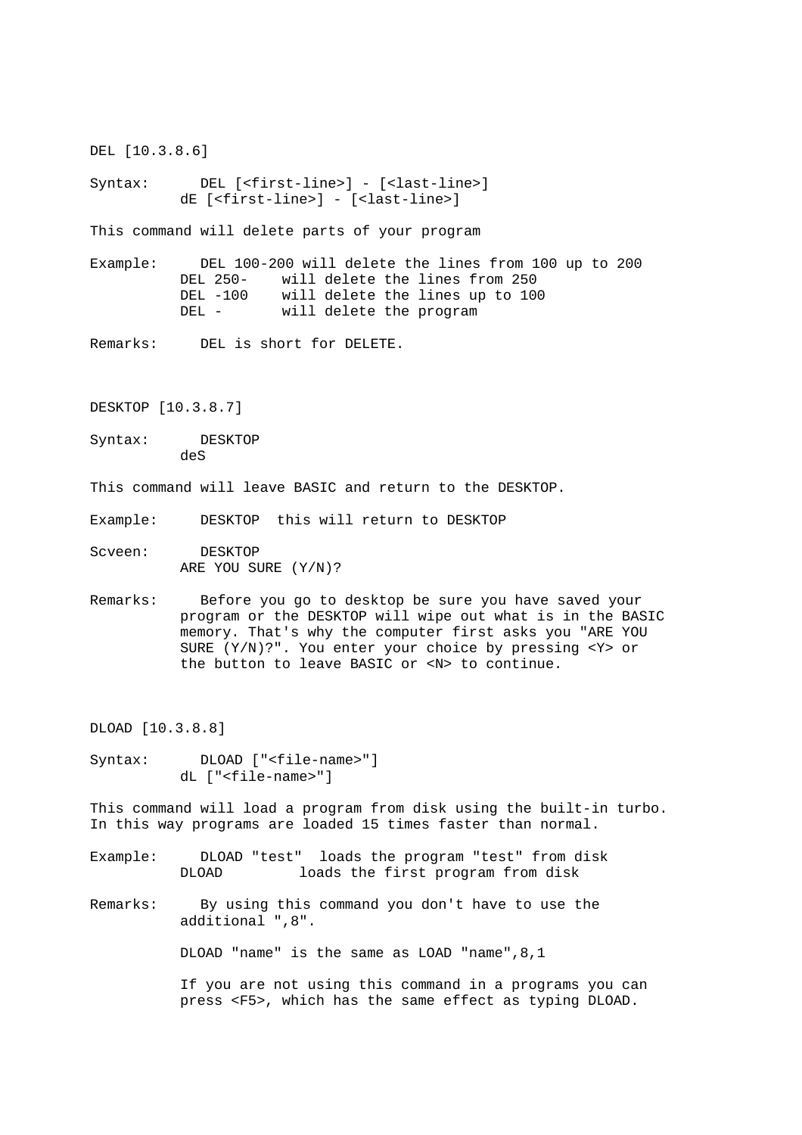DEL [10.3.8.6]

Syntax: DEL [<first-line>] - [<last-line>] dE [<first-line>] - [<last-line>]

This command will delete parts of your program

Example: DEL 100-200 will delete the lines from 100 up to 200 DEL 250- will delete the lines from 250 DEL -100 will delete the lines up to 100 DEL - will delete the program

Remarks: DEL is short for DELETE.

DESKTOP [10.3.8.7]

Syntax: DESKTOP deS

This command will leave BASIC and return to the DESKTOP.

Example: DESKTOP this will return to DESKTOP

Scveen: DESKTOP ARE YOU SURE (Y/N)?

Remarks: Before you go to desktop be sure you have saved your program or the DESKTOP will wipe out what is in the BASIC memory. That's why the computer first asks you "ARE YOU SURE (Y/N)?". You enter your choice by pressing <Y> or the button to leave BASIC or <N> to continue.

DLOAD [10.3.8.8]

Syntax: DLOAD ["<file-name>"] dL ["<file-name>"]

This command will load a program from disk using the built-in turbo. In this way programs are loaded 15 times faster than normal.

- Example: DLOAD "test" loads the program "test" from disk DLOAD loads the first program from disk
- Remarks: By using this command you don't have to use the additional ",8".

DLOAD "name" is the same as LOAD "name",8,1

 If you are not using this command in a programs you can press <F5>, which has the same effect as typing DLOAD.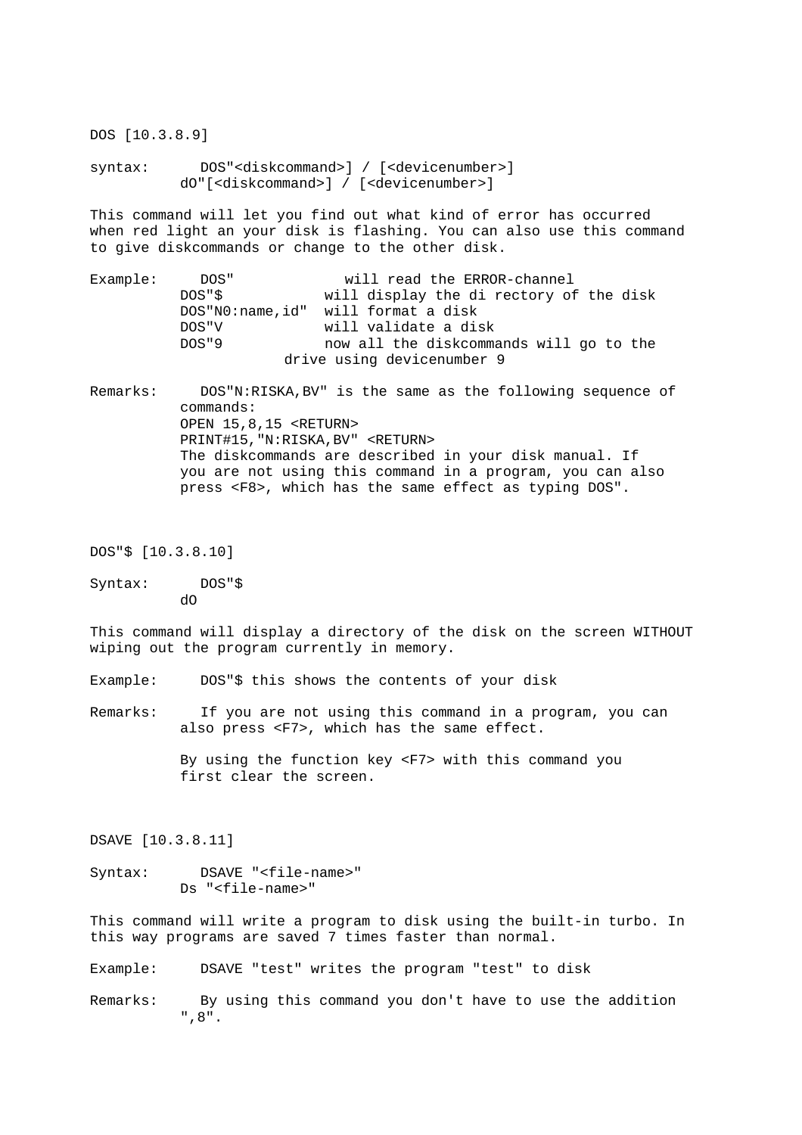syntax: DOS"<diskcommand>] / [<devicenumber>] dO"[<diskcommand>] / [<devicenumber>]

This command will let you find out what kind of error has occurred when red light an your disk is flashing. You can also use this command to give diskcommands or change to the other disk.

Example: DOS" will read the ERROR-channel DOS"\$ will display the di rectory of the disk DOS"N0:name,id" will format a disk DOS"V will validate a disk DOS"9 now all the diskcommands will go to the drive using devicenumber 9

Remarks: DOS"N:RISKA,BV" is the same as the following sequence of commands: OPEN 15,8,15 <RETURN> PRINT#15,"N:RISKA,BV" <RETURN> The diskcommands are described in your disk manual. If you are not using this command in a program, you can also press <F8>, which has the same effect as typing DOS".

DOS"\$ [10.3.8.10]

DOS [10.3.8.9]

Syntax: DOS"\$ dO

This command will display a directory of the disk on the screen WITHOUT wiping out the program currently in memory.

Example: DOS"\$ this shows the contents of your disk

Remarks: If you are not using this command in a program, you can also press <F7>, which has the same effect.

> By using the function key <F7> with this command you first clear the screen.

DSAVE [10.3.8.11]

Syntax: DSAVE "<file-name>" Ds "<file-name>"

This command will write a program to disk using the built-in turbo. In this way programs are saved 7 times faster than normal.

Example: DSAVE "test" writes the program "test" to disk

Remarks: By using this command you don't have to use the addition ",8".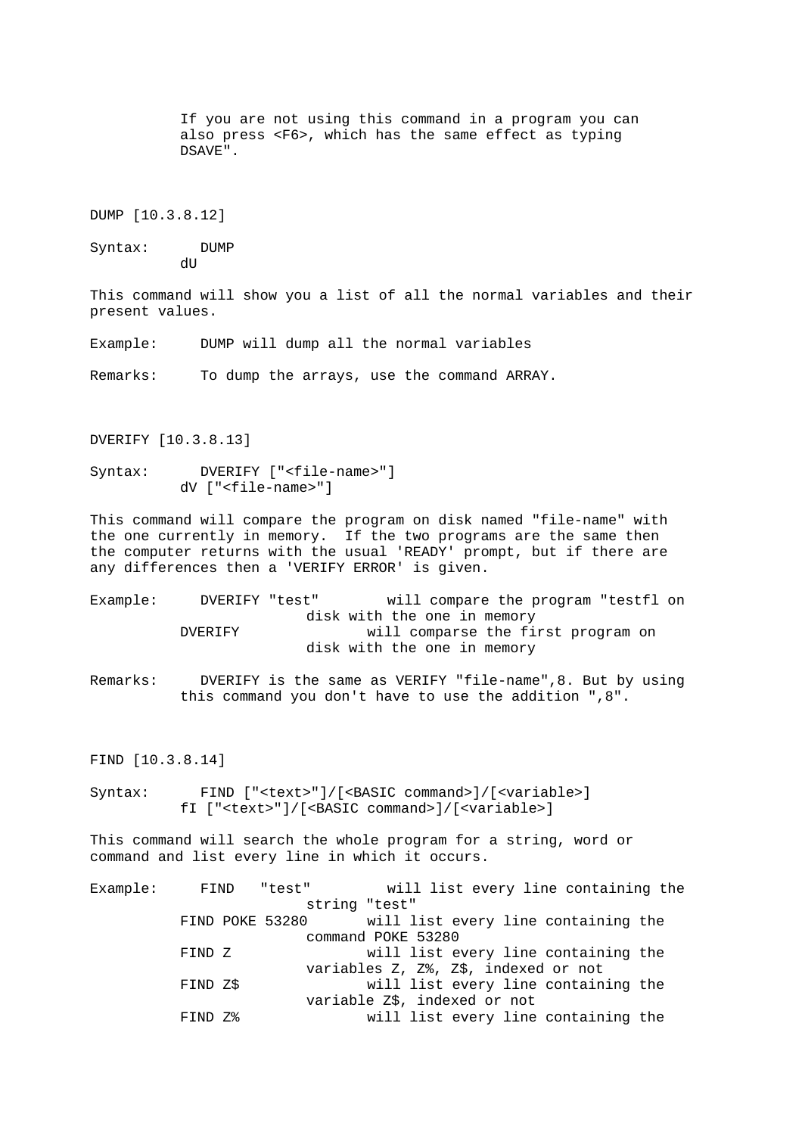```
 also press <F6>, which has the same effect as typing 
           DSAVE". 
DUMP [10.3.8.12] 
Syntax: DUMP 
          dU
This command will show you a list of all the normal variables and their 
present values. 
Example: DUMP will dump all the normal variables 
Remarks: To dump the arrays, use the command ARRAY. 
DVERIFY [10.3.8.13] 
Syntax: DVERIFY ["<file-name>"] 
           dV ["<file-name>"] 
This command will compare the program on disk named "file-name" with 
the one currently in memory. If the two programs are the same then 
the computer returns with the usual 'READY' prompt, but if there are 
any differences then a 'VERIFY ERROR' is given. 
Example: DVERIFY "test" will compare the program "testfl on 
                         disk with the one in memory 
           DVERIFY will comparse the first program on 
                         disk with the one in memory 
Remarks: DVERIFY is the same as VERIFY "file-name",8. But by using 
           this command you don't have to use the addition ",8". 
FIND [10.3.8.14] 
Syntax: FIND ["<text>"]/[<BASIC command>]/[<variable>]
           fI ["<text>"]/[<BASIC command>]/[<variable>] 
This command will search the whole program for a string, word or 
command and list every line in which it occurs. 
Example: FIND "test" will list every line containing the 
                         string "test" 
           FIND POKE 53280 will list every line containing the 
                         command POKE 53280 
           FIND Z will list every line containing the 
                         variables Z, Z%, Z$, indexed or not 
          FIND Z$ will list every line containing the
```
 variable Z\$, indexed or not FIND Z% will list every line containing the

If you are not using this command in a program you can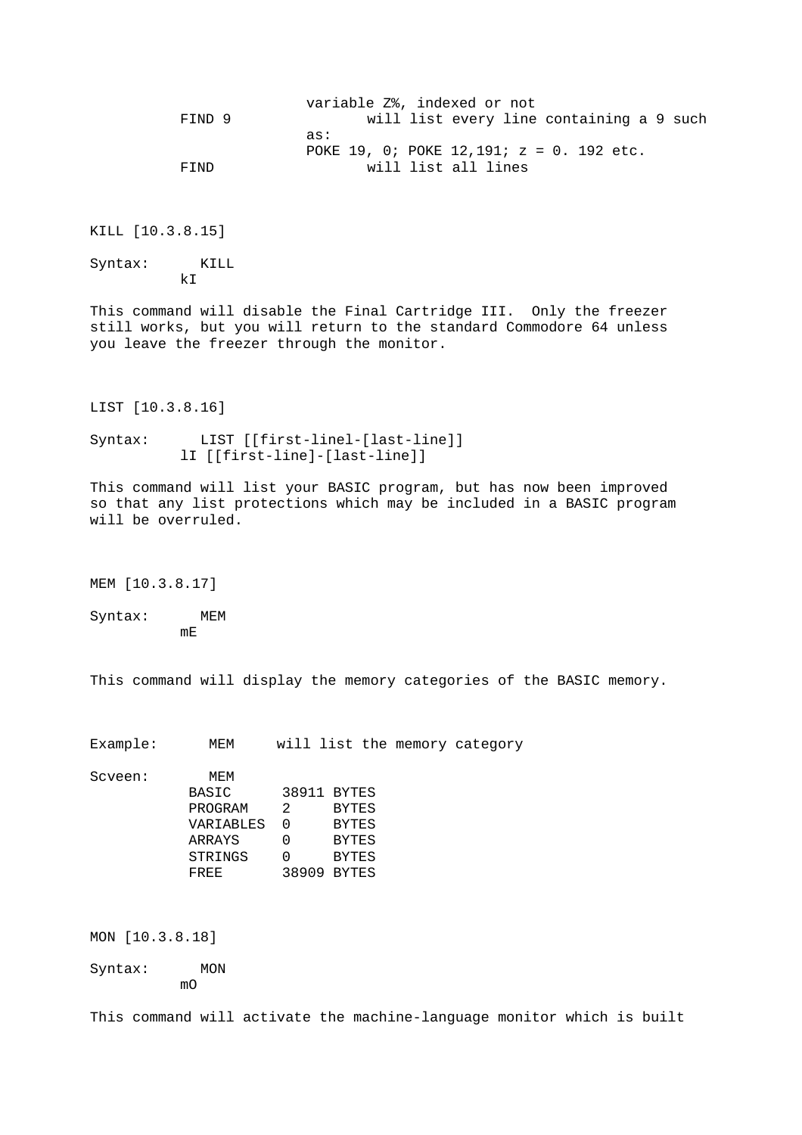|        | variable Z%, indexed or not                 |  |
|--------|---------------------------------------------|--|
| FIND 9 | will list every line containing a 9 such    |  |
|        | as:                                         |  |
|        | POKE 19, 0; POKE 12,191; $z = 0$ . 192 etc. |  |
| FIND   | will list all lines                         |  |

KILL [10.3.8.15]

Syntax: KILL kI

This command will disable the Final Cartridge III. Only the freezer still works, but you will return to the standard Commodore 64 unless you leave the freezer through the monitor.

LIST [10.3.8.16]

Syntax: LIST [[first-linel-[last-line]] lI [[first-line]-[last-line]]

This command will list your BASIC program, but has now been improved so that any list protections which may be included in a BASIC program will be overruled.

MEM [10.3.8.17]

Syntax: MEM mE

This command will display the memory categories of the BASIC memory.

Example: MEM will list the memory category

Scveen: MEM

| buveen. | <b>IVIE IVI</b> |   |              |
|---------|-----------------|---|--------------|
|         | BASIC           |   | 38911 BYTES  |
|         | PROGRAM         | 2 | <b>BYTES</b> |
|         | VARIABLES       | O | <b>BYTES</b> |
|         | ARRAYS          |   | <b>BYTES</b> |
|         | STRINGS         |   | <b>BYTES</b> |
|         | FREE            |   | 38909 BYTES  |

MON [10.3.8.18]

Syntax: MON mO

This command will activate the machine-language monitor which is built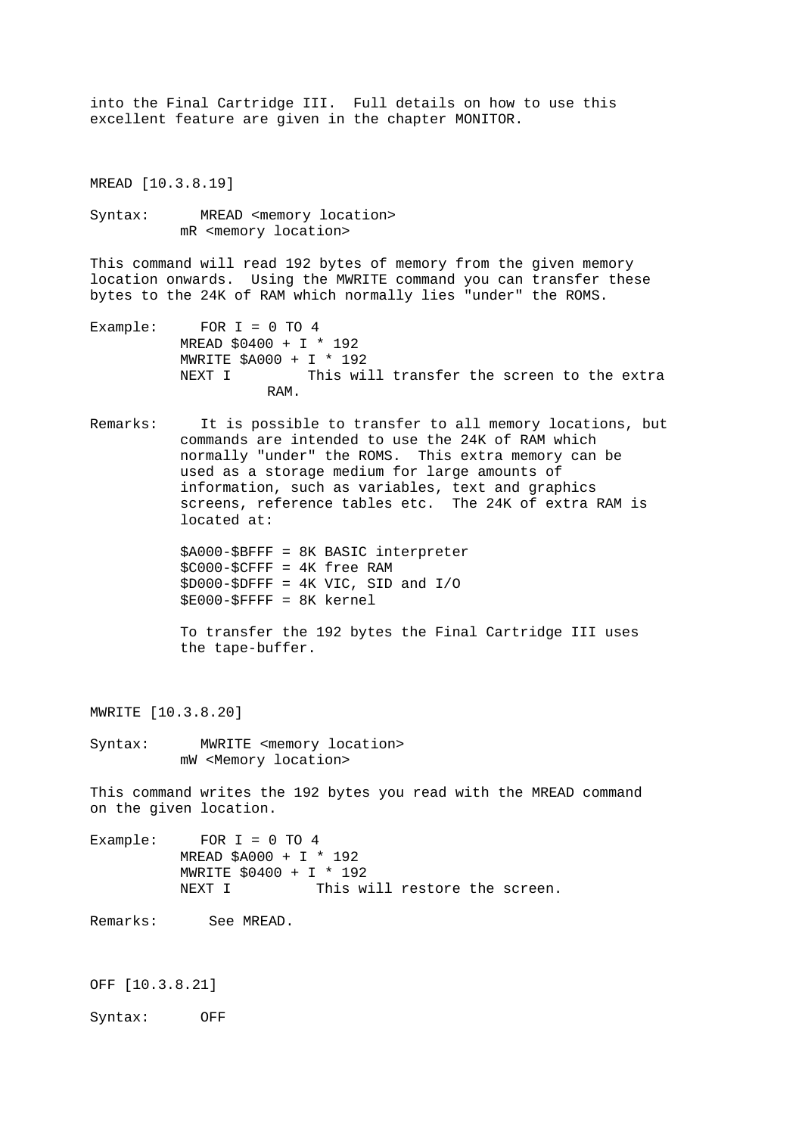into the Final Cartridge III. Full details on how to use this excellent feature are given in the chapter MONITOR.

MREAD [10.3.8.19]

Syntax: MREAD <memory location> mR <memory location>

This command will read 192 bytes of memory from the given memory location onwards. Using the MWRITE command you can transfer these bytes to the 24K of RAM which normally lies "under" the ROMS.

- Example: FOR I = 0 TO 4 MREAD \$0400 + I \* 192 MWRITE \$A000 + I \* 192<br>NEXT I This wi This will transfer the screen to the extra RAM.
- Remarks: It is possible to transfer to all memory locations, but commands are intended to use the 24K of RAM which normally "under" the ROMS. This extra memory can be used as a storage medium for large amounts of information, such as variables, text and graphics screens, reference tables etc. The 24K of extra RAM is located at:

 \$A000-\$BFFF = 8K BASIC interpreter \$C000-\$CFFF = 4K free RAM  $$D000-\$DFFF = 4K VIC, SID and I/O$ \$E000-\$FFFF = 8K kernel

 To transfer the 192 bytes the Final Cartridge III uses the tape-buffer.

MWRITE [10.3.8.20]

Syntax: MWRITE <memory location> mW <Memory location>

This command writes the 192 bytes you read with the MREAD command on the given location.

Example: FOR  $I = 0$  TO  $4$  MREAD \$A000 + I \* 192 MWRITE \$0400 + I \* 192 NEXT I This will restore the screen.

Remarks: See MREAD.

OFF [10.3.8.21]

Syntax: OFF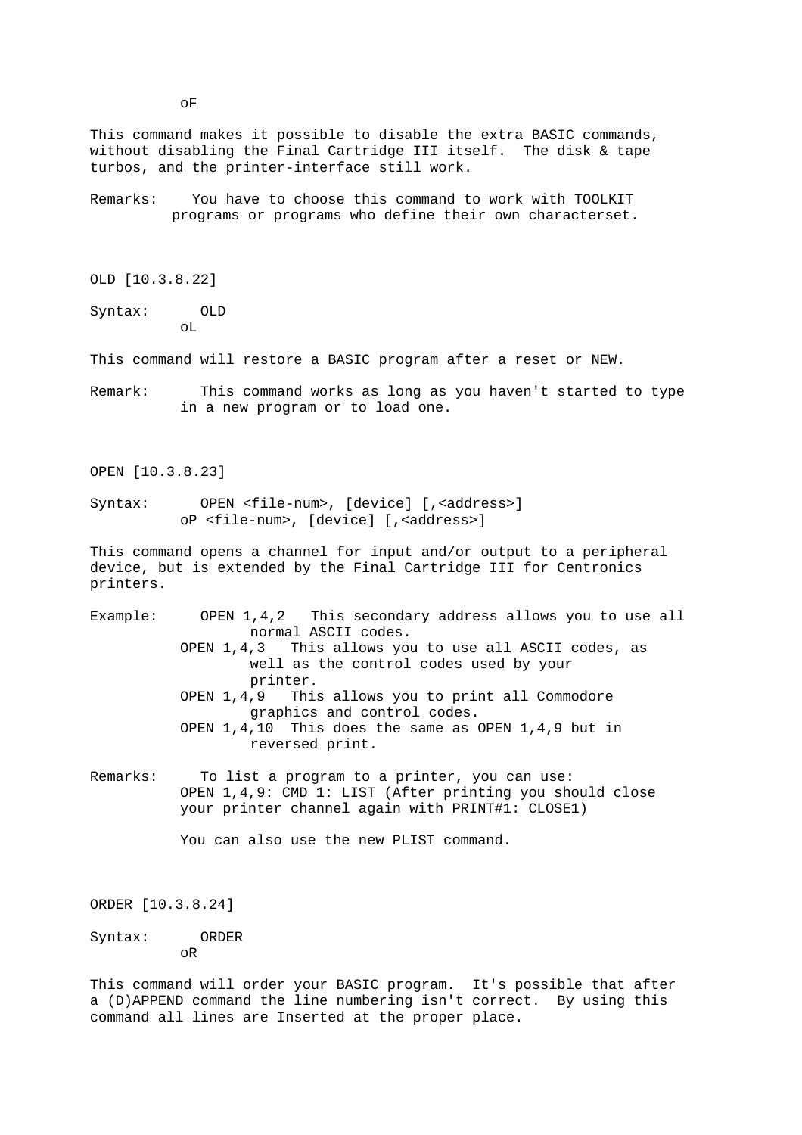programs or programs who define their own characterset. OLD [10.3.8.22] Syntax: OLD oL This command will restore a BASIC program after a reset or NEW. Remark: This command works as long as you haven't started to type in a new program or to load one. OPEN [10.3.8.23] Syntax: OPEN <file-num>, [device] [, <address>] oP <file-num>, [device] [,<address>] This command opens a channel for input and/or output to a peripheral device, but is extended by the Final Cartridge III for Centronics printers. Example: OPEN 1,4,2 This secondary address allows you to use all normal ASCII codes. OPEN 1,4,3 This allows you to use all ASCII codes, as well as the control codes used by your printer. OPEN 1,4,9 This allows you to print all Commodore graphics and control codes. OPEN 1,4,10 This does the same as OPEN 1,4,9 but in reversed print. Remarks: To list a program to a printer, you can use: OPEN 1,4,9: CMD 1: LIST (After printing you should close your printer channel again with PRINT#1: CLOSE1) You can also use the new PLIST command. ORDER [10.3.8.24] Syntax: ORDER oR This command will order your BASIC program. It's possible that after a (D)APPEND command the line numbering isn't correct. By using this command all lines are Inserted at the proper place.

This command makes it possible to disable the extra BASIC commands, without disabling the Final Cartridge III itself. The disk & tape

Remarks: You have to choose this command to work with TOOLKIT

turbos, and the printer-interface still work.

oF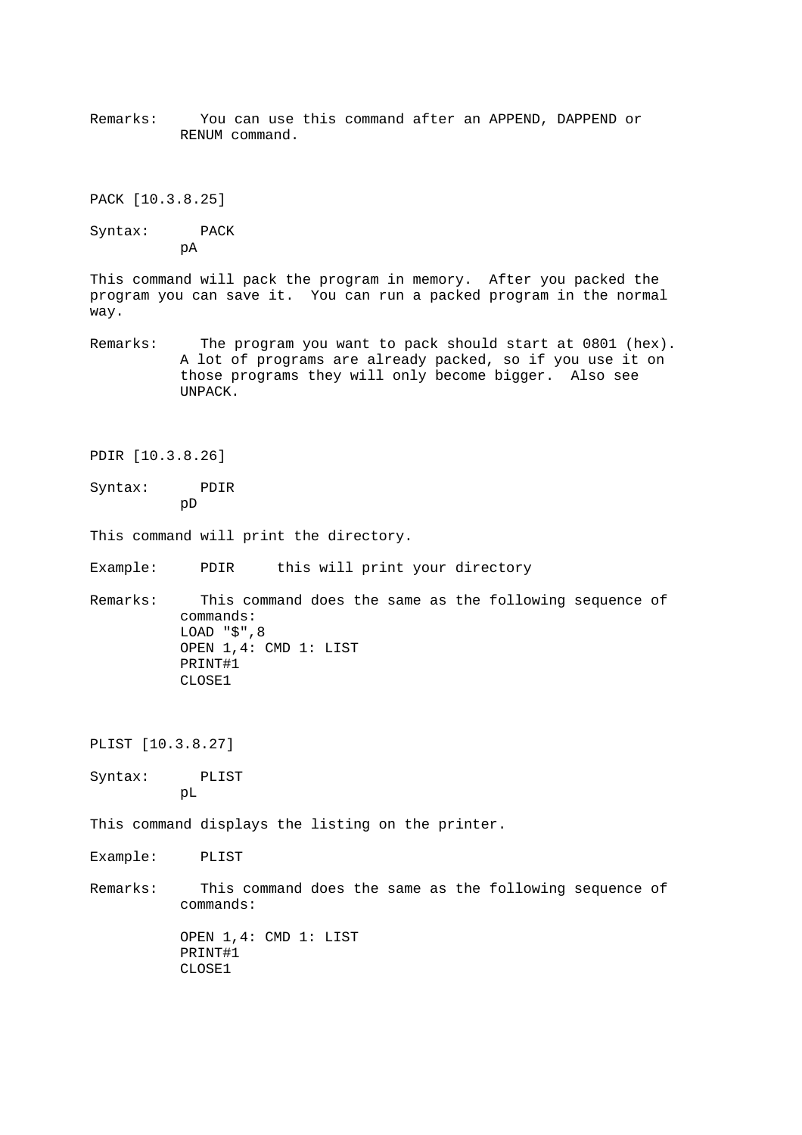Remarks: You can use this command after an APPEND, DAPPEND or RENUM command.

PACK [10.3.8.25]

Syntax: PACK pA

This command will pack the program in memory. After you packed the program you can save it. You can run a packed program in the normal way.

- Remarks: The program you want to pack should start at 0801 (hex). A lot of programs are already packed, so if you use it on those programs they will only become bigger. Also see UNPACK.
- PDIR [10.3.8.26]
- Syntax: PDIR pD
- This command will print the directory.
- Example: PDIR this will print your directory
- Remarks: This command does the same as the following sequence of commands: LOAD "\$",8 OPEN 1,4: CMD 1: LIST PRINT#1 CLOSE1

PLIST [10.3.8.27]

Syntax: PLIST pL

This command displays the listing on the printer.

- Example: PLIST
- Remarks: This command does the same as the following sequence of commands:

 OPEN 1,4: CMD 1: LIST PRINT#1 CLOSE1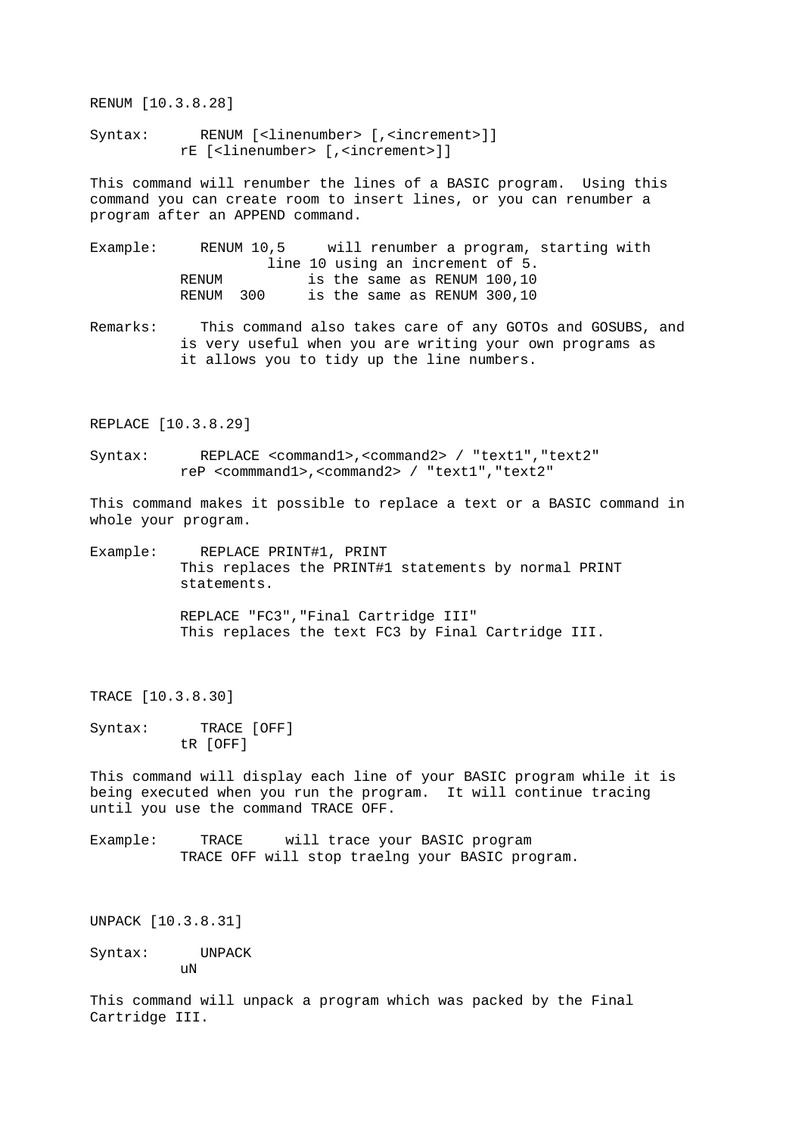RENUM [10.3.8.28]

Syntax: RENUM [<linenumber> [,<increment>]] rE [<linenumber> [,<increment>]]

This command will renumber the lines of a BASIC program. Using this command you can create room to insert lines, or you can renumber a program after an APPEND command.

Example: RENUM 10,5 will renumber a program, starting with line 10 using an increment of 5. RENUM is the same as RENUM 100,10 RENUM 300 is the same as RENUM 300,10

Remarks: This command also takes care of any GOTOs and GOSUBS, and is very useful when you are writing your own programs as it allows you to tidy up the line numbers.

REPLACE [10.3.8.29]

Syntax: REPLACE <command1>,<command2> / "text1","text2" reP <commmand1>,<command2> / "text1","text2"

This command makes it possible to replace a text or a BASIC command in whole your program.

Example: REPLACE PRINT#1, PRINT This replaces the PRINT#1 statements by normal PRINT statements.

> REPLACE "FC3","Final Cartridge III" This replaces the text FC3 by Final Cartridge III.

TRACE [10.3.8.30]

Syntax: TRACE [OFF] tR [OFF]

This command will display each line of your BASIC program while it is being executed when you run the program. It will continue tracing until you use the command TRACE OFF.

Example: TRACE will trace your BASIC program TRACE OFF will stop traelng your BASIC program.

UNPACK [10.3.8.31]

Syntax: UNPACK uN

This command will unpack a program which was packed by the Final Cartridge III.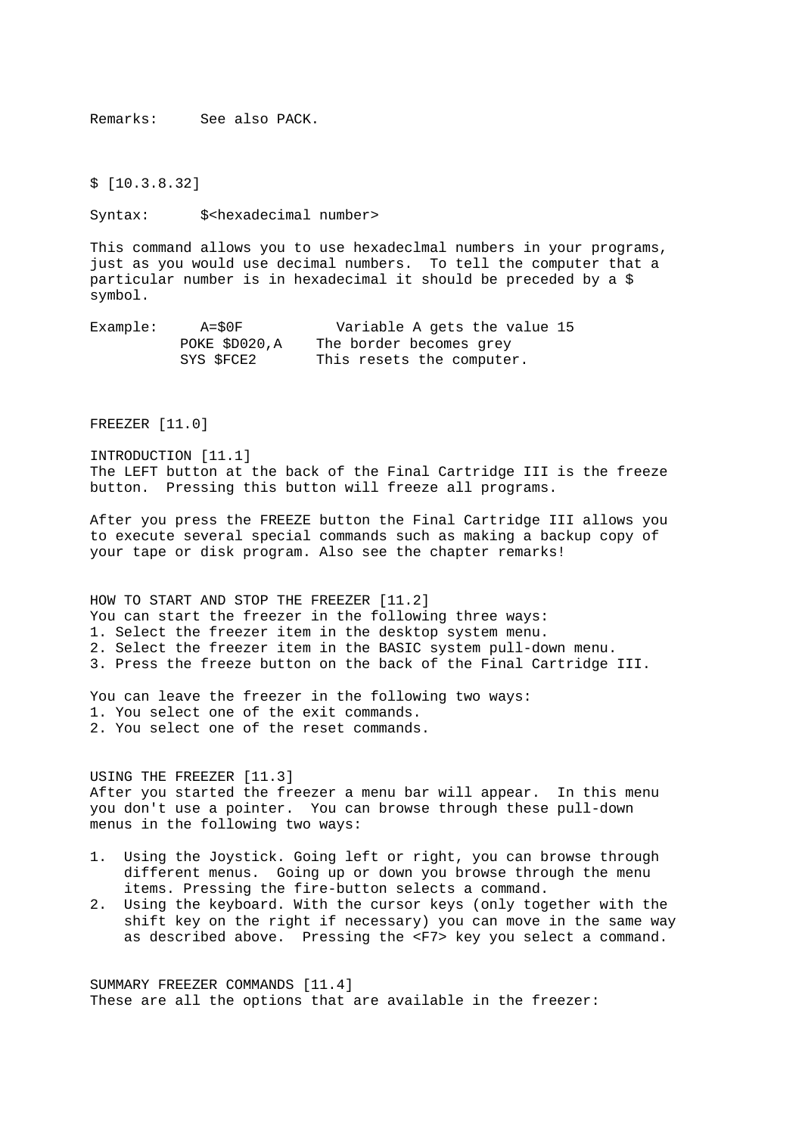Remarks: See also PACK.

\$ [10.3.8.32]

Syntax: \$<hexadecimal number>

This command allows you to use hexadeclmal numbers in your programs, just as you would use decimal numbers. To tell the computer that a particular number is in hexadecimal it should be preceded by a \$ symbol.

Example: A=\$0F Variable A gets the value 15 POKE \$D020,A The border becomes grey SYS \$FCE2 This resets the computer.

FREEZER [11.0]

INTRODUCTION [11.1] The LEFT button at the back of the Final Cartridge III is the freeze button. Pressing this button will freeze all programs.

After you press the FREEZE button the Final Cartridge III allows you to execute several special commands such as making a backup copy of your tape or disk program. Also see the chapter remarks!

HOW TO START AND STOP THE FREEZER [11.2] You can start the freezer in the following three ways: 1. Select the freezer item in the desktop system menu. 2. Select the freezer item in the BASIC system pull-down menu. 3. Press the freeze button on the back of the Final Cartridge III.

You can leave the freezer in the following two ways: 1. You select one of the exit commands. 2. You select one of the reset commands.

# USING THE FREEZER [11.3] After you started the freezer a menu bar will appear. In this menu you don't use a pointer. You can browse through these pull-down menus in the following two ways:

- 1. Using the Joystick. Going left or right, you can browse through different menus. Going up or down you browse through the menu items. Pressing the fire-button selects a command.
- 2. Using the keyboard. With the cursor keys (only together with the shift key on the right if necessary) you can move in the same way as described above. Pressing the <F7> key you select a command.

SUMMARY FREEZER COMMANDS [11.4] These are all the options that are available in the freezer: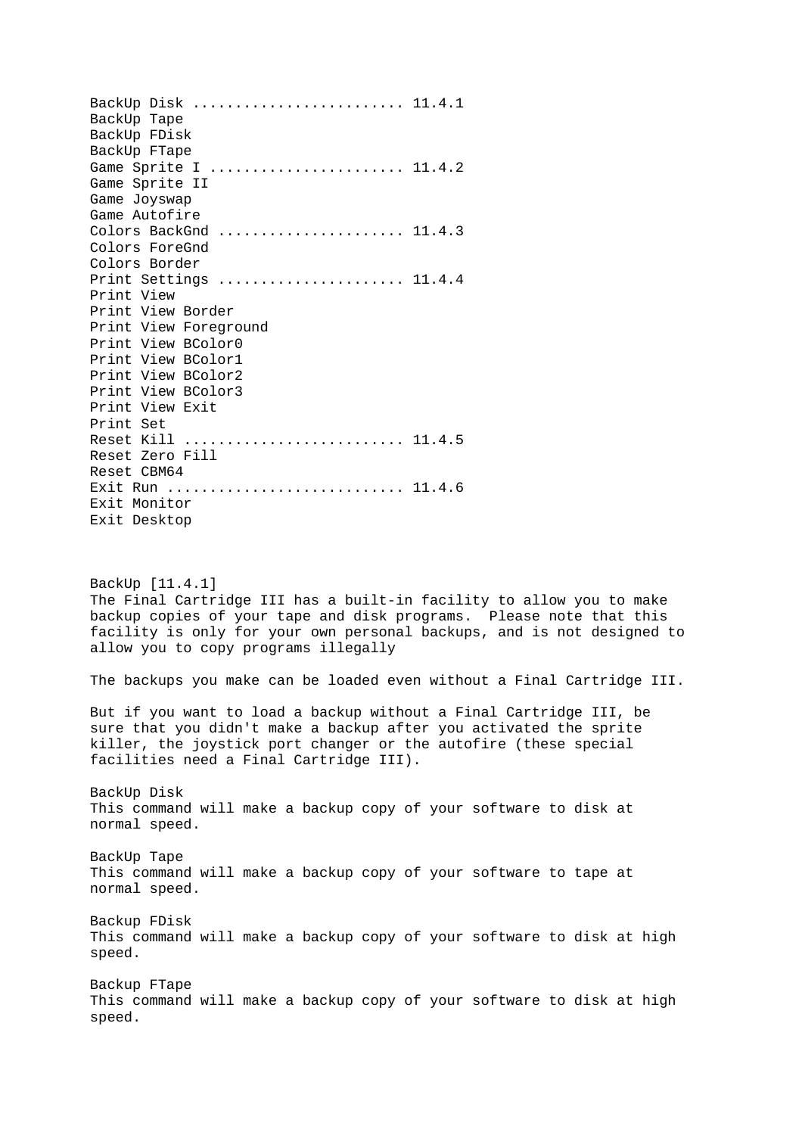BackUp Disk ......................... 11.4.1 BackUp Tape BackUp FDisk BackUp FTape Game Sprite I ......................... 11.4.2 Game Sprite II Game Joyswap Game Autofire Colors BackGnd ........................ 11.4.3 Colors ForeGnd Colors Border Print Settings ...................... 11.4.4 Print View Print View Border Print View Foreground Print View BColor0 Print View BColor1 Print View BColor2 Print View BColor3 Print View Exit Print Set Reset Kill .......................... 11.4.5 Reset Zero Fill Reset CBM64 Exit Run ............................... 11.4.6 Exit Monitor Exit Desktop BackUp [11.4.1] The Final Cartridge III has a built-in facility to allow you to make backup copies of your tape and disk programs. Please note that this facility is only for your own personal backups, and is not designed to allow you to copy programs illegally The backups you make can be loaded even without a Final Cartridge III. But if you want to load a backup without a Final Cartridge III, be sure that you didn't make a backup after you activated the sprite killer, the joystick port changer or the autofire (these special facilities need a Final Cartridge III). BackUp Disk This command will make a backup copy of your software to disk at normal speed. BackUp Tape This command will make a backup copy of your software to tape at normal speed. Backup FDisk This command will make a backup copy of your software to disk at high speed. Backup FTape This command will make a backup copy of your software to disk at high speed.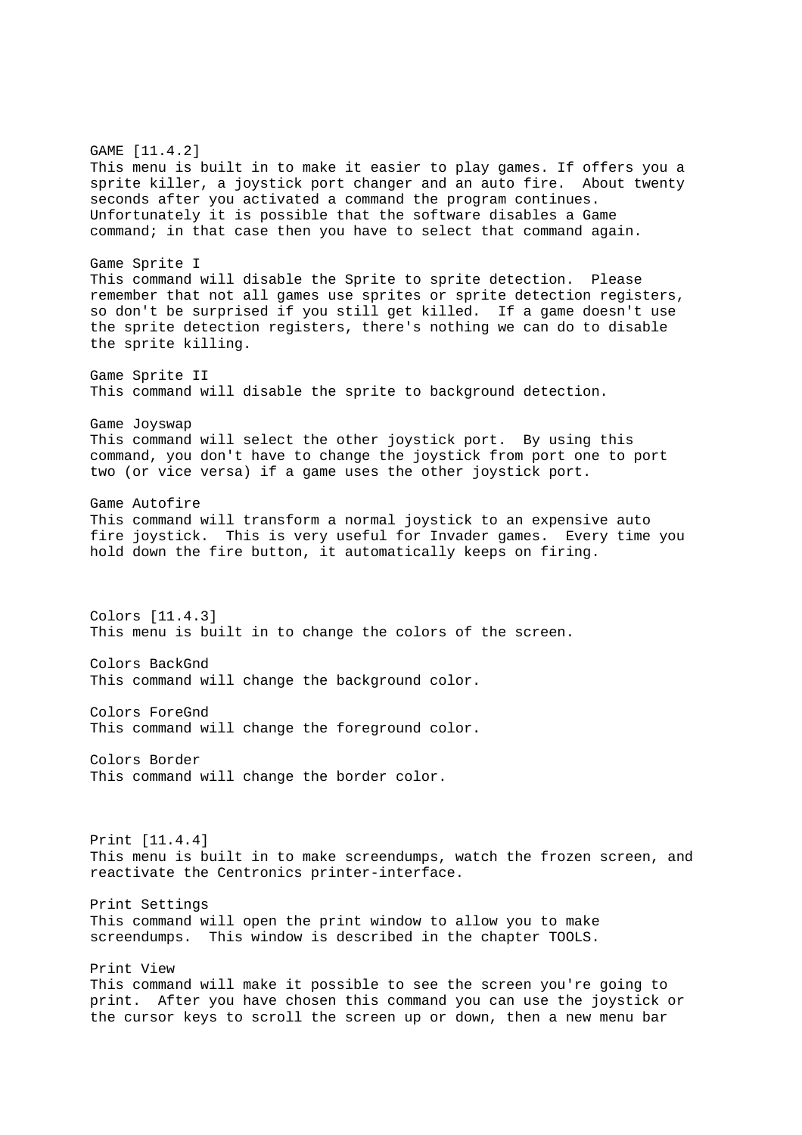GAME [11.4.2] This menu is built in to make it easier to play games. If offers you a sprite killer, a joystick port changer and an auto fire. About twenty seconds after you activated a command the program continues. Unfortunately it is possible that the software disables a Game command; in that case then you have to select that command again. Game Sprite I This command will disable the Sprite to sprite detection. Please remember that not all games use sprites or sprite detection registers, so don't be surprised if you still get killed. If a game doesn't use the sprite detection registers, there's nothing we can do to disable the sprite killing. Game Sprite II This command will disable the sprite to background detection. Game Joyswap This command will select the other joystick port. By using this command, you don't have to change the joystick from port one to port two (or vice versa) if a game uses the other joystick port. Game Autofire This command will transform a normal joystick to an expensive auto fire joystick. This is very useful for Invader games. Every time you hold down the fire button, it automatically keeps on firing. Colors [11.4.3] This menu is built in to change the colors of the screen. Colors BackGnd This command will change the background color. Colors ForeGnd This command will change the foreground color. Colors Border This command will change the border color. Print [11.4.4] This menu is built in to make screendumps, watch the frozen screen, and reactivate the Centronics printer-interface. Print Settings This command will open the print window to allow you to make screendumps. This window is described in the chapter TOOLS. Print View This command will make it possible to see the screen you're going to print. After you have chosen this command you can use the joystick or the cursor keys to scroll the screen up or down, then a new menu bar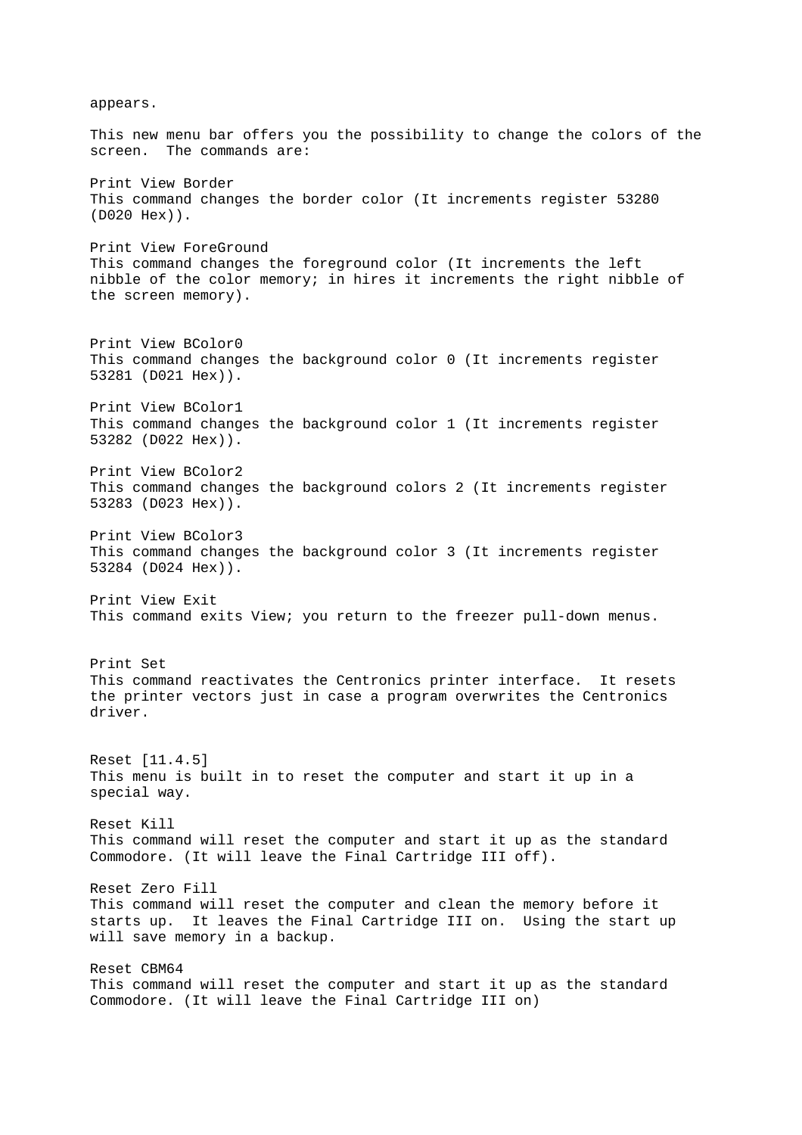appears. This new menu bar offers you the possibility to change the colors of the screen. The commands are: Print View Border This command changes the border color (It increments register 53280 (D020 Hex)). Print View ForeGround This command changes the foreground color (It increments the left nibble of the color memory; in hires it increments the right nibble of the screen memory). Print View BColor0 This command changes the background color 0 (It increments register 53281 (D021 Hex)). Print View BColor1 This command changes the background color 1 (It increments register 53282 (D022 Hex)). Print View BColor2 This command changes the background colors 2 (It increments register 53283 (D023 Hex)). Print View BColor3 This command changes the background color 3 (It increments register 53284 (D024 Hex)). Print View Exit This command exits View; you return to the freezer pull-down menus. Print Set This command reactivates the Centronics printer interface. It resets the printer vectors just in case a program overwrites the Centronics driver. Reset [11.4.5] This menu is built in to reset the computer and start it up in a special way. Reset Kill This command will reset the computer and start it up as the standard Commodore. (It will leave the Final Cartridge III off). Reset Zero Fill This command will reset the computer and clean the memory before it starts up. It leaves the Final Cartridge III on. Using the start up will save memory in a backup. Reset CBM64 This command will reset the computer and start it up as the standard Commodore. (It will leave the Final Cartridge III on)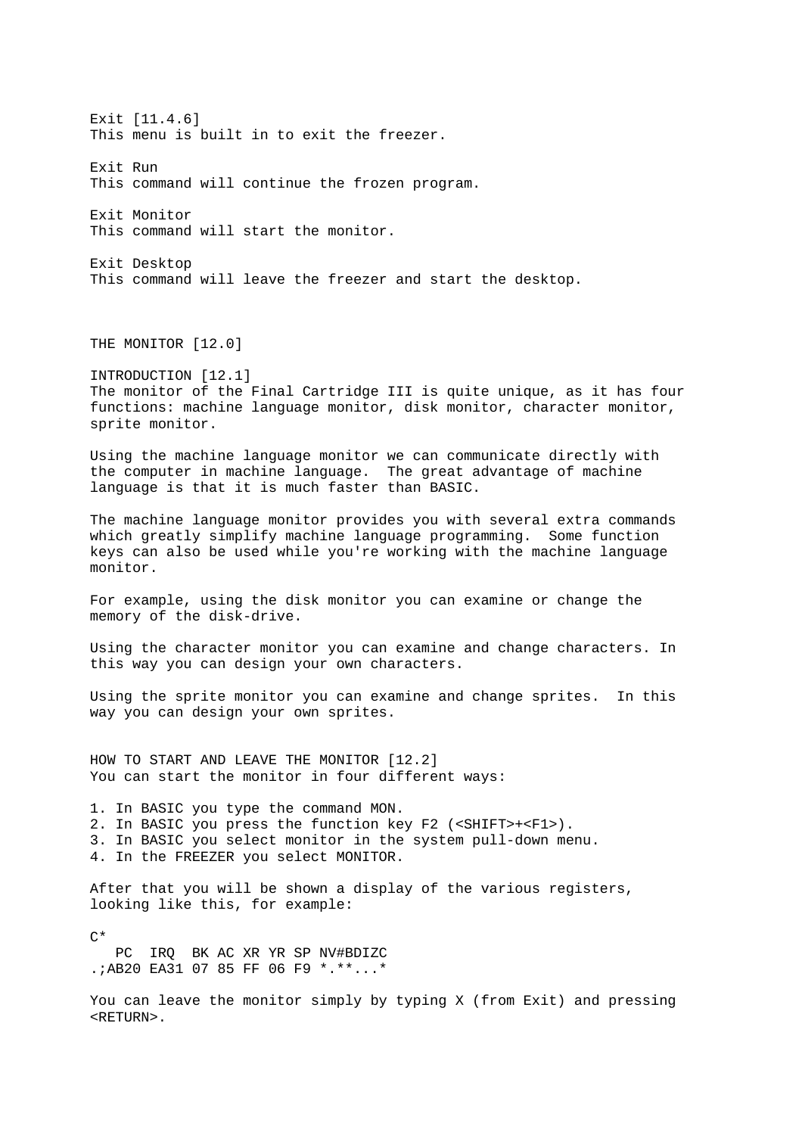Exit [11.4.6] This menu is built in to exit the freezer. Exit Run This command will continue the frozen program. Exit Monitor This command will start the monitor. Exit Desktop This command will leave the freezer and start the desktop. THE MONITOR [12.0] INTRODUCTION [12.1] The monitor of the Final Cartridge III is quite unique, as it has four functions: machine language monitor, disk monitor, character monitor, sprite monitor. Using the machine language monitor we can communicate directly with the computer in machine language. The great advantage of machine language is that it is much faster than BASIC. The machine language monitor provides you with several extra commands which greatly simplify machine language programming. Some function keys can also be used while you're working with the machine language monitor. For example, using the disk monitor you can examine or change the memory of the disk-drive. Using the character monitor you can examine and change characters. In this way you can design your own characters. Using the sprite monitor you can examine and change sprites. In this way you can design your own sprites. HOW TO START AND LEAVE THE MONITOR [12.2] You can start the monitor in four different ways: 1. In BASIC you type the command MON. 2. In BASIC you press the function key F2 (<SHIFT>+<F1>). 3. In BASIC you select monitor in the system pull-down menu. 4. In the FREEZER you select MONITOR. After that you will be shown a display of the various registers, looking like this, for example:  $\sim$  PC IRQ BK AC XR YR SP NV#BDIZC .;AB20 EA31 07 85 FF 06 F9 \*.\*\*...\* You can leave the monitor simply by typing X (from Exit) and pressing <RETURN>.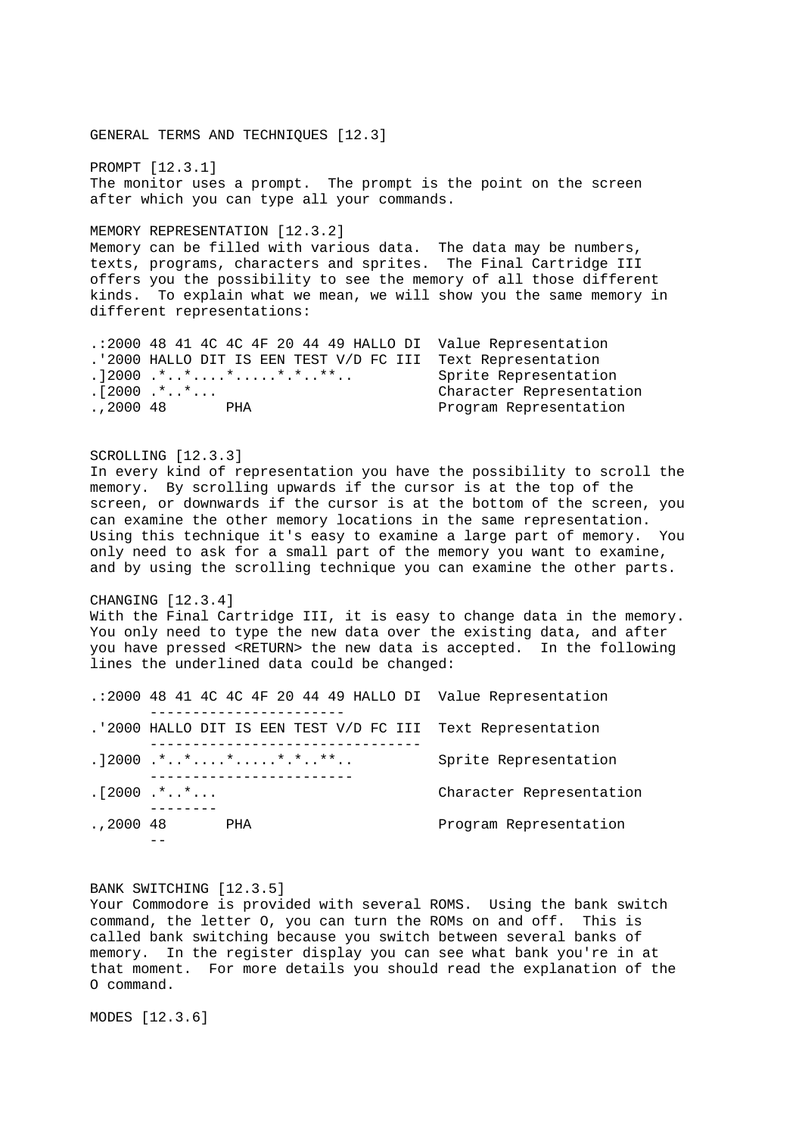GENERAL TERMS AND TECHNIQUES [12.3] PROMPT [12.3.1] The monitor uses a prompt. The prompt is the point on the screen after which you can type all your commands. MEMORY REPRESENTATION [12.3.2] Memory can be filled with various data. The data may be numbers, texts, programs, characters and sprites. The Final Cartridge III offers you the possibility to see the memory of all those different kinds. To explain what we mean, we will show you the same memory in different representations: .:2000 48 41 4C 4C 4F 20 44 49 HALLO DI Value Representation .'2000 HALLO DIT IS EEN TEST V/D FC III Text Representation .]2000 .\*..\*....\*......\*.\*..\*\*.. Sprite Representation<br>.[2000 .\*..\*... Character Representation .,2000 48 PHA Program Representation SCROLLING [12.3.3] In every kind of representation you have the possibility to scroll the memory. By scrolling upwards if the cursor is at the top of the screen, or downwards if the cursor is at the bottom of the screen, you can examine the other memory locations in the same representation. Using this technique it's easy to examine a large part of memory. You only need to ask for a small part of the memory you want to examine, and by using the scrolling technique you can examine the other parts. CHANGING [12.3.4] With the Final Cartridge III, it is easy to change data in the memory. You only need to type the new data over the existing data, and after you have pressed <RETURN> the new data is accepted. In the following lines the underlined data could be changed: .:2000 48 41 4C 4C 4F 20 44 49 HALLO DI Value Representation ----------------------- .'2000 HALLO DIT IS EEN TEST V/D FC III Text Representation -------------------------------- .  $]2000...*...*......*...*...**...$  Sprite Representation ------------------------ .[2000 .\*..\*... Character Representation .,2000 48 PHA Program Representation --

## BANK SWITCHING [12.3.5]

Your Commodore is provided with several ROMS. Using the bank switch command, the letter O, you can turn the ROMs on and off. This is called bank switching because you switch between several banks of memory. In the register display you can see what bank you're in at that moment. For more details you should read the explanation of the O command.

MODES [12.3.6]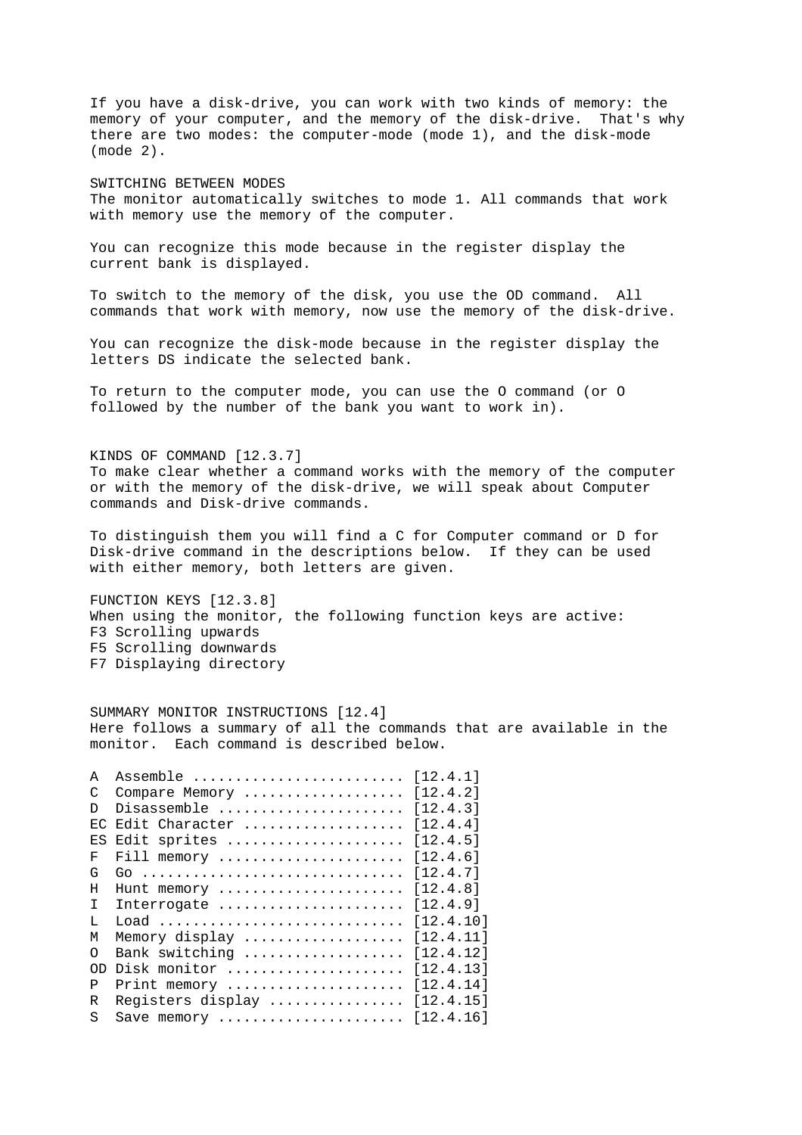If you have a disk-drive, you can work with two kinds of memory: the memory of your computer, and the memory of the disk-drive. That's why there are two modes: the computer-mode (mode 1), and the disk-mode (mode 2). SWITCHING BETWEEN MODES The monitor automatically switches to mode 1. All commands that work with memory use the memory of the computer. You can recognize this mode because in the register display the current bank is displayed. To switch to the memory of the disk, you use the OD command. All commands that work with memory, now use the memory of the disk-drive. You can recognize the disk-mode because in the register display the letters DS indicate the selected bank.

To return to the computer mode, you can use the O command (or O followed by the number of the bank you want to work in).

KINDS OF COMMAND [12.3.7] To make clear whether a command works with the memory of the computer or with the memory of the disk-drive, we will speak about Computer commands and Disk-drive commands.

To distinguish them you will find a C for Computer command or D for Disk-drive command in the descriptions below. If they can be used with either memory, both letters are given.

FUNCTION KEYS [12.3.8] When using the monitor, the following function keys are active: F3 Scrolling upwards F5 Scrolling downwards F7 Displaying directory

SUMMARY MONITOR INSTRUCTIONS [12.4] Here follows a summary of all the commands that are available in the monitor. Each command is described below.

| A          | [12.4.1]<br>Assemble           |
|------------|--------------------------------|
| C          | [12.4.2]<br>Compare Memory     |
| D.         | [12.4.3]<br>Disassemble        |
| $E\subset$ | [12.4.4]<br>Edit Character     |
| E.S        | [12.4.5]<br>Edit sprites       |
| F          | [12.4.6]<br>Fill memory        |
| G          | [12.4.7]                       |
| H          | [12.4.8]<br>Hunt memory        |
| T.         | [12.4.9]<br>Interrogate        |
| T.         | [12.4.10]<br>Load              |
| М          | [12.4.11]<br>Memory display    |
| $\Omega$   | [12.4.12]<br>Bank switching    |
| 0D         | [12.4.13]<br>Disk monitor      |
| P          | [12.4.14]<br>Print memory      |
| R          | [12.4.15]<br>Reqisters display |
| S          | [12.4.16]<br>Save memory       |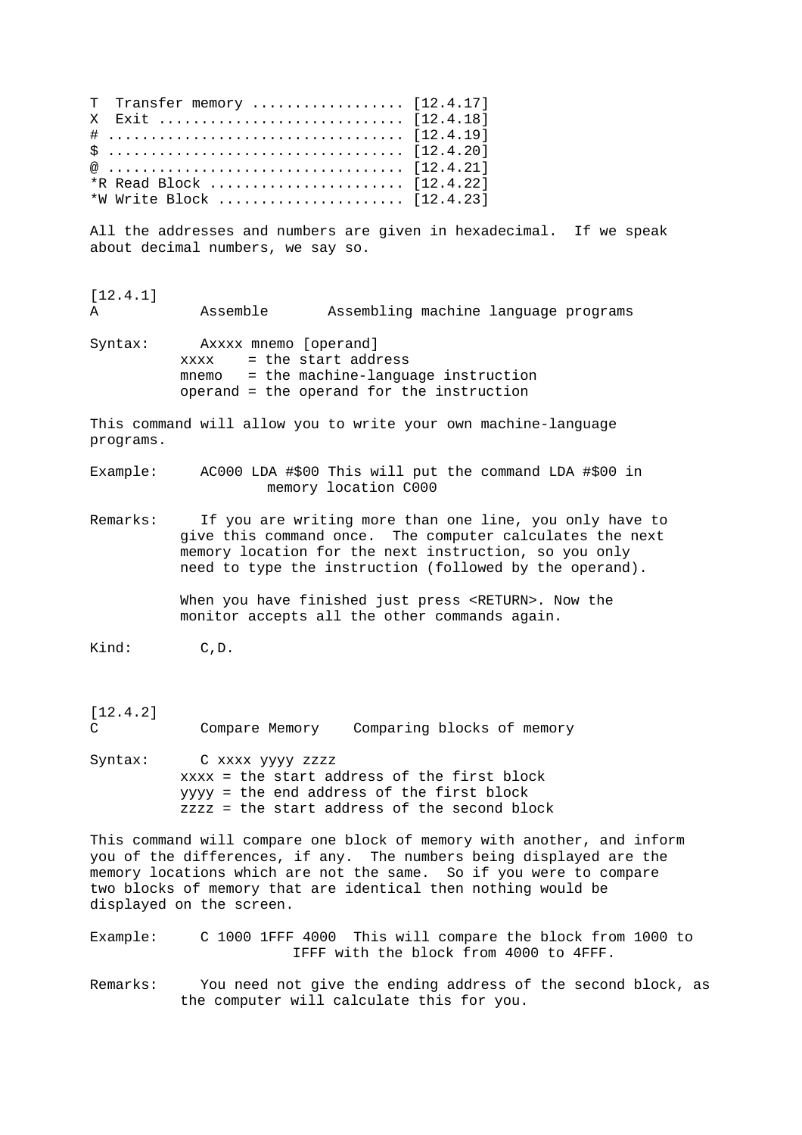T Transfer memory .................... [12.4.17] X Exit ............................. [12.4.18] # ................................... [12.4.19]  $$ \ldots \ldots \ldots \ldots \ldots \ldots \ldots \ldots \ldots \ldots \ldots \quad [12.4.20]$ @ ................................... [12.4.21] \*R Read Block ....................... [12.4.22] \*W Write Block ...................... [12.4.23] All the addresses and numbers are given in hexadecimal. If we speak

about decimal numbers, we say so.

[12.4.1] A Assemble Assembling machine language programs

Syntax: Axxxx mnemo [operand] xxxx = the start address mnemo = the machine-language instruction operand = the operand for the instruction

This command will allow you to write your own machine-language programs.

Example: AC000 LDA #\$00 This will put the command LDA #\$00 in memory location C000

Remarks: If you are writing more than one line, you only have to give this command once. The computer calculates the next memory location for the next instruction, so you only need to type the instruction (followed by the operand).

> When you have finished just press <RETURN>. Now the monitor accepts all the other commands again.

Kind: C, D.

[12.4.2] C Compare Memory Comparing blocks of memory

Syntax: C xxxx yyyy zzzz xxxx = the start address of the first block yyyy = the end address of the first block zzzz = the start address of the second block

This command will compare one block of memory with another, and inform you of the differences, if any. The numbers being displayed are the memory locations which are not the same. So if you were to compare two blocks of memory that are identical then nothing would be displayed on the screen.

Example: C 1000 1FFF 4000 This will compare the block from 1000 to IFFF with the block from 4000 to 4FFF.

Remarks: You need not give the ending address of the second block, as the computer will calculate this for you.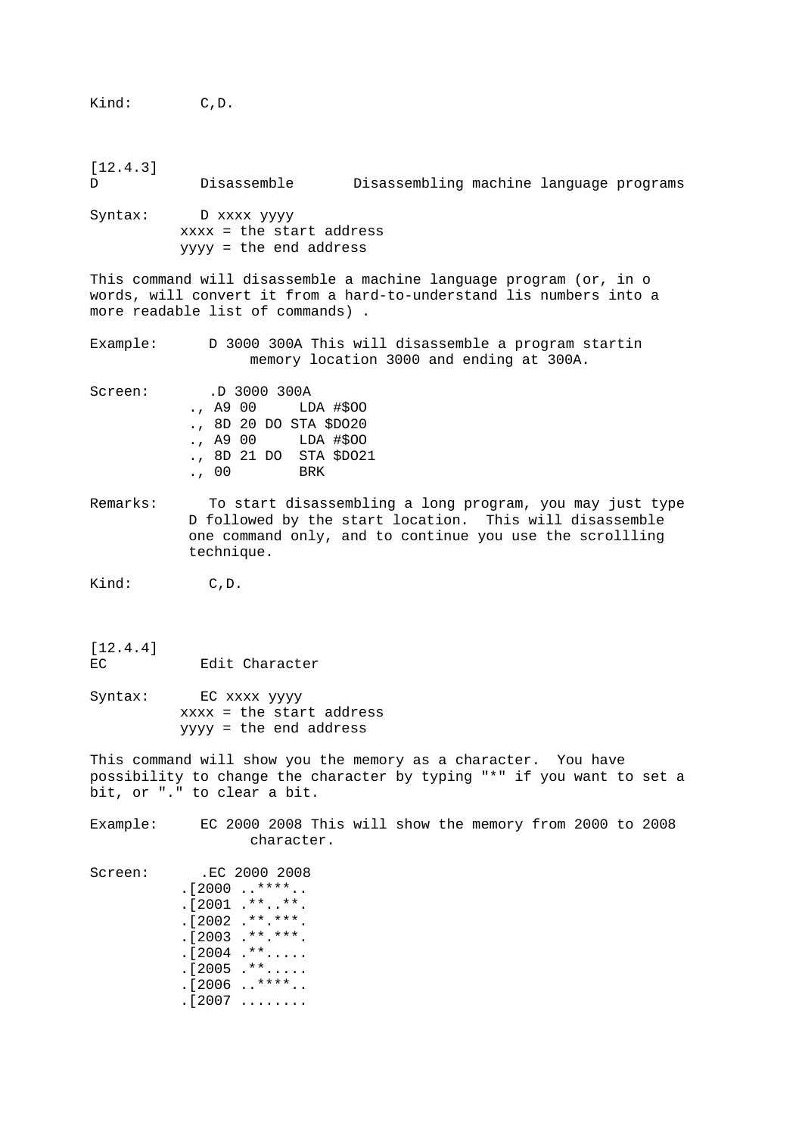[12.4.3] D Disassemble Disassembling machine language programs Syntax: D xxxx yyyy xxxx = the start address yyyy = the end address This command will disassemble a machine language program (or, in o words, will convert it from a hard-to-understand lis numbers into a more readable list of commands) . Example: D 3000 300A This will disassemble a program startin memory location 3000 and ending at 300A. Screen: .D 3000 300A<br>., A9 00 LI LDA #\$00 ., 8D 20 DO STA \$DO20 ., A9 00 LDA #\$OO ., 8D 21 DO STA \$DO21 ., 00 BRK Remarks: To start disassembling a long program, you may just type D followed by the start location. This will disassemble one command only, and to continue you use the scrollling technique. Kind: C, D. [12.4.4] EC Edit Character Syntax: EC xxxx yyyy xxxx = the start address yyyy = the end address This command will show you the memory as a character. You have possibility to change the character by typing "\*" if you want to set a bit, or "." to clear a bit. Example: EC 2000 2008 This will show the memory from 2000 to 2008 character. Screen: .EC 2000 2008  $. [2000$   $.***$ .. .[2001 .\*\*..\*\*. .[2002 .\*\*.\*\*\*.  $. [2003$  .\*\*.\*\*\*.  $.12004$  .\*\*.....  $. [2005 + **...]$  $. [2006 \t . . * * * * . .$  $. [2007 \ldots \ldots]$ 

Kind: C,D.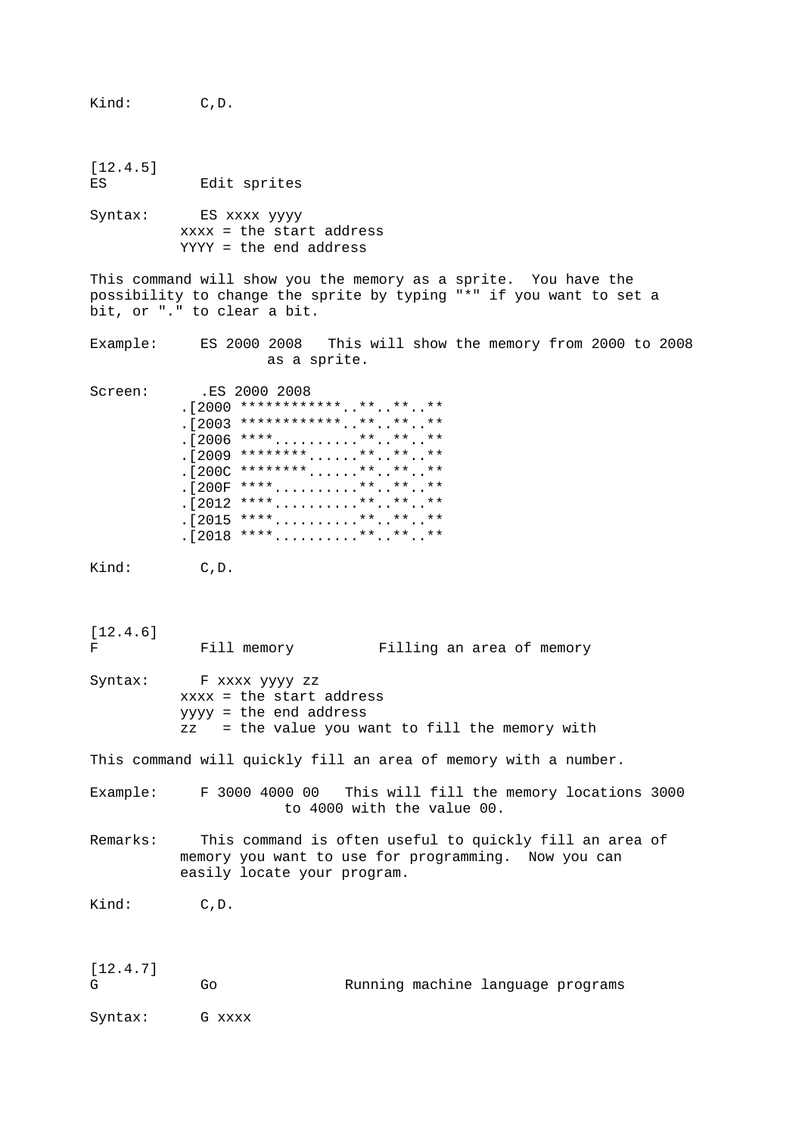Kind: C,D. [12.4.5] ES Edit sprites Syntax: ES xxxx yyyy xxxx = the start address YYYY = the end address This command will show you the memory as a sprite. You have the possibility to change the sprite by typing "\*" if you want to set a bit, or "." to clear a bit. Example: ES 2000 2008 This will show the memory from 2000 to 2008 as a sprite. Screen: .ES 2000 2008 . [2000 \*\*\*\*\*\*\*\*\*\*\*\*\*..\*\*..\*\*..\*\* .[2003 \*\*\*\*\*\*\*\*\*\*\*\*..\*\*..\*\*..\*\* . [2006 \*\*\*\*...........\*\*..\*\*..\*\* . [2009 \*\*\*\*\*\*\*\*......\*\*..\*\*..\*\*  $.1200C$  \*\*\*\*\*\*\*\*......\*\*..\*\*..\*\* .[200F \*\*\*\*..........\*\*..\*\*..\*\*  $. [2012 \; ****... \; ... \; ****...**...**$  $. [2015$  \*\*\*\*..........\*\*..\*\*..\*\* . [2018 \*\*\*\*..........\*\*..\*\*..\*\* Kind: C, D. [12.4.6] F Fill memory Filling an area of memory Syntax: F xxxx yyyy zz xxxx = the start address yyyy = the end address zz = the value you want to fill the memory with This command will quickly fill an area of memory with a number. Example: F 3000 4000 00 This will fill the memory locations 3000 to 4000 with the value 00. Remarks: This command is often useful to quickly fill an area of memory you want to use for programming. Now you can easily locate your program. Kind: C, D. [12.4.7] G Go Running machine language programs Syntax: G xxxx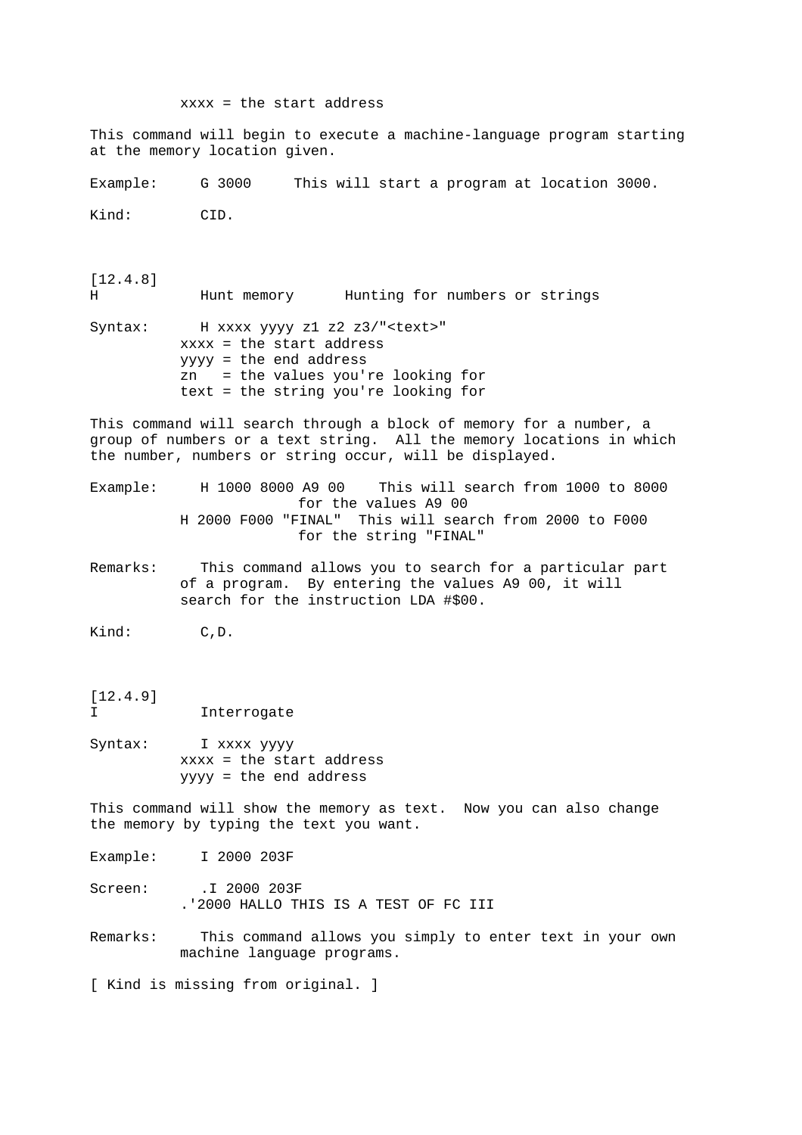xxxx = the start address This command will begin to execute a machine-language program starting at the memory location given. Example: G 3000 This will start a program at location 3000. Kind: CID. [12.4.8] H Hunt memory Hunting for numbers or strings Syntax: H xxxx yyyy z1 z2 z3/"<text>" xxxx = the start address yyyy = the end address zn = the values you're looking for text = the string you're looking for This command will search through a block of memory for a number, a group of numbers or a text string. All the memory locations in which the number, numbers or string occur, will be displayed. Example: H 1000 8000 A9 00 This will search from 1000 to 8000 for the values A9 00 H 2000 F000 "FINAL" This will search from 2000 to F000 for the string "FINAL" Remarks: This command allows you to search for a particular part of a program. By entering the values A9 00, it will search for the instruction LDA #\$00. Kind: C,D. [12.4.9] I Interrogate Syntax: I xxxx yyyy xxxx = the start address yyyy = the end address This command will show the memory as text. Now you can also change the memory by typing the text you want. Example: I 2000 203F Screen: .I 2000 203F .'2000 HALLO THIS IS A TEST OF FC III Remarks: This command allows you simply to enter text in your own machine language programs. [ Kind is missing from original. ]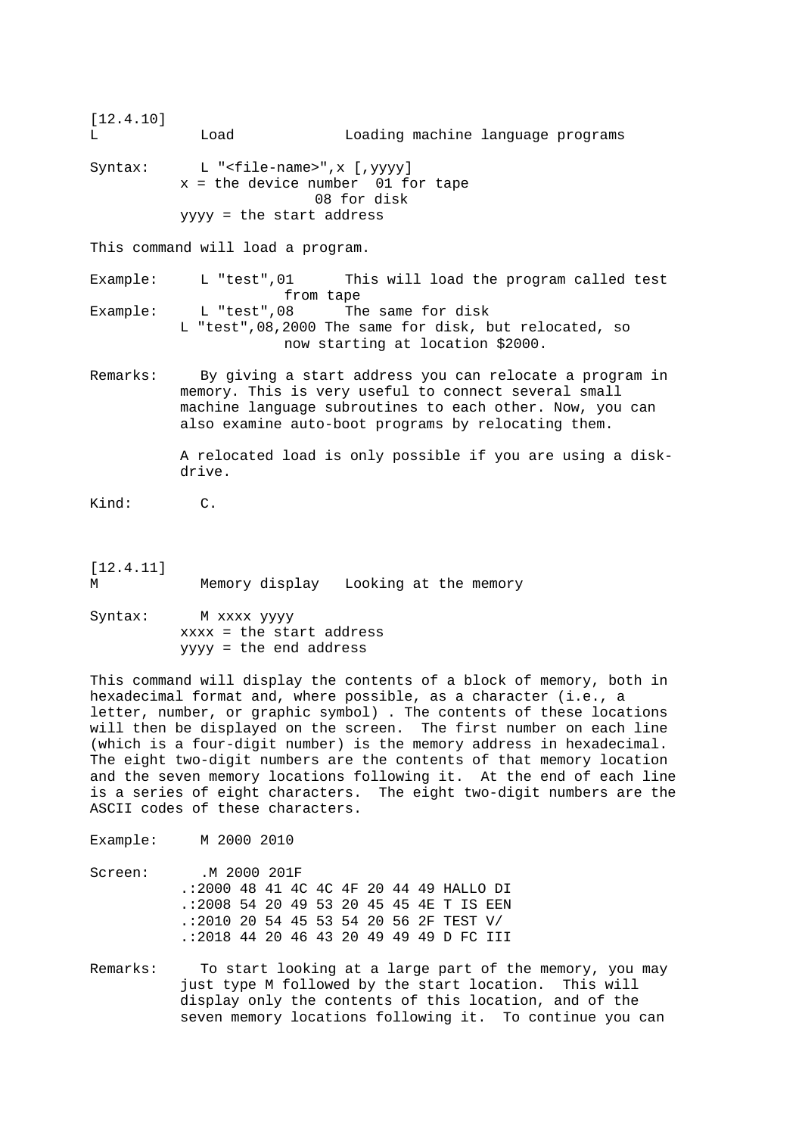[12.4.10] L Load Loading machine language programs Syntax: L "<file-name>",x [,yyyy] x = the device number 01 for tape 08 for disk yyyy = the start address This command will load a program. Example: L "test",01 This will load the program called test from tape Example: L "test", 08 The same for disk L "test",08,2000 The same for disk, but relocated, so now starting at location \$2000. Remarks: By giving a start address you can relocate a program in memory. This is very useful to connect several small machine language subroutines to each other. Now, you can also examine auto-boot programs by relocating them. A relocated load is only possible if you are using a disk drive. Kind: C. [12.4.11] M Memory display Looking at the memory Syntax: M xxxx yyyy

 xxxx = the start address yyyy = the end address

This command will display the contents of a block of memory, both in hexadecimal format and, where possible, as a character (i.e., a letter, number, or graphic symbol) . The contents of these locations will then be displayed on the screen. The first number on each line (which is a four-digit number) is the memory address in hexadecimal. The eight two-digit numbers are the contents of that memory location and the seven memory locations following it. At the end of each line is a series of eight characters. The eight two-digit numbers are the ASCII codes of these characters.

Example: M 2000 2010

- Screen: . M 2000 201F .:2000 48 41 4C 4C 4F 20 44 49 HALLO DI .:2008 54 20 49 53 20 45 45 4E T IS EEN .:2010 20 54 45 53 54 20 56 2F TEST V/ .:2018 44 20 46 43 20 49 49 49 D FC III
- Remarks: To start looking at a large part of the memory, you may just type M followed by the start location. This will display only the contents of this location, and of the seven memory locations following it. To continue you can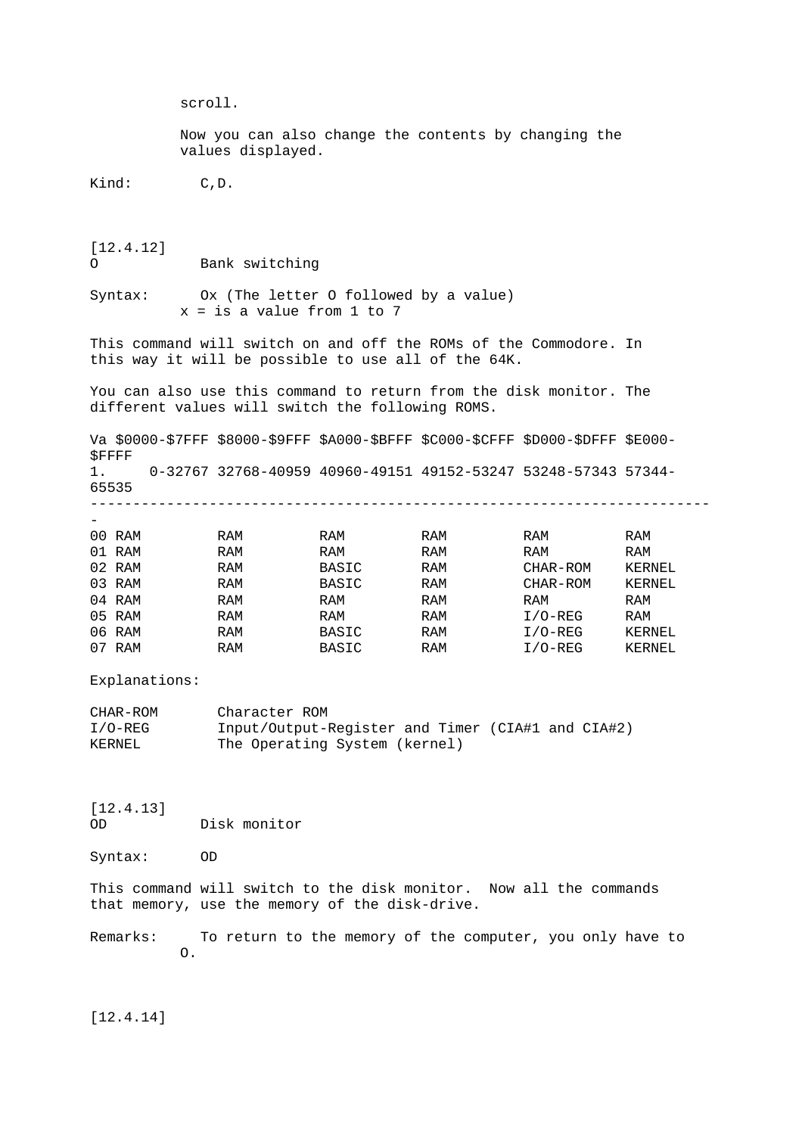scroll. Now you can also change the contents by changing the values displayed. Kind: C, D. [12.4.12] O Bank switching Syntax: Ox (The letter O followed by a value)  $x = is a value from 1 to 7$ This command will switch on and off the ROMs of the Commodore. In this way it will be possible to use all of the 64K. You can also use this command to return from the disk monitor. The different values will switch the following ROMS. Va \$0000-\$7FFF \$8000-\$9FFF \$A000-\$BFFF \$C000-\$CFFF \$D000-\$DFFF \$E000- \$FFFF 1. 0-32767 32768-40959 40960-49151 49152-53247 53248-57343 57344- 65535 ------------------------------------------------------------------------- - 00 RAM RAM RAM RAM RAM RAM 01 RAM RAM RAM RAM RAM RAM RAM RAM 02 RAM RAM BASIC RAM CHAR-ROM KERNEL 03 RAM RAM BASIC RAM CHAR-ROM KERNEL 04 RAM RAM RAM RAM RAM RAM 05 RAM RAM RAM RAM I/O-REG RAM 06 RAM RAM BASIC RAM I/O-REG KERNEL 07 RAM RAM BASIC RAM I/O-REG KERNEL Explanations: CHAR-ROM Character ROM I/O-REG Input/Output-Register and Timer (CIA#1 and CIA#2) KERNEL The Operating System (kernel)

[12.4.13] OD Disk monitor

Syntax: OD

This command will switch to the disk monitor. Now all the commands that memory, use the memory of the disk-drive.

Remarks: To return to the memory of the computer, you only have to O.

[12.4.14]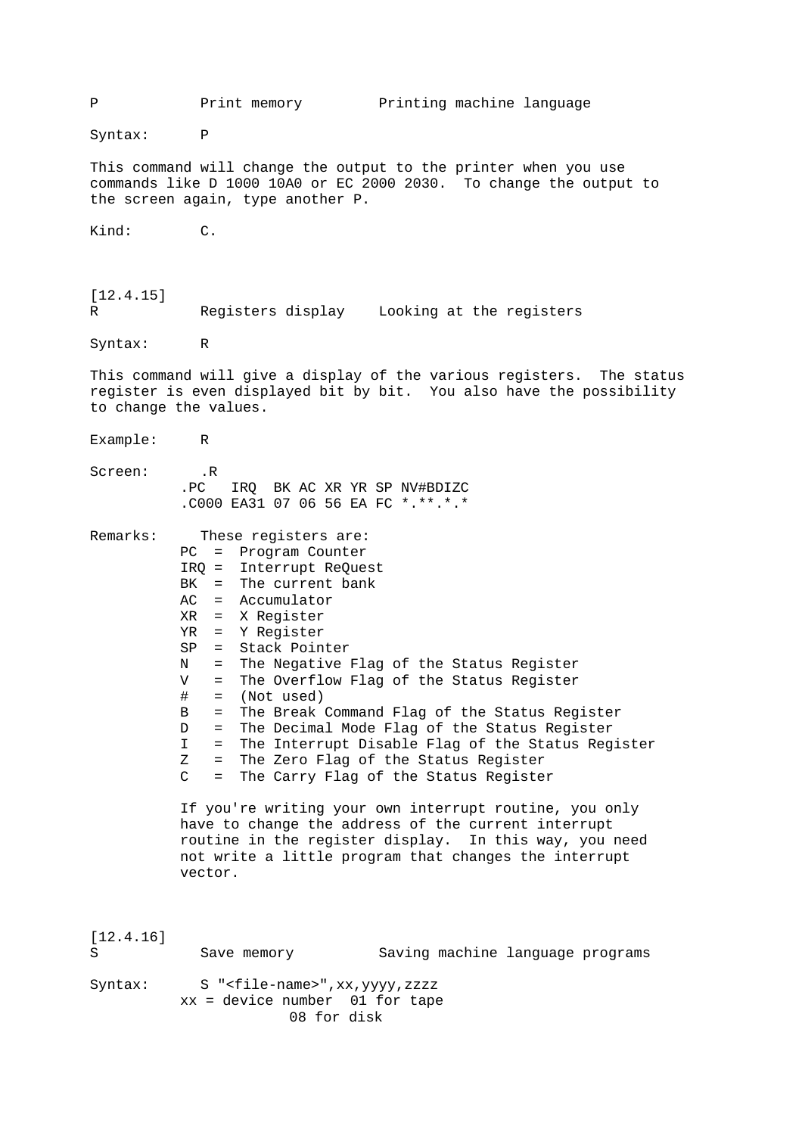P Print memory Printing machine language Syntax: P This command will change the output to the printer when you use commands like D 1000 10A0 or EC 2000 2030. To change the output to the screen again, type another P. Kind: C. [12.4.15] R Registers display Looking at the registers Syntax: R This command will give a display of the various registers. The status register is even displayed bit by bit. You also have the possibility to change the values. Example: R Screen: .R .PC IRQ BK AC XR YR SP NV#BDIZC .C000 EA31 07 06 56 EA FC \*.\*\*.\*.\* Remarks: These registers are: PC = Program Counter IRQ = Interrupt ReQuest BK = The current bank AC = Accumulator XR = X Register YR = Y Register SP = Stack Pointer N = The Negative Flag of the Status Register V = The Overflow Flag of the Status Register # = (Not used) B = The Break Command Flag of the Status Register D = The Decimal Mode Flag of the Status Register I = The Interrupt Disable Flag of the Status Register Z = The Zero Flag of the Status Register C = The Carry Flag of the Status Register If you're writing your own interrupt routine, you only have to change the address of the current interrupt routine in the register display. In this way, you need not write a little program that changes the interrupt vector. [12.4.16] S Save memory Saving machine language programs Syntax: S "<file-name>",xx,yyyy,zzzz xx = device number 01 for tape 08 for disk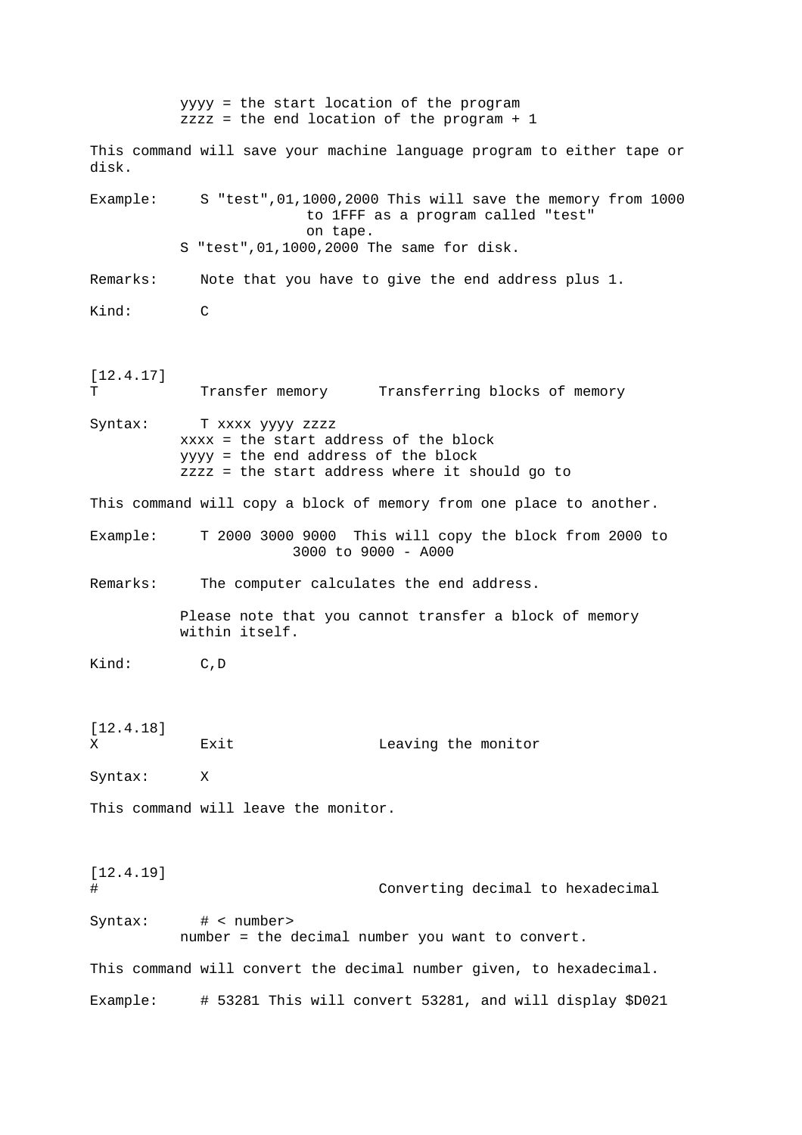yyyy = the start location of the program zzzz = the end location of the program + 1 This command will save your machine language program to either tape or disk. Example: S "test",01,1000,2000 This will save the memory from 1000 to 1FFF as a program called "test" on tape. S "test",01,1000,2000 The same for disk. Remarks: Note that you have to give the end address plus 1. Kind: C [12.4.17] T Transfer memory Transferring blocks of memory Syntax: T xxxx yyyy zzzz xxxx = the start address of the block yyyy = the end address of the block zzzz = the start address where it should go to This command will copy a block of memory from one place to another. Example: T 2000 3000 9000 This will copy the block from 2000 to 3000 to 9000 - A000 Remarks: The computer calculates the end address. Please note that you cannot transfer a block of memory within itself. Kind: C,D [12.4.18] X Exit Leaving the monitor Syntax: X This command will leave the monitor. [12.4.19] # Converting decimal to hexadecimal Syntax: # < number> number = the decimal number you want to convert. This command will convert the decimal number given, to hexadecimal. Example: # 53281 This will convert 53281, and will display \$D021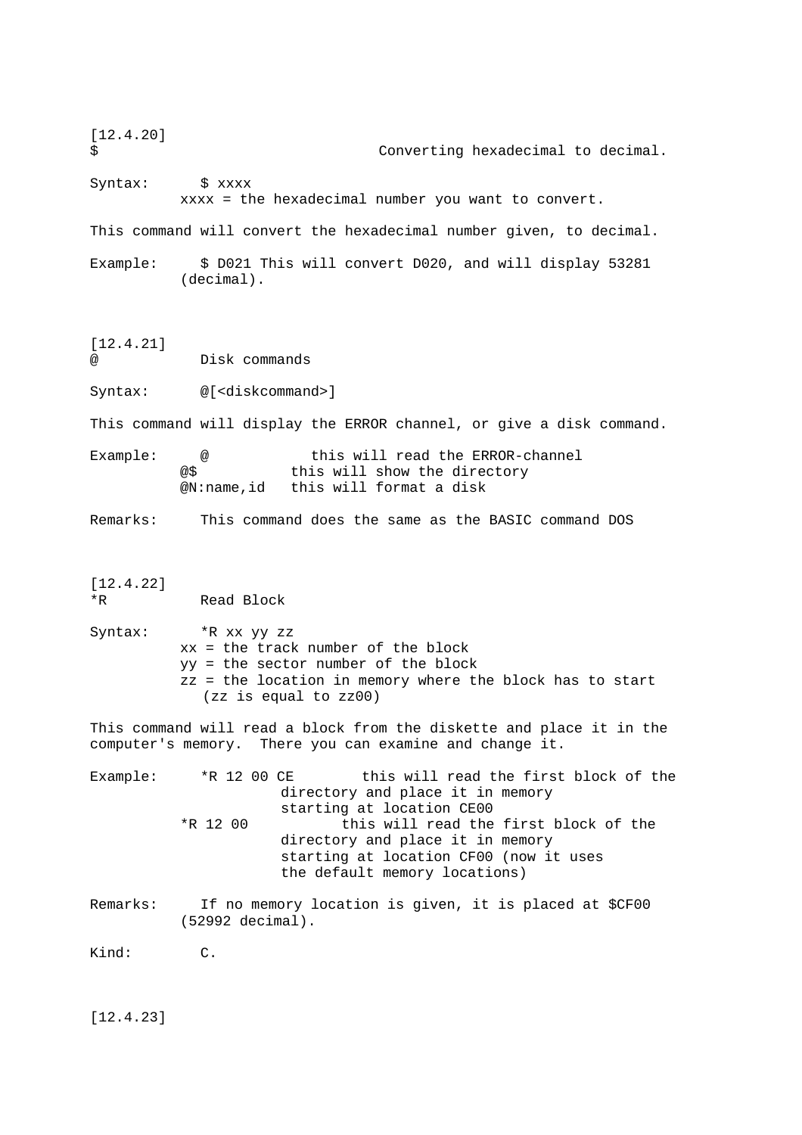[12.4.20] \$ Converting hexadecimal to decimal. Syntax:  $\frac{1}{2}$  xxxx xxxx = the hexadecimal number you want to convert. This command will convert the hexadecimal number given, to decimal. Example: \$ D021 This will convert D020, and will display 53281 (decimal). [12.4.21] Disk commands Syntax: @[<diskcommand>] This command will display the ERROR channel, or give a disk command. Example: @ this will read the ERROR-channel @\$ this will show the directory @N:name,id this will format a disk Remarks: This command does the same as the BASIC command DOS [12.4.22] \*R Read Block Syntax: \*R xx yy zz xx = the track number of the block yy = the sector number of the block zz = the location in memory where the block has to start (zz is equal to zz00) This command will read a block from the diskette and place it in the computer's memory. There you can examine and change it. Example: \*R 12 00 CE this will read the first block of the directory and place it in memory starting at location CE00 \*R 12 00 this will read the first block of the directory and place it in memory starting at location CF00 (now it uses the default memory locations) Remarks: If no memory location is given, it is placed at \$CF00 (52992 decimal). Kind: C. [12.4.23]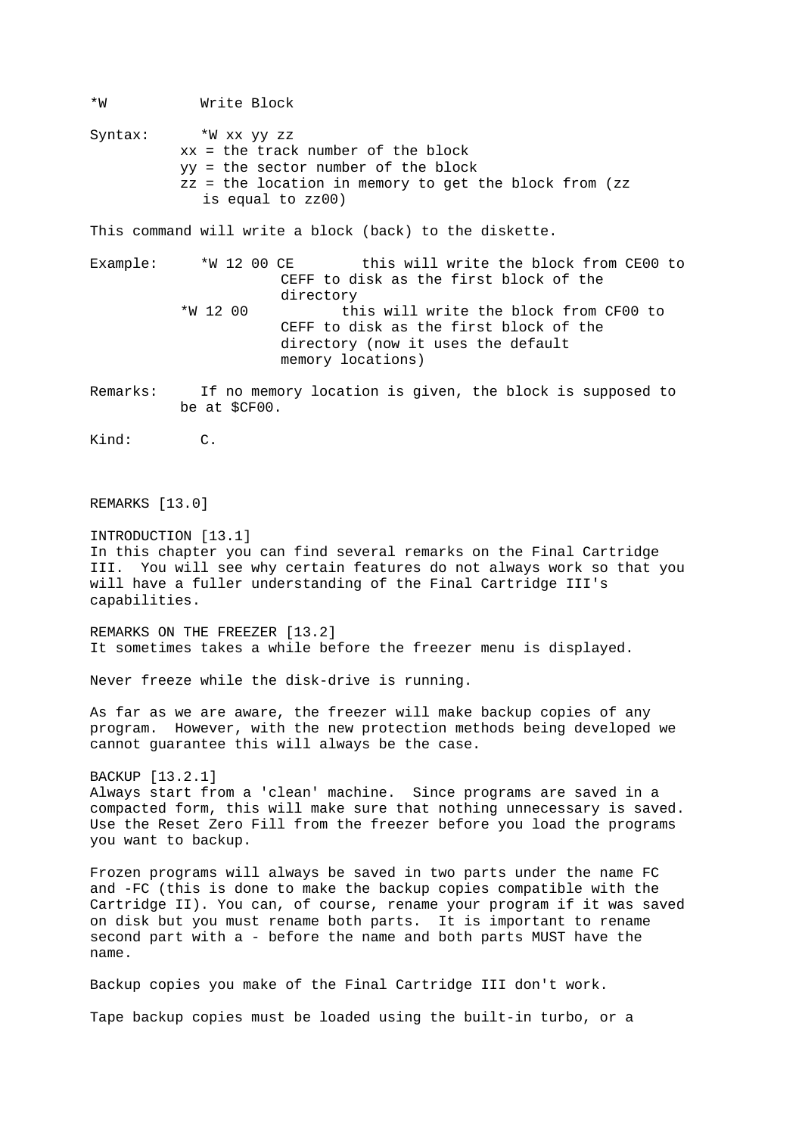\*W Write Block Syntax: \*W xx yy zz xx = the track number of the block yy = the sector number of the block zz = the location in memory to get the block from (zz is equal to zz00) This command will write a block (back) to the diskette. Example: \*W 12 00 CE this will write the block from CE00 to CEFF to disk as the first block of the directory \*W 12 00 this will write the block from CF00 to CEFF to disk as the first block of the directory (now it uses the default memory locations) Remarks: If no memory location is given, the block is supposed to be at \$CF00. Kind: C. REMARKS [13.0] INTRODUCTION [13.1] In this chapter you can find several remarks on the Final Cartridge III. You will see why certain features do not always work so that you will have a fuller understanding of the Final Cartridge III's capabilities. REMARKS ON THE FREEZER [13.2] It sometimes takes a while before the freezer menu is displayed. Never freeze while the disk-drive is running. As far as we are aware, the freezer will make backup copies of any program. However, with the new protection methods being developed we cannot guarantee this will always be the case. BACKUP [13.2.1] Always start from a 'clean' machine. Since programs are saved in a compacted form, this will make sure that nothing unnecessary is saved. Use the Reset Zero Fill from the freezer before you load the programs you want to backup. Frozen programs will always be saved in two parts under the name FC and -FC (this is done to make the backup copies compatible with the Cartridge II). You can, of course, rename your program if it was saved on disk but you must rename both parts. It is important to rename second part with a - before the name and both parts MUST have the name. Backup copies you make of the Final Cartridge III don't work. Tape backup copies must be loaded using the built-in turbo, or a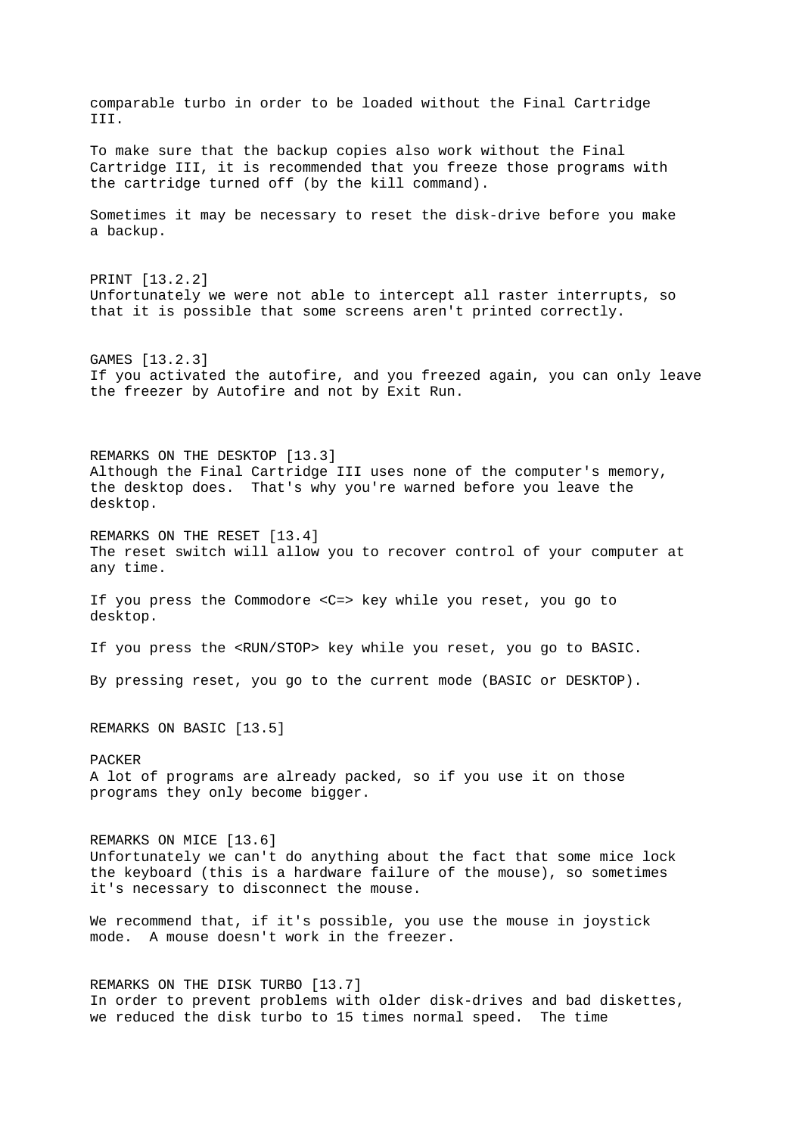comparable turbo in order to be loaded without the Final Cartridge III. To make sure that the backup copies also work without the Final Cartridge III, it is recommended that you freeze those programs with the cartridge turned off (by the kill command). Sometimes it may be necessary to reset the disk-drive before you make a backup. PRINT [13.2.2] Unfortunately we were not able to intercept all raster interrupts, so that it is possible that some screens aren't printed correctly. GAMES [13.2.3] If you activated the autofire, and you freezed again, you can only leave the freezer by Autofire and not by Exit Run. REMARKS ON THE DESKTOP [13.3] Although the Final Cartridge III uses none of the computer's memory, the desktop does. That's why you're warned before you leave the desktop. REMARKS ON THE RESET [13.4] The reset switch will allow you to recover control of your computer at any time. If you press the Commodore <C=> key while you reset, you go to desktop. If you press the <RUN/STOP> key while you reset, you go to BASIC. By pressing reset, you go to the current mode (BASIC or DESKTOP). REMARKS ON BASIC [13.5] PACKER A lot of programs are already packed, so if you use it on those programs they only become bigger. REMARKS ON MICE [13.6] Unfortunately we can't do anything about the fact that some mice lock the keyboard (this is a hardware failure of the mouse), so sometimes it's necessary to disconnect the mouse. We recommend that, if it's possible, you use the mouse in joystick mode. A mouse doesn't work in the freezer. REMARKS ON THE DISK TURBO [13.7] In order to prevent problems with older disk-drives and bad diskettes, we reduced the disk turbo to 15 times normal speed. The time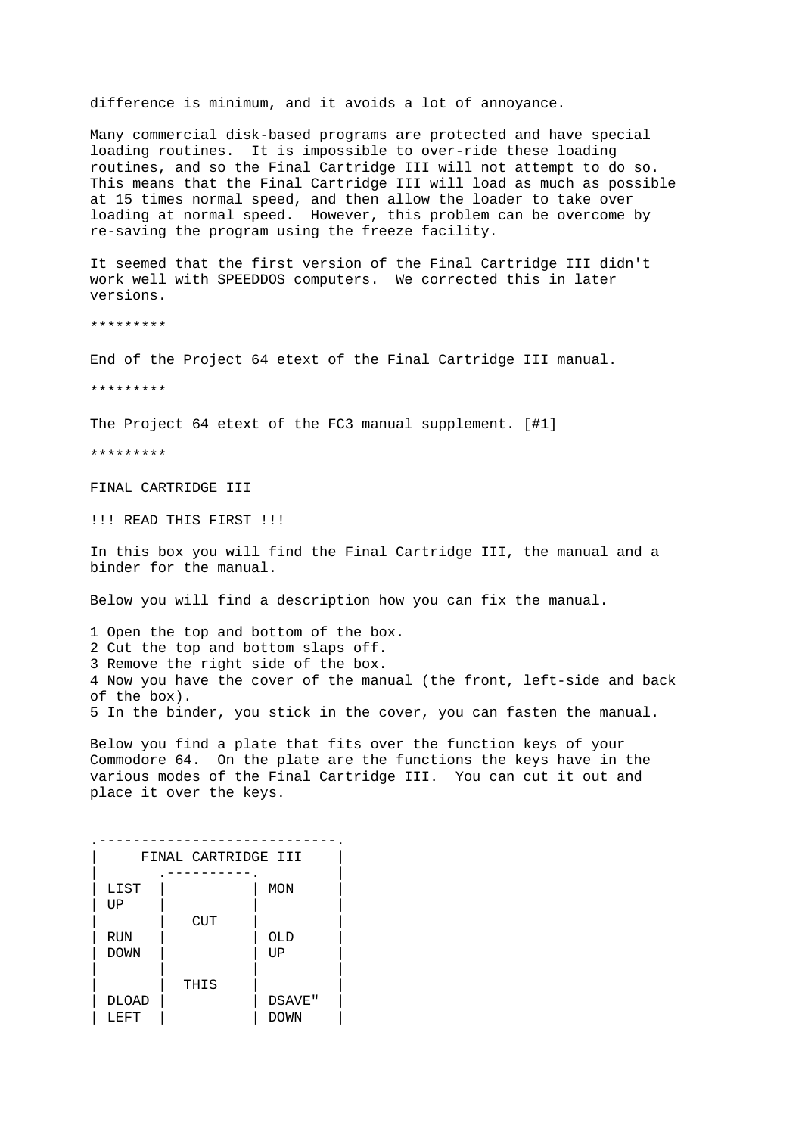difference is minimum, and it avoids a lot of annoyance.

Many commercial disk-based programs are protected and have special loading routines. It is impossible to over-ride these loading routines, and so the Final Cartridge III will not attempt to do so. This means that the Final Cartridge III will load as much as possible at 15 times normal speed, and then allow the loader to take over loading at normal speed. However, this problem can be overcome by re-saving the program using the freeze facility.

It seemed that the first version of the Final Cartridge III didn't work well with SPEEDDOS computers. We corrected this in later versions.

\*\*\*\*\*\*\*\*\*

End of the Project 64 etext of the Final Cartridge III manual.

\*\*\*\*\*\*\*\*\*

The Project 64 etext of the FC3 manual supplement. [#1]

\*\*\*\*\*\*\*\*\*

FINAL CARTRIDGE III

!!! READ THIS FIRST !!!

In this box you will find the Final Cartridge III, the manual and a binder for the manual.

Below you will find a description how you can fix the manual.

1 Open the top and bottom of the box. 2 Cut the top and bottom slaps off. 3 Remove the right side of the box. 4 Now you have the cover of the manual (the front, left-side and back of the box). 5 In the binder, you stick in the cover, you can fasten the manual.

Below you find a plate that fits over the function keys of your Commodore 64. On the plate are the functions the keys have in the various modes of the Final Cartridge III. You can cut it out and place it over the keys.

| FINAL CARTRIDGE III |      |        |  |
|---------------------|------|--------|--|
|                     |      |        |  |
| LIST                |      | MON    |  |
| UP                  |      |        |  |
|                     | CUT  |        |  |
| <b>RUN</b>          |      | OLD    |  |
| <b>DOWN</b>         |      | UP     |  |
|                     |      |        |  |
|                     | THIS |        |  |
| <b>DLOAD</b>        |      | DSAVE" |  |
| LEFT                |      | DOWN   |  |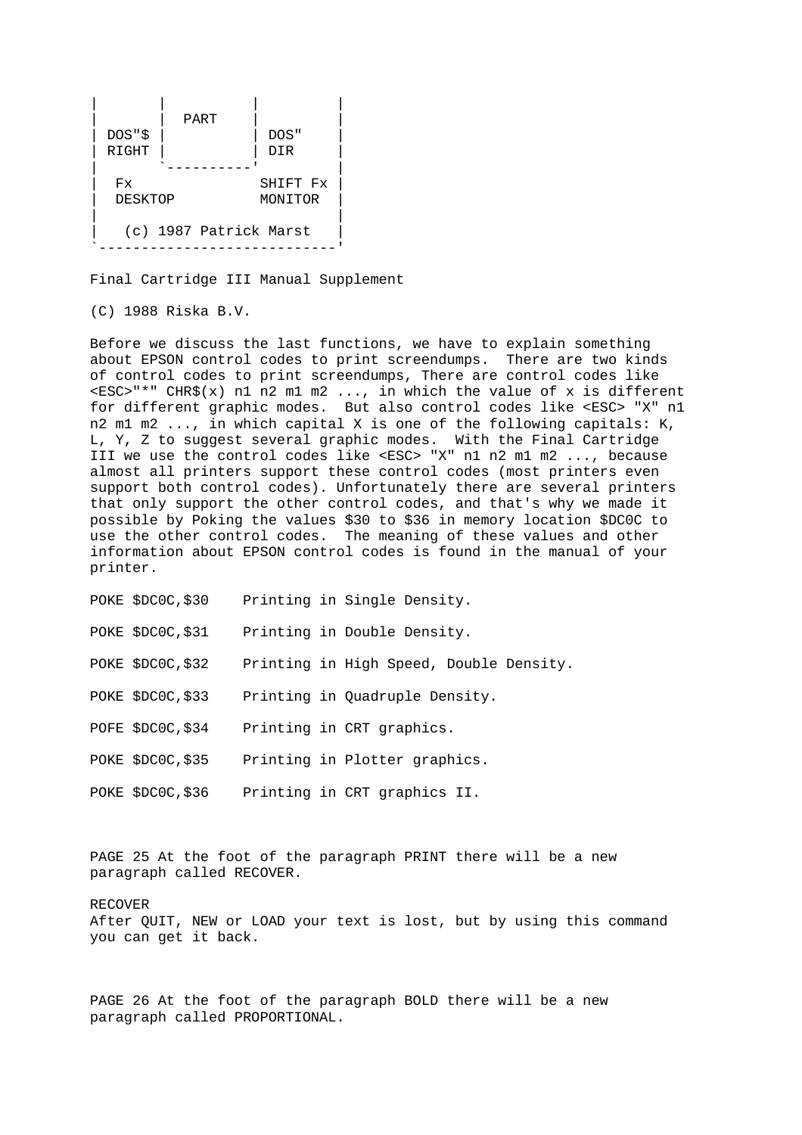|          | PART                   |          |
|----------|------------------------|----------|
| DOS " \$ |                        | DOS"     |
| RIGHT    |                        | DIR      |
|          |                        |          |
| Fx       |                        | SHIFT Fx |
| DESKTOP  |                        | MONITOR  |
|          | (c) 1987 Patrick Marst |          |

Final Cartridge III Manual Supplement

(C) 1988 Riska B.V.

Before we discuss the last functions, we have to explain something about EPSON control codes to print screendumps. There are two kinds of control codes to print screendumps, There are control codes like <ESC>"\*" CHR\$(x) n1 n2 m1 m2 ..., in which the value of x is different for different graphic modes. But also control codes like <ESC> "X" n1 n2 m1 m2 ..., in which capital X is one of the following capitals: K, L, Y, Z to suggest several graphic modes. With the Final Cartridge III we use the control codes like <ESC> "X" n1 n2 m1 m2 ..., because almost all printers support these control codes (most printers even support both control codes). Unfortunately there are several printers that only support the other control codes, and that's why we made it possible by Poking the values \$30 to \$36 in memory location \$DC0C to use the other control codes. The meaning of these values and other information about EPSON control codes is found in the manual of your printer.

| POKE \$DCOC,\$30  | Printing in Single Density.             |
|-------------------|-----------------------------------------|
| POKE \$DCOC,\$31  | Printing in Double Density.             |
| POKE \$DCOC,\$32  | Printing in High Speed, Double Density. |
| POKE \$DCOC,\$33  | Printing in Quadruple Density.          |
| POFE \$DCOC,\$34  | Printing in CRT graphics.               |
| POKE \$DCOC,\$35  | Printing in Plotter graphics.           |
| POKE \$DCOC, \$36 | Printing in CRT graphics II.            |

PAGE 25 At the foot of the paragraph PRINT there will be a new paragraph called RECOVER.

RECOVER

After QUIT, NEW or LOAD your text is lost, but by using this command you can get it back.

PAGE 26 At the foot of the paragraph BOLD there will be a new paragraph called PROPORTIONAL.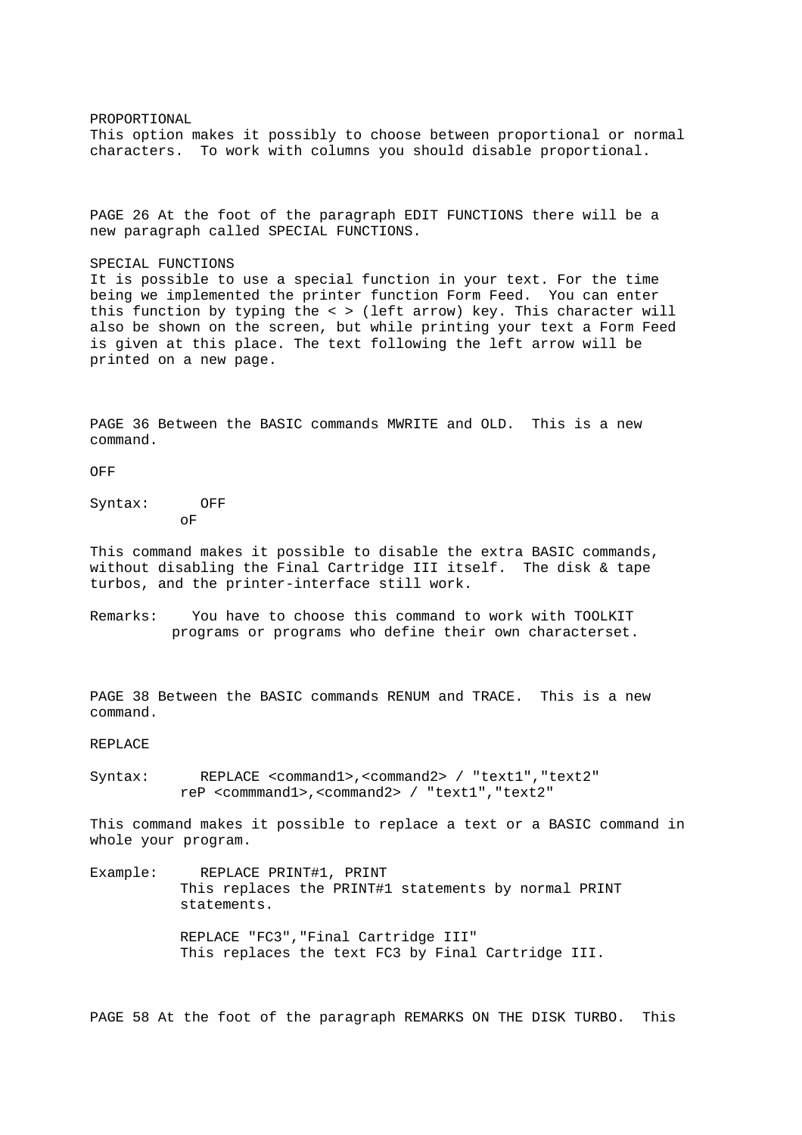PROPORTIONAL This option makes it possibly to choose between proportional or normal characters. To work with columns you should disable proportional.

PAGE 26 At the foot of the paragraph EDIT FUNCTIONS there will be a new paragraph called SPECIAL FUNCTIONS.

SPECIAL FUNCTIONS

It is possible to use a special function in your text. For the time being we implemented the printer function Form Feed. You can enter this function by typing the < > (left arrow) key. This character will also be shown on the screen, but while printing your text a Form Feed is given at this place. The text following the left arrow will be printed on a new page.

PAGE 36 Between the BASIC commands MWRITE and OLD. This is a new command.

OFF

Syntax: OFF oF

This command makes it possible to disable the extra BASIC commands, without disabling the Final Cartridge III itself. The disk & tape turbos, and the printer-interface still work.

Remarks: You have to choose this command to work with TOOLKIT programs or programs who define their own characterset.

PAGE 38 Between the BASIC commands RENUM and TRACE. This is a new command.

REPLACE

Syntax: REPLACE <command1>,<command2> / "text1","text2" reP <commmand1>,<command2> / "text1","text2"

This command makes it possible to replace a text or a BASIC command in whole your program.

Example: REPLACE PRINT#1, PRINT This replaces the PRINT#1 statements by normal PRINT statements. REPLACE "FC3","Final Cartridge III" This replaces the text FC3 by Final Cartridge III.

PAGE 58 At the foot of the paragraph REMARKS ON THE DISK TURBO. This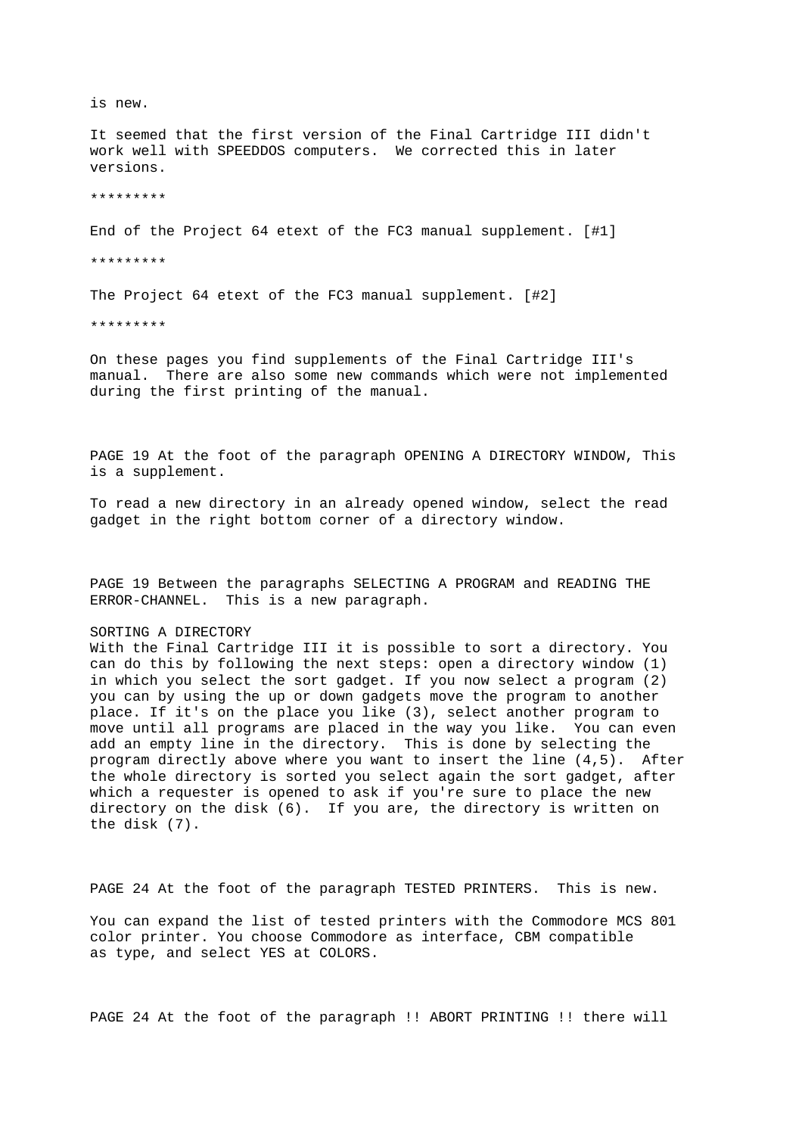is new. It seemed that the first version of the Final Cartridge III didn't work well with SPEEDDOS computers. We corrected this in later versions. \*\*\*\*\*\*\*\*\*

End of the Project 64 etext of the FC3 manual supplement. [#1]

\*\*\*\*\*\*\*\*\*

The Project 64 etext of the FC3 manual supplement. [#2]

\*\*\*\*\*\*\*\*\*

On these pages you find supplements of the Final Cartridge III's manual. There are also some new commands which were not implemented during the first printing of the manual.

PAGE 19 At the foot of the paragraph OPENING A DIRECTORY WINDOW, This is a supplement.

To read a new directory in an already opened window, select the read gadget in the right bottom corner of a directory window.

PAGE 19 Between the paragraphs SELECTING A PROGRAM and READING THE ERROR-CHANNEL. This is a new paragraph.

## SORTING A DIRECTORY

With the Final Cartridge III it is possible to sort a directory. You can do this by following the next steps: open a directory window (1) in which you select the sort gadget. If you now select a program (2) you can by using the up or down gadgets move the program to another place. If it's on the place you like (3), select another program to move until all programs are placed in the way you like. You can even add an empty line in the directory. This is done by selecting the program directly above where you want to insert the line (4,5). After the whole directory is sorted you select again the sort gadget, after which a requester is opened to ask if you're sure to place the new directory on the disk (6). If you are, the directory is written on the disk (7).

PAGE 24 At the foot of the paragraph TESTED PRINTERS. This is new.

You can expand the list of tested printers with the Commodore MCS 801 color printer. You choose Commodore as interface, CBM compatible as type, and select YES at COLORS.

PAGE 24 At the foot of the paragraph !! ABORT PRINTING !! there will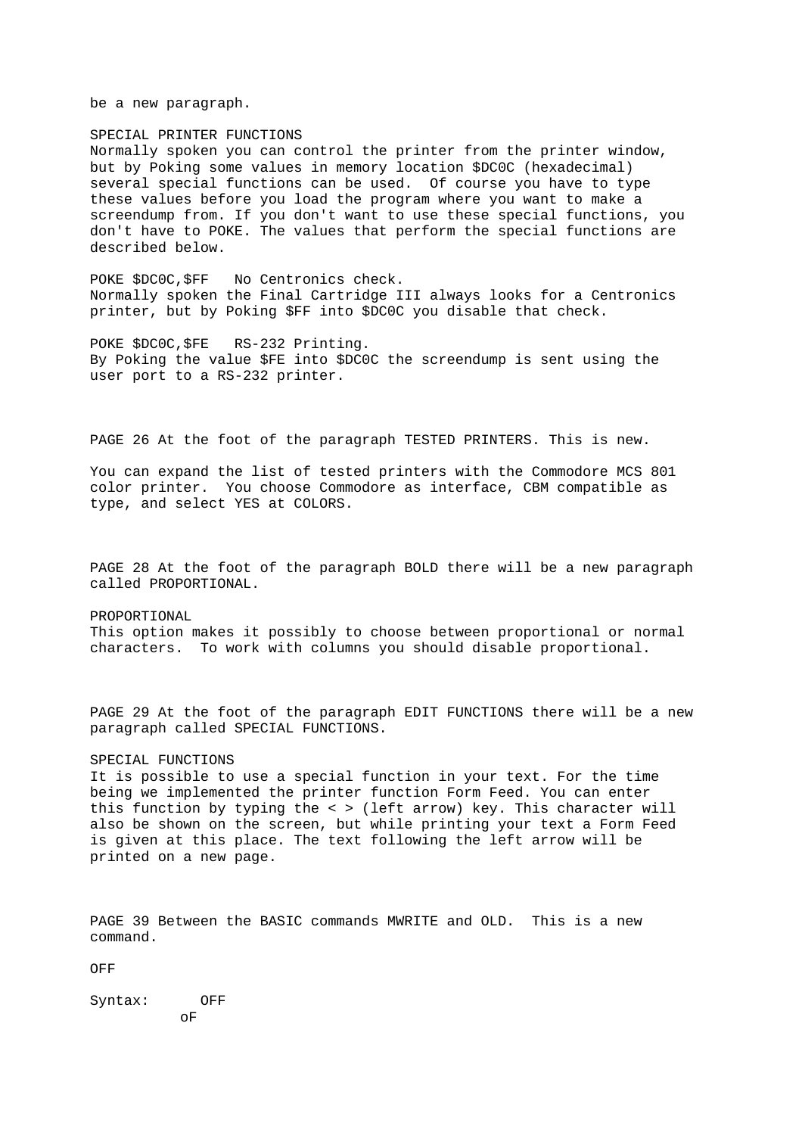be a new paragraph.

SPECIAL PRINTER FUNCTIONS Normally spoken you can control the printer from the printer window, but by Poking some values in memory location \$DC0C (hexadecimal) several special functions can be used. Of course you have to type these values before you load the program where you want to make a screendump from. If you don't want to use these special functions, you don't have to POKE. The values that perform the special functions are described below.

POKE \$DC0C,\$FF No Centronics check. Normally spoken the Final Cartridge III always looks for a Centronics printer, but by Poking \$FF into \$DC0C you disable that check.

POKE \$DC0C,\$FE RS-232 Printing. By Poking the value \$FE into \$DC0C the screendump is sent using the user port to a RS-232 printer.

PAGE 26 At the foot of the paragraph TESTED PRINTERS. This is new.

You can expand the list of tested printers with the Commodore MCS 801 color printer. You choose Commodore as interface, CBM compatible as type, and select YES at COLORS.

PAGE 28 At the foot of the paragraph BOLD there will be a new paragraph called PROPORTIONAL.

PROPORTIONAL This option makes it possibly to choose between proportional or normal characters. To work with columns you should disable proportional.

PAGE 29 At the foot of the paragraph EDIT FUNCTIONS there will be a new paragraph called SPECIAL FUNCTIONS.

## SPECIAL FUNCTIONS

It is possible to use a special function in your text. For the time being we implemented the printer function Form Feed. You can enter this function by typing the < > (left arrow) key. This character will also be shown on the screen, but while printing your text a Form Feed is given at this place. The text following the left arrow will be printed on a new page.

PAGE 39 Between the BASIC commands MWRITE and OLD. This is a new command.

OFF

Syntax: OFF oF